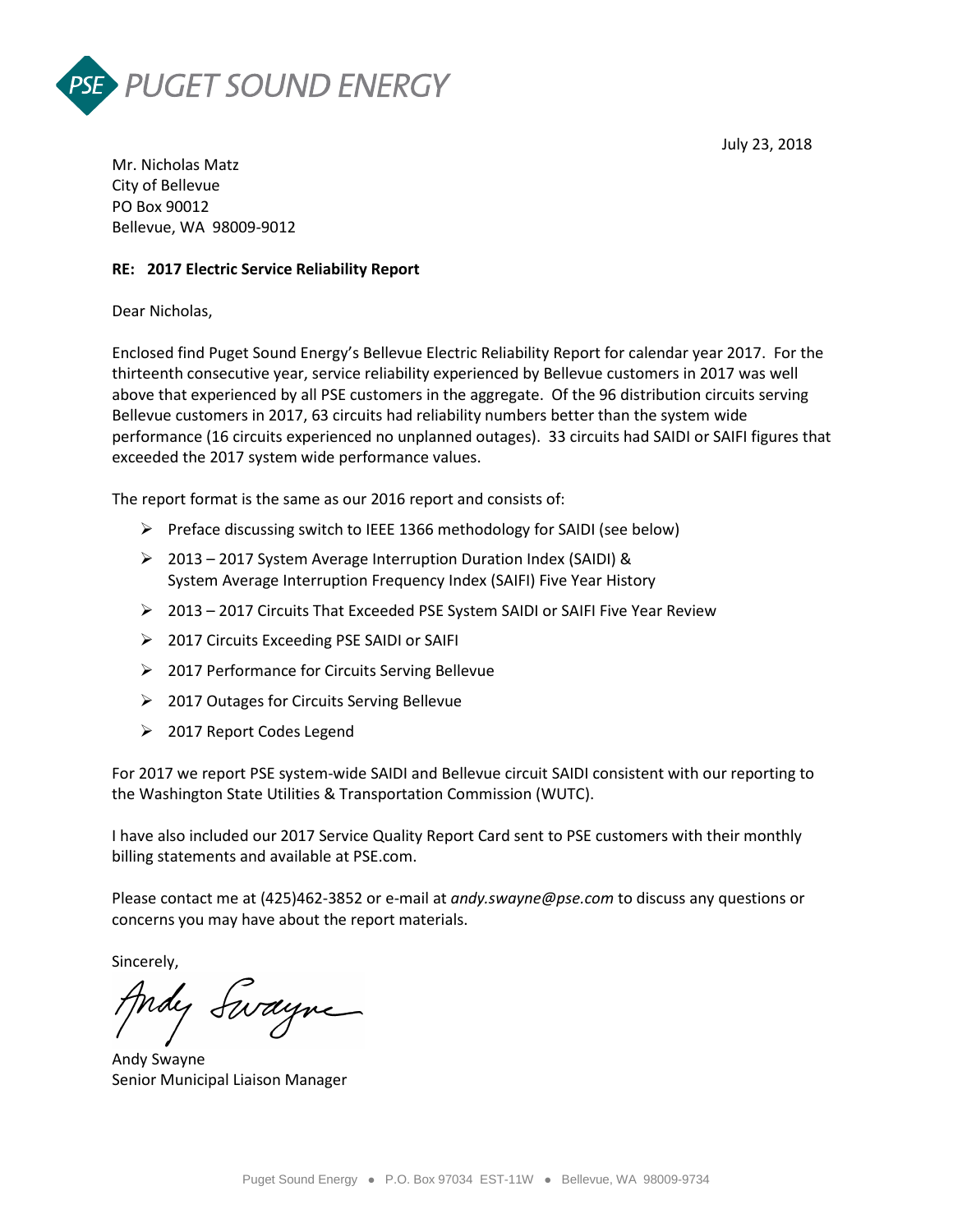



Mr. Nicholas Matz City of Bellevue PO Box 90012 Bellevue, WA 98009-9012

### **RE: 2017 Electric Service Reliability Report**

Dear Nicholas,

Enclosed find Puget Sound Energy's Bellevue Electric Reliability Report for calendar year 2017. For the thirteenth consecutive year, service reliability experienced by Bellevue customers in 2017 was well above that experienced by all PSE customers in the aggregate. Of the 96 distribution circuits serving Bellevue customers in 2017, 63 circuits had reliability numbers better than the system wide performance (16 circuits experienced no unplanned outages). 33 circuits had SAIDI or SAIFI figures that exceeded the 2017 system wide performance values.

The report format is the same as our 2016 report and consists of:

- $\triangleright$  Preface discussing switch to IEEE 1366 methodology for SAIDI (see below)
- 2013 2017 System Average Interruption Duration Index (SAIDI) & System Average Interruption Frequency Index (SAIFI) Five Year History
- 2013 2017 Circuits That Exceeded PSE System SAIDI or SAIFI Five Year Review
- > 2017 Circuits Exceeding PSE SAIDI or SAIFI
- 2017 Performance for Circuits Serving Bellevue
- 2017 Outages for Circuits Serving Bellevue
- > 2017 Report Codes Legend

For 2017 we report PSE system-wide SAIDI and Bellevue circuit SAIDI consistent with our reporting to the Washington State Utilities & Transportation Commission (WUTC).

I have also included our 2017 Service Quality Report Card sent to PSE customers with their monthly billing statements and available at PSE.com.

Please contact me at (425)462-3852 or e-mail at *andy.swayne@pse.com* to discuss any questions or concerns you may have about the report materials.

Sincerely,

Andy Swayne

Andy Swayne Senior Municipal Liaison Manager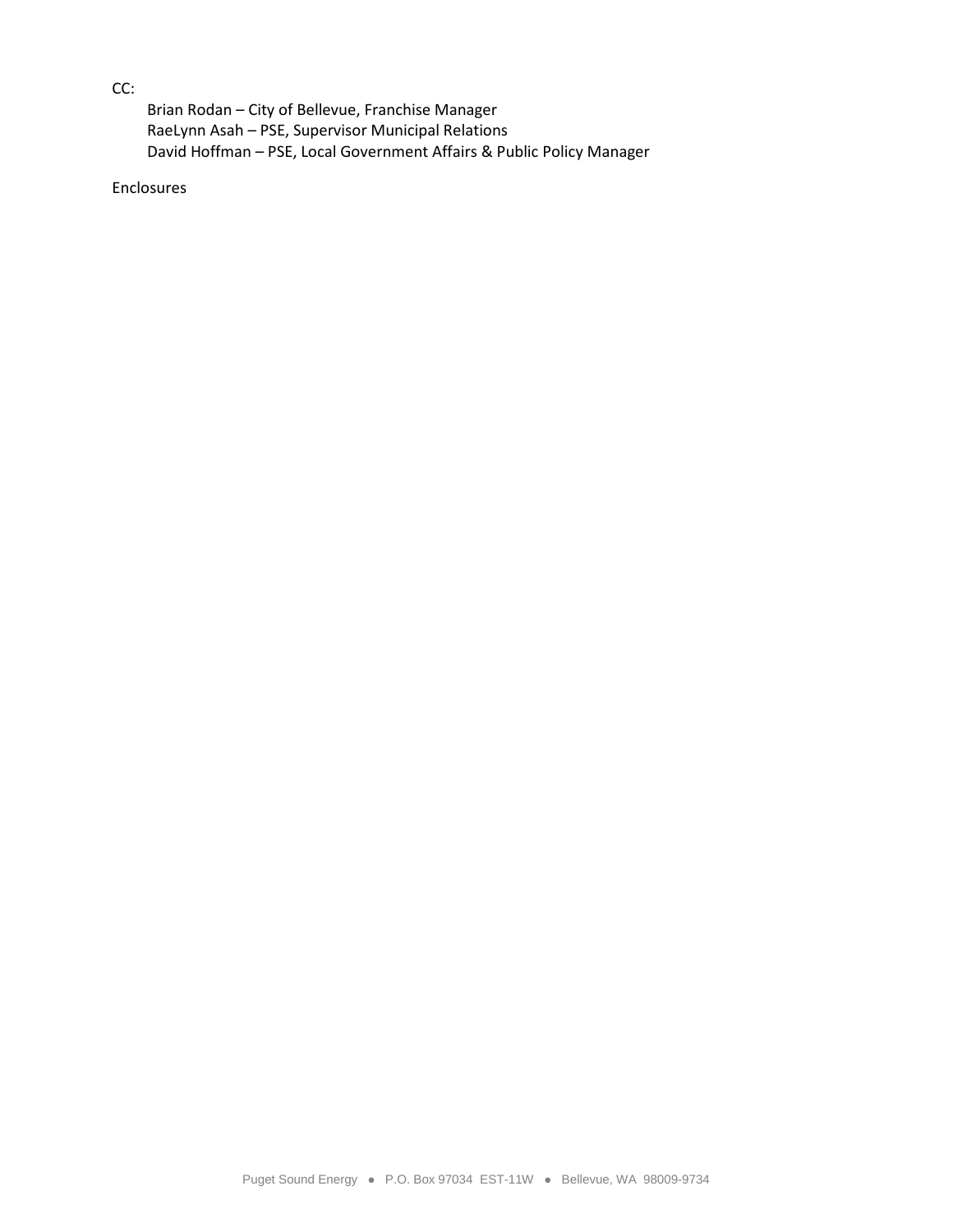# CC:

Brian Rodan – City of Bellevue, Franchise Manager RaeLynn Asah – PSE, Supervisor Municipal Relations David Hoffman – PSE, Local Government Affairs & Public Policy Manager

Enclosures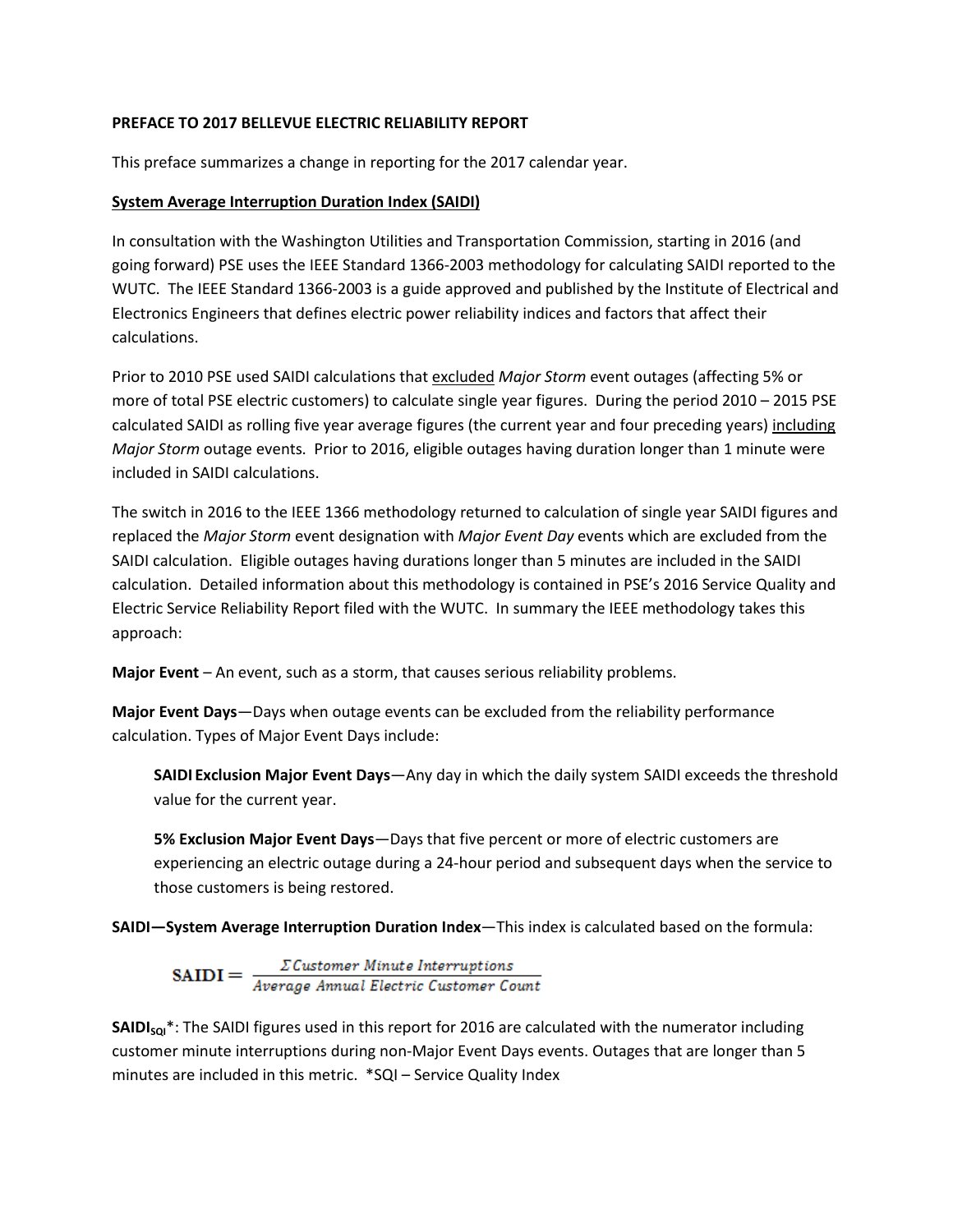# **PREFACE TO 2017 BELLEVUE ELECTRIC RELIABILITY REPORT**

This preface summarizes a change in reporting for the 2017 calendar year.

## **System Average Interruption Duration Index (SAIDI)**

In consultation with the Washington Utilities and Transportation Commission, starting in 2016 (and going forward) PSE uses the IEEE Standard 1366-2003 methodology for calculating SAIDI reported to the WUTC. The IEEE Standard 1366-2003 is a guide approved and published by the Institute of Electrical and Electronics Engineers that defines electric power reliability indices and factors that affect their calculations.

Prior to 2010 PSE used SAIDI calculations that excluded *Major Storm* event outages (affecting 5% or more of total PSE electric customers) to calculate single year figures. During the period 2010 – 2015 PSE calculated SAIDI as rolling five year average figures (the current year and four preceding years) including *Major Storm* outage events. Prior to 2016, eligible outages having duration longer than 1 minute were included in SAIDI calculations.

The switch in 2016 to the IEEE 1366 methodology returned to calculation of single year SAIDI figures and replaced the *Major Storm* event designation with *Major Event Day* events which are excluded from the SAIDI calculation. Eligible outages having durations longer than 5 minutes are included in the SAIDI calculation. Detailed information about this methodology is contained in PSE's 2016 Service Quality and Electric Service Reliability Report filed with the WUTC. In summary the IEEE methodology takes this approach:

**Major Event** – An event, such as a storm, that causes serious reliability problems.

**Major Event Days**—Days when outage events can be excluded from the reliability performance calculation. Types of Major Event Days include:

**SAIDI Exclusion Major Event Days**—Any day in which the daily system SAIDI exceeds the threshold value for the current year.

**5% Exclusion Major Event Days**—Days that five percent or more of electric customers are experiencing an electric outage during a 24-hour period and subsequent days when the service to those customers is being restored.

**SAIDI—System Average Interruption Duration Index**—This index is calculated based on the formula:

 $\textbf{SAIDI} = \frac{\sum \textit{Customer Minute Interruptions}}{\textit{Average Annual Electric Customer Count}}$ 

**SAIDI<sub>sol</sub>**\*: The SAIDI figures used in this report for 2016 are calculated with the numerator including customer minute interruptions during non-Major Event Days events. Outages that are longer than 5 minutes are included in this metric. \*SQI – Service Quality Index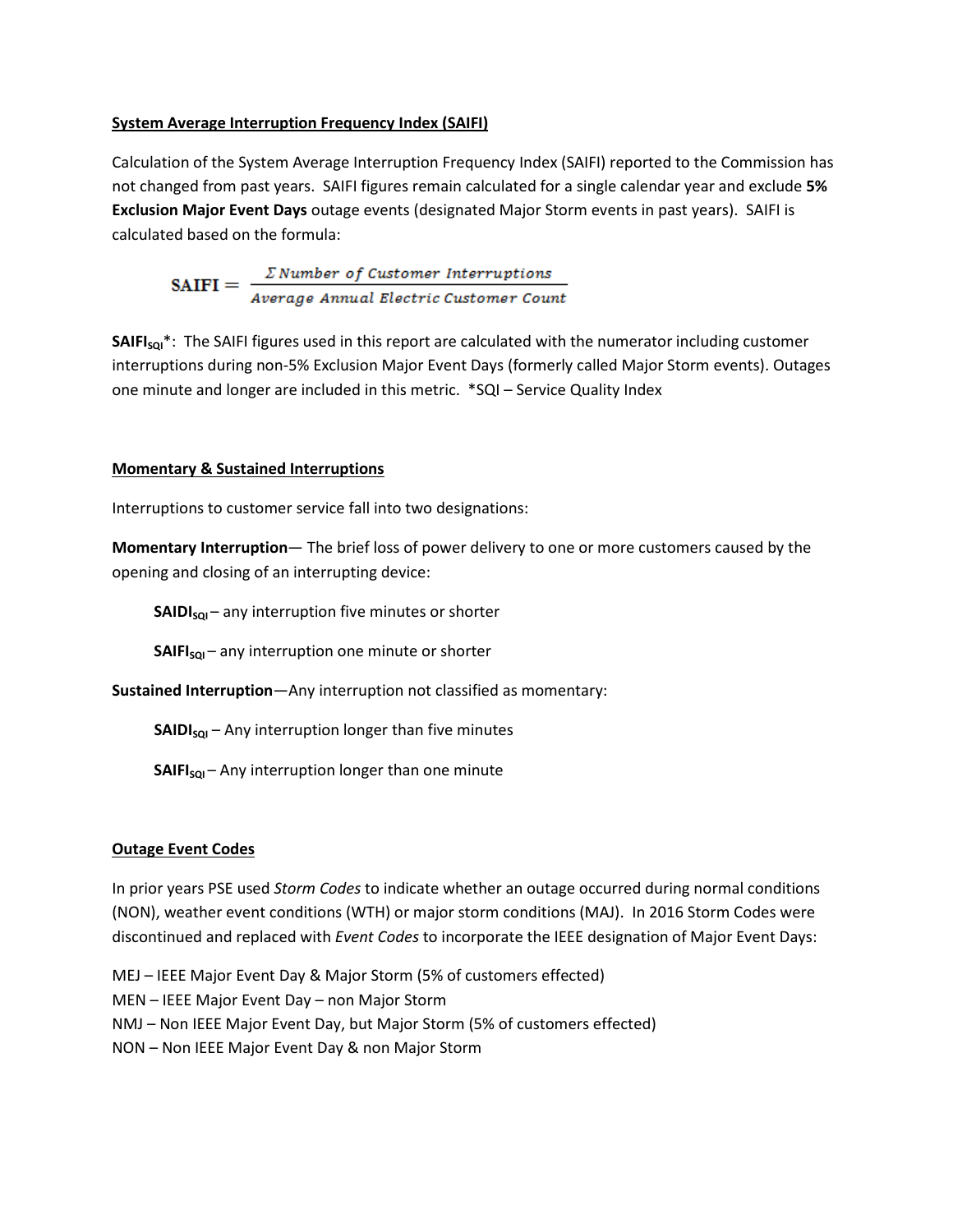## **System Average Interruption Frequency Index (SAIFI)**

Calculation of the System Average Interruption Frequency Index (SAIFI) reported to the Commission has not changed from past years. SAIFI figures remain calculated for a single calendar year and exclude **5% Exclusion Major Event Days** outage events (designated Major Storm events in past years). SAIFI is calculated based on the formula:

**SAITI** = 
$$
\frac{\Sigma \text{ Number of Customer Interruptions}}{\text{Average Annual Electric Customer Count}}
$$

**SAIFI<sub>sQI</sub>\***: The SAIFI figures used in this report are calculated with the numerator including customer interruptions during non-5% Exclusion Major Event Days (formerly called Major Storm events). Outages one minute and longer are included in this metric. \*SQI – Service Quality Index

# **Momentary & Sustained Interruptions**

Interruptions to customer service fall into two designations:

**Momentary Interruption**— The brief loss of power delivery to one or more customers caused by the opening and closing of an interrupting device:

**SAIDI<sub>sol</sub>** – any interruption five minutes or shorter

**SAIFI<sub>sQI</sub>** – any interruption one minute or shorter

**Sustained Interruption**—Any interruption not classified as momentary:

**SAIDI<sub>soI</sub>** – Any interruption longer than five minutes

**SAIFI<sub>sQI</sub>** – Any interruption longer than one minute

### **Outage Event Codes**

In prior years PSE used *Storm Codes* to indicate whether an outage occurred during normal conditions (NON), weather event conditions (WTH) or major storm conditions (MAJ). In 2016 Storm Codes were discontinued and replaced with *Event Codes* to incorporate the IEEE designation of Major Event Days:

MEJ – IEEE Major Event Day & Major Storm (5% of customers effected) MEN – IEEE Major Event Day – non Major Storm NMJ – Non IEEE Major Event Day, but Major Storm (5% of customers effected) NON – Non IEEE Major Event Day & non Major Storm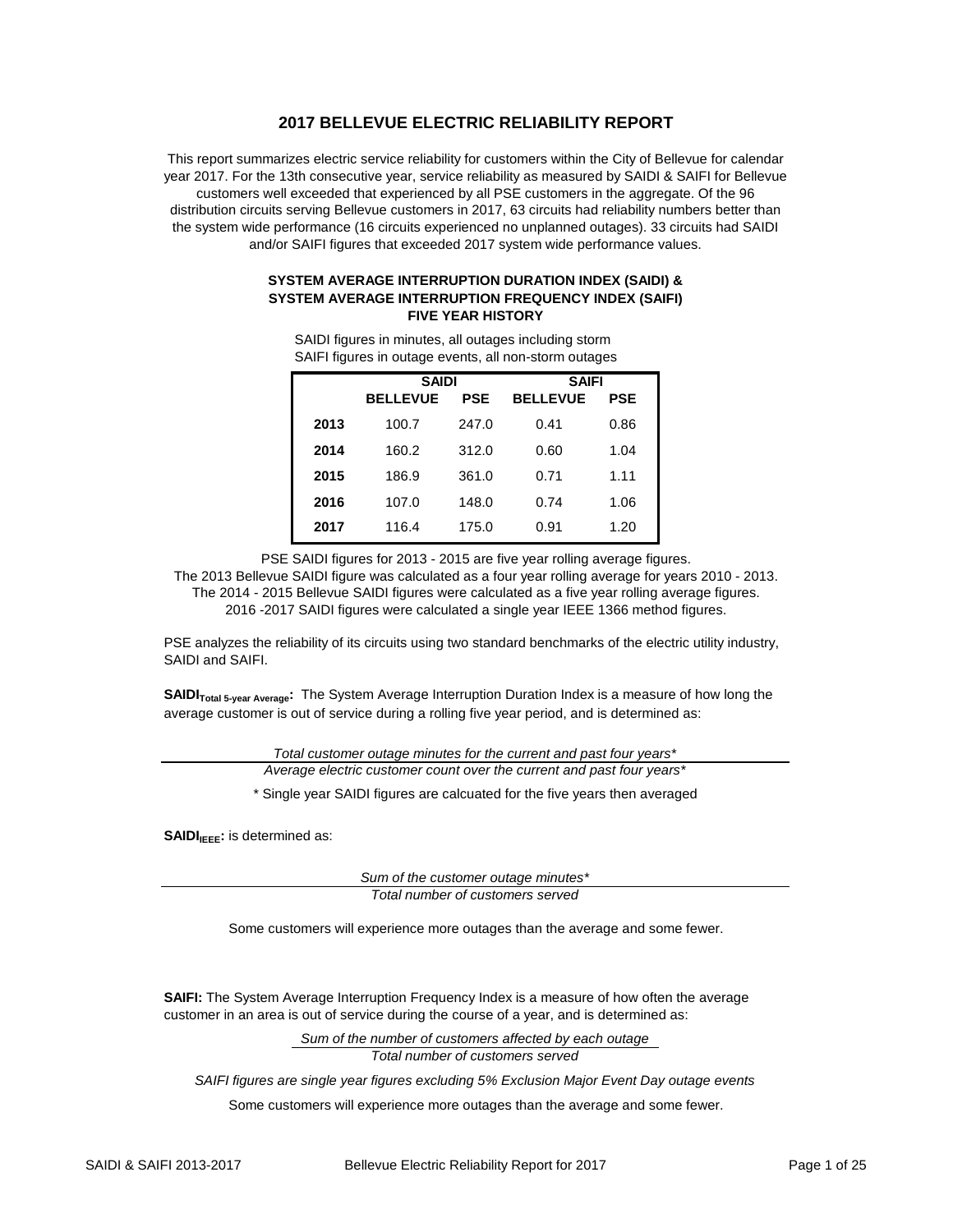### **2017 BELLEVUE ELECTRIC RELIABILITY REPORT**

This report summarizes electric service reliability for customers within the City of Bellevue for calendar year 2017. For the 13th consecutive year, service reliability as measured by SAIDI & SAIFI for Bellevue customers well exceeded that experienced by all PSE customers in the aggregate. Of the 96 distribution circuits serving Bellevue customers in 2017, 63 circuits had reliability numbers better than the system wide performance (16 circuits experienced no unplanned outages). 33 circuits had SAIDI and/or SAIFI figures that exceeded 2017 system wide performance values.

#### **SYSTEM AVERAGE INTERRUPTION DURATION INDEX (SAIDI) & SYSTEM AVERAGE INTERRUPTION FREQUENCY INDEX (SAIFI) FIVE YEAR HISTORY**

| <b>SAIDI</b>                                                            | <b>SAIFI</b> |
|-------------------------------------------------------------------------|--------------|
| SAIFI figures in outage events, all non-storm outages                   |              |
| <del>o</del> in riggit of in minimum and an outdaged increasing otoning |              |

SAIDI figures in minutes, all outages including storm

|      | SAIDI           |            | SAIFI           |            |  |  |
|------|-----------------|------------|-----------------|------------|--|--|
|      | <b>BELLEVUE</b> | <b>PSE</b> | <b>BELLEVUE</b> | <b>PSE</b> |  |  |
| 2013 | 100.7           | 247.0      | 0.41            | 0.86       |  |  |
| 2014 | 160.2           | 312.0      | 0.60            | 1.04       |  |  |
| 2015 | 186.9           | 361.0      | 0.71            | 1.11       |  |  |
| 2016 | 107.0           | 148.0      | 0.74            | 1.06       |  |  |
| 2017 | 116.4           | 175.0      | 0.91            | 1.20       |  |  |

PSE SAIDI figures for 2013 - 2015 are five year rolling average figures.

The 2013 Bellevue SAIDI figure was calculated as a four year rolling average for years 2010 - 2013. The 2014 - 2015 Bellevue SAIDI figures were calculated as a five year rolling average figures. 2016 -2017 SAIDI figures were calculated a single year IEEE 1366 method figures.

PSE analyzes the reliability of its circuits using two standard benchmarks of the electric utility industry, SAIDI and SAIFI.

**SAIDI**<sub>Total 5-year Average: The System Average Interruption Duration Index is a measure of how long the</sub> average customer is out of service during a rolling five year period, and is determined as:

> *Total customer outage minutes for the current and past four years\* Average electric customer count over the current and past four years\**

\* Single year SAIDI figures are calcuated for the five years then averaged

**SAIDI**<sub>IEEE</sub>: is determined as:

*Sum of the customer outage minutes\* Total number of customers served*

Some customers will experience more outages than the average and some fewer.

**SAIFI:** The System Average Interruption Frequency Index is a measure of how often the average customer in an area is out of service during the course of a year, and is determined as:

> *Sum of the number of customers affected by each outage Total number of customers served*

*SAIFI figures are single year figures excluding 5% Exclusion Major Event Day outage events*

Some customers will experience more outages than the average and some fewer.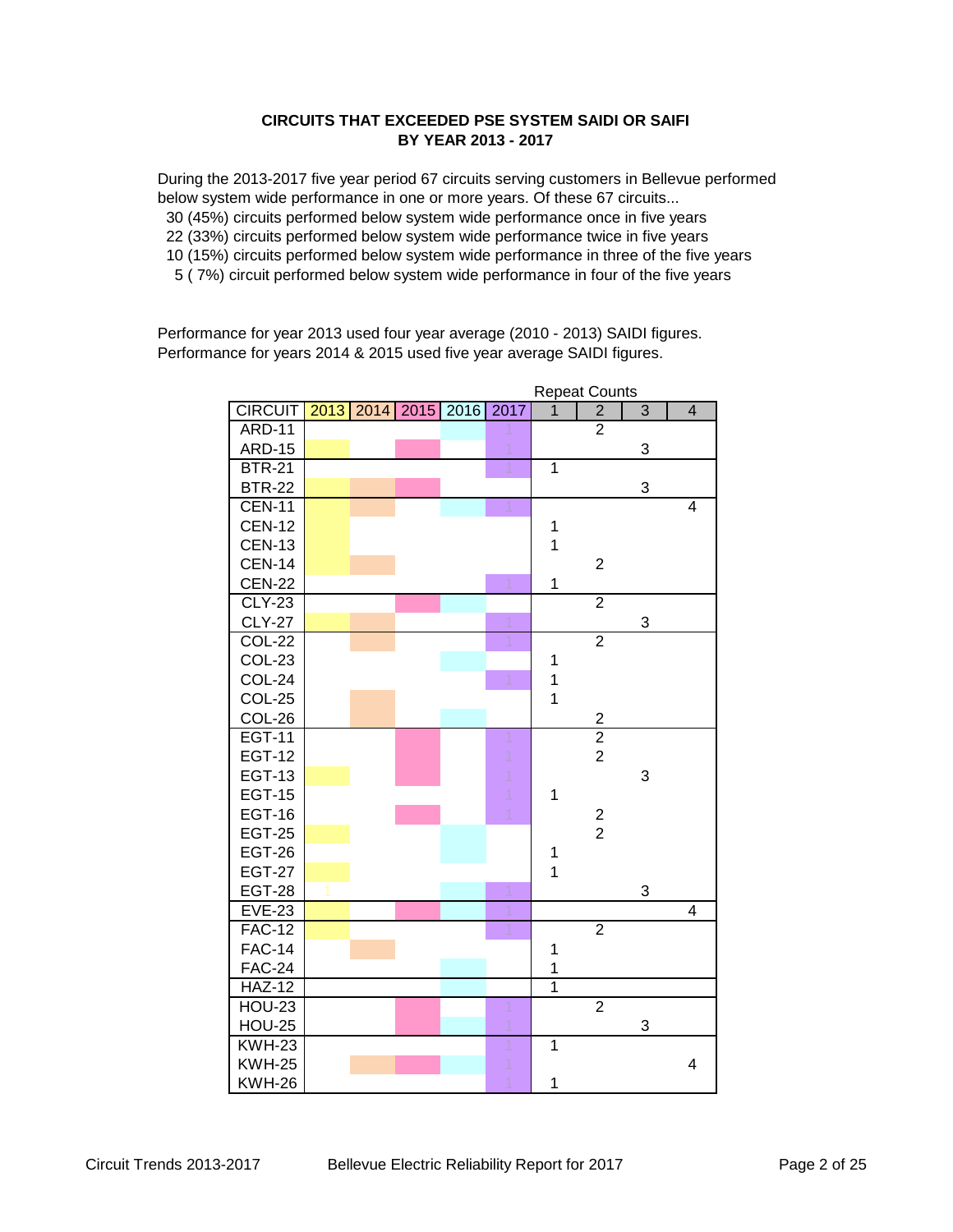### **CIRCUITS THAT EXCEEDED PSE SYSTEM SAIDI OR SAIFI BY YEAR 2013 - 2017**

During the 2013-2017 five year period 67 circuits serving customers in Bellevue performed below system wide performance in one or more years. Of these 67 circuits... 30 (45%) circuits performed below system wide performance once in five years 22 (33%) circuits performed below system wide performance twice in five years 10 (15%) circuits performed below system wide performance in three of the five years 5 ( 7%) circuit performed below system wide performance in four of the five years

Performance for year 2013 used four year average (2010 - 2013) SAIDI figures. Performance for years 2014 & 2015 used five year average SAIDI figures.

|                |  |                     |      |                | <b>Repeat Counts</b> |                |                |
|----------------|--|---------------------|------|----------------|----------------------|----------------|----------------|
| <b>CIRCUIT</b> |  | 2013 2014 2015 2016 | 2017 | $\overline{1}$ | $\overline{2}$       | $\overline{3}$ | $\overline{4}$ |
| <b>ARD-11</b>  |  |                     |      |                | $\overline{2}$       |                |                |
| <b>ARD-15</b>  |  |                     |      |                |                      | 3              |                |
| <b>BTR-21</b>  |  |                     |      | $\overline{1}$ |                      |                |                |
| <b>BTR-22</b>  |  |                     |      |                |                      | 3              |                |
| $CEN-11$       |  |                     |      |                |                      |                | 4              |
| <b>CEN-12</b>  |  |                     |      | 1              |                      |                |                |
| <b>CEN-13</b>  |  |                     |      | 1              |                      |                |                |
| <b>CEN-14</b>  |  |                     |      |                | $\overline{2}$       |                |                |
| <b>CEN-22</b>  |  |                     |      | 1              |                      |                |                |
| <b>CLY-23</b>  |  |                     |      |                | $\overline{2}$       |                |                |
| <b>CLY-27</b>  |  |                     |      |                |                      | 3              |                |
| <b>COL-22</b>  |  |                     |      |                | $\overline{2}$       |                |                |
| COL-23         |  |                     |      | $\mathbf{1}$   |                      |                |                |
| COL-24         |  |                     |      | 1              |                      |                |                |
| COL-25         |  |                     |      | $\overline{1}$ |                      |                |                |
| COL-26         |  |                     |      |                | $\overline{2}$       |                |                |
| <b>EGT-11</b>  |  |                     |      |                | $\overline{2}$       |                |                |
| <b>EGT-12</b>  |  |                     |      |                | $\overline{2}$       |                |                |
| <b>EGT-13</b>  |  |                     |      |                |                      | 3              |                |
| <b>EGT-15</b>  |  |                     |      | 1              |                      |                |                |
| <b>EGT-16</b>  |  |                     |      |                | $\mathbf 2$          |                |                |
| <b>EGT-25</b>  |  |                     |      |                | $\overline{2}$       |                |                |
| <b>EGT-26</b>  |  |                     |      | $\mathbf 1$    |                      |                |                |
| <b>EGT-27</b>  |  |                     |      | $\overline{1}$ |                      |                |                |
| <b>EGT-28</b>  |  |                     |      |                |                      | 3              |                |
| <b>EVE-23</b>  |  |                     |      |                |                      |                | $\overline{4}$ |
| <b>FAC-12</b>  |  |                     |      |                | $\overline{2}$       |                |                |
| <b>FAC-14</b>  |  |                     |      | $\mathbf{1}$   |                      |                |                |
| <b>FAC-24</b>  |  |                     |      | $\mathbf 1$    |                      |                |                |
| <b>HAZ-12</b>  |  |                     |      | $\mathbf 1$    |                      |                |                |
| <b>HOU-23</b>  |  |                     |      |                | $\overline{2}$       |                |                |
| <b>HOU-25</b>  |  |                     |      |                |                      | 3              |                |
| <b>KWH-23</b>  |  |                     |      | $\mathbf 1$    |                      |                |                |
| <b>KWH-25</b>  |  |                     |      |                |                      |                | 4              |
| <b>KWH-26</b>  |  |                     |      | $\mathbf 1$    |                      |                |                |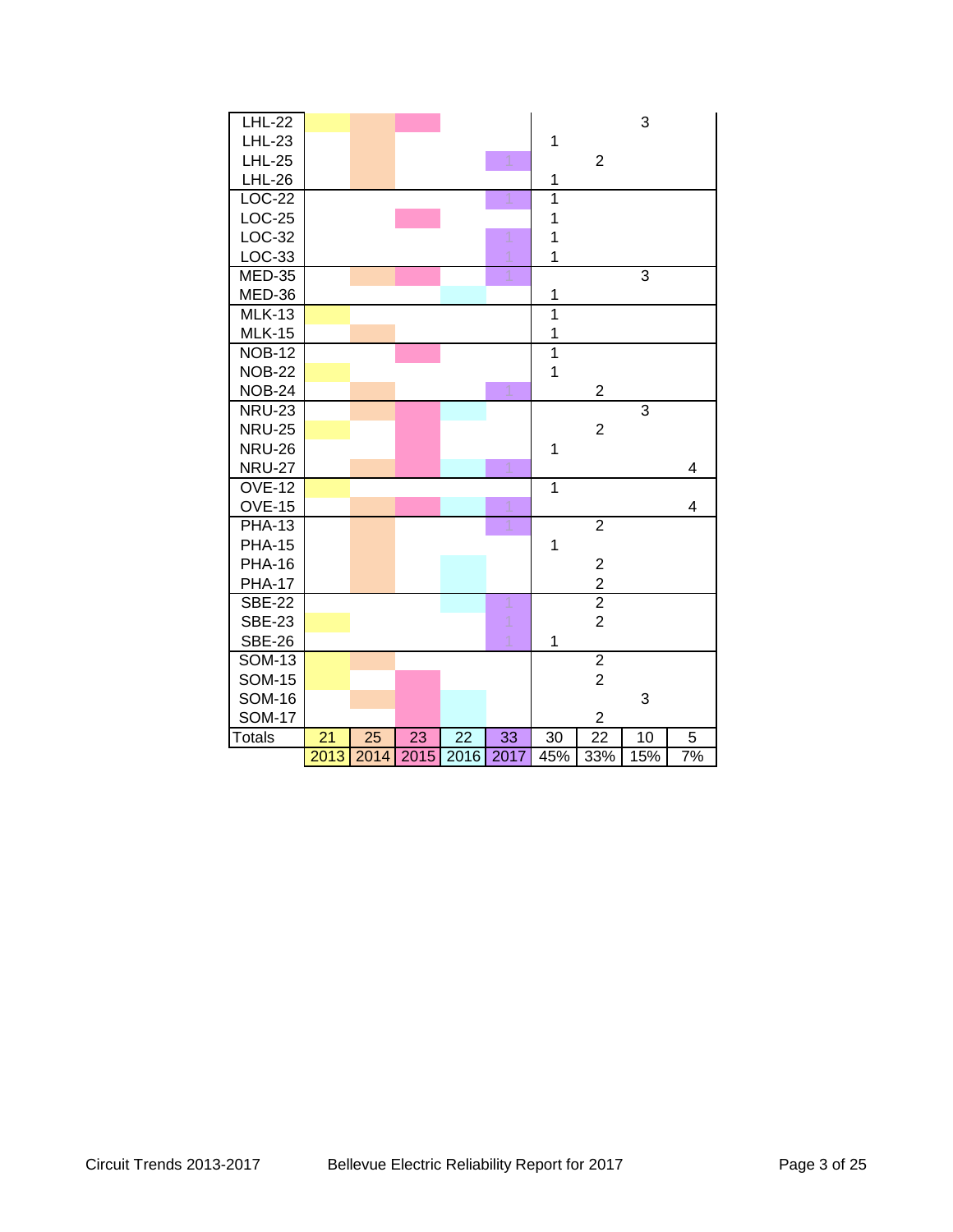| <b>LHL-22</b> |      |      |      |                 |      |                |                         | 3              |    |
|---------------|------|------|------|-----------------|------|----------------|-------------------------|----------------|----|
| <b>LHL-23</b> |      |      |      |                 |      | 1              |                         |                |    |
| <b>LHL-25</b> |      |      |      |                 |      |                | $\overline{2}$          |                |    |
| <b>LHL-26</b> |      |      |      |                 |      | 1              |                         |                |    |
| <b>LOC-22</b> |      |      |      |                 |      | $\overline{1}$ |                         |                |    |
| LOC-25        |      |      |      |                 |      | 1              |                         |                |    |
| LOC-32        |      |      |      |                 |      | $\mathbf 1$    |                         |                |    |
| LOC-33        |      |      |      |                 |      | $\overline{1}$ |                         |                |    |
| <b>MED-35</b> |      |      |      |                 |      |                |                         | $\overline{3}$ |    |
| MED-36        |      |      |      |                 |      | 1              |                         |                |    |
| <b>MLK-13</b> |      |      |      |                 |      | $\overline{1}$ |                         |                |    |
| <b>MLK-15</b> |      |      |      |                 |      | 1              |                         |                |    |
| $NOB-12$      |      |      |      |                 |      | $\overline{1}$ |                         |                |    |
| <b>NOB-22</b> |      |      |      |                 |      | $\overline{1}$ |                         |                |    |
| <b>NOB-24</b> |      |      |      |                 |      |                | $\overline{c}$          |                |    |
| <b>NRU-23</b> |      |      |      |                 |      |                |                         | $\overline{3}$ |    |
| <b>NRU-25</b> |      |      |      |                 |      |                | $\overline{2}$          |                |    |
| <b>NRU-26</b> |      |      |      |                 |      | $\mathbf 1$    |                         |                |    |
| <b>NRU-27</b> |      |      |      |                 |      |                |                         |                | 4  |
| <b>OVE-12</b> |      |      |      |                 |      | $\overline{1}$ |                         |                |    |
| <b>OVE-15</b> |      |      |      |                 |      |                |                         |                | 4  |
| <b>PHA-13</b> |      |      |      |                 | 1    |                | $\overline{2}$          |                |    |
| <b>PHA-15</b> |      |      |      |                 |      | $\mathbf 1$    |                         |                |    |
| <b>PHA-16</b> |      |      |      |                 |      |                | $\overline{\mathbf{c}}$ |                |    |
| <b>PHA-17</b> |      |      |      |                 |      |                | $\overline{c}$          |                |    |
| <b>SBE-22</b> |      |      |      |                 |      |                | $\overline{2}$          |                |    |
| <b>SBE-23</b> |      |      |      |                 |      |                | $\overline{2}$          |                |    |
| <b>SBE-26</b> |      |      |      |                 |      | $\mathbf 1$    |                         |                |    |
| <b>SOM-13</b> |      |      |      |                 |      |                | $\overline{2}$          |                |    |
| <b>SOM-15</b> |      |      |      |                 |      |                | $\overline{2}$          |                |    |
| <b>SOM-16</b> |      |      |      |                 |      |                |                         | 3              |    |
| <b>SOM-17</b> |      |      |      |                 |      |                | $\overline{\mathbf{c}}$ |                |    |
| <b>Totals</b> | 21   | 25   | 23   | $\overline{22}$ | 33   | 30             | $\overline{22}$         | 10             | 5  |
|               | 2013 | 2014 | 2015 | 2016            | 2017 | 45%            | 33%                     | 15%            | 7% |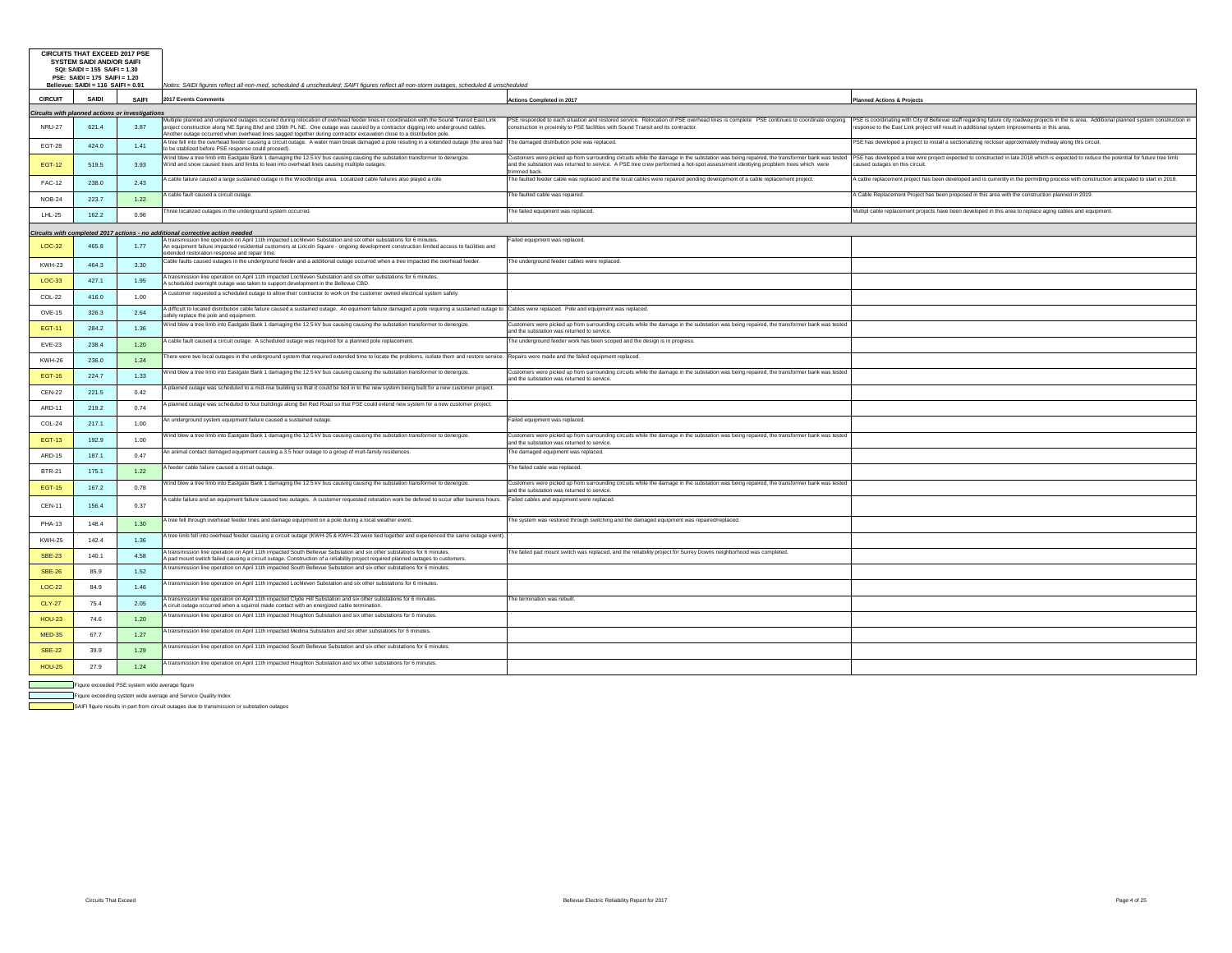|                 | <b>CIRCUITS THAT EXCEED 2017 PSE</b><br><b>SYSTEM SAIDI AND/OR SAIFI</b><br>SQI: SAIDI = 155 SAIFI = 1.30<br>PSE: SAIDI = 175 SAIFI = 1.20<br>Bellevue: SAIDI = 116 SAIFI = 0.91 |       | Notes: SAIDI figures reflect all non-med, scheduled & unscheduled; SAIFI figures reflect all non-storm outages, scheduled & unscheduled                                                                                                                                                                                                                                                                  |                                                                                                                                                                                                                                                                                                                                                                                   |                                                                                                                                                                                                                                                                                                                              |
|-----------------|----------------------------------------------------------------------------------------------------------------------------------------------------------------------------------|-------|----------------------------------------------------------------------------------------------------------------------------------------------------------------------------------------------------------------------------------------------------------------------------------------------------------------------------------------------------------------------------------------------------------|-----------------------------------------------------------------------------------------------------------------------------------------------------------------------------------------------------------------------------------------------------------------------------------------------------------------------------------------------------------------------------------|------------------------------------------------------------------------------------------------------------------------------------------------------------------------------------------------------------------------------------------------------------------------------------------------------------------------------|
| <b>CIRCUIT</b>  | SAIDI                                                                                                                                                                            | SAIFI | 2017 Events Comments                                                                                                                                                                                                                                                                                                                                                                                     | <b>Actions Completed in 2017</b>                                                                                                                                                                                                                                                                                                                                                  | <b>Planned Actions &amp; Projects</b>                                                                                                                                                                                                                                                                                        |
|                 | <b>Circuits with planned actions or investigation</b>                                                                                                                            |       |                                                                                                                                                                                                                                                                                                                                                                                                          |                                                                                                                                                                                                                                                                                                                                                                                   |                                                                                                                                                                                                                                                                                                                              |
| <b>NRU-27</b>   | 621.4                                                                                                                                                                            | 3.87  | Multiple planned and unplaned outages occured during relocation of overhead feeder lines in coordination with the Sound Transit East Link<br>project construction along NE Spring Blvd and 136th PL NE. One outage was caused by a contractor digging into underground cables.<br>Another outage occurred when overhead lines sagged together during contractor excavation close to a distribution pole. | construction in proximity to PSE facilities with Sound Transit and its contractor.                                                                                                                                                                                                                                                                                                | PSE responded to each situation and restored service. Relocation of PSE overhead lines is complete PSE continues to coordinate ongoing PSE is coordinating with City of Bellevue staff regarding future city roadway projects<br>esponse to the East Link project will result in additional system improvements in this area |
| <b>EGT-28</b>   | 424.0                                                                                                                                                                            | 1.41  | \ tree fell into the overhead feeder causing a circuit outage. A water main break damaged a pole resuting in a extended outage (the area had prove damaged distribution pole was replaced.<br>o be stablized before PSE response could proceed).                                                                                                                                                         |                                                                                                                                                                                                                                                                                                                                                                                   | PSE has developed a project to install a sectionalizing recloser approximately midway along this circuit.                                                                                                                                                                                                                    |
| <b>EGT-12</b>   | 519.5                                                                                                                                                                            | 3.93  | Vind blew a tree limb into Eastgate Bank 1 damaging the 12.5 kV bus causing causing the substation transformer to denergize.<br>Wind and snow caused trees and limbs to lean into overhead lines causing multiple outages.                                                                                                                                                                               | ustomers were picked up from surrounding circuits while the damage in the substation was being repaired, the transformer bank was tested PSE has developed a tree wire project expected to constructed in late 2018 which is e<br>and the substation was returned to service. A PSE tree crew performed a hot-spot assessment identiying propblem trees which were<br>immed back. | caused outages on this circuit.                                                                                                                                                                                                                                                                                              |
| <b>FAC-12</b>   | 238.0                                                                                                                                                                            | 2.43  | vable failure caused a large sustained outage in the Woodbridge area. Localized cable failures also played a role.                                                                                                                                                                                                                                                                                       | he faulted feeder cable was replaced and the local cables were repaired pending development of a cable replacement project.                                                                                                                                                                                                                                                       | A cable replacement project has been developed and is currently in the permitting process with construction anticpated to start in 2018.                                                                                                                                                                                     |
| <b>NOB-24</b>   | 223.7                                                                                                                                                                            | 1.22  | A cable fault caused a circuit outage.                                                                                                                                                                                                                                                                                                                                                                   | he faulted cable was repaired.                                                                                                                                                                                                                                                                                                                                                    | A Cable Replacement Project has been proposed in this area with the construction planned in 2019.                                                                                                                                                                                                                            |
| LHL-25          | 162.2                                                                                                                                                                            | 0.96  | hree localized outages in the underground system occurred.                                                                                                                                                                                                                                                                                                                                               | he failed equipment was replaced.                                                                                                                                                                                                                                                                                                                                                 | Multipl cable replacement projects have been developed in this area to replace aging cables and equipment.                                                                                                                                                                                                                   |
| Circuits with c |                                                                                                                                                                                  |       | mpleted 2017 actions - no additional corrective action needed                                                                                                                                                                                                                                                                                                                                            |                                                                                                                                                                                                                                                                                                                                                                                   |                                                                                                                                                                                                                                                                                                                              |
| LOC-32          | 465.8                                                                                                                                                                            | 1.77  | A transmission line operation on April 11th impacted Lochleven Substation and six other substations for 6 minutes<br>An equipment failure impacted residential customers at Lincoln Square - ongoing development construction limited access to facilities and<br>extended restoration response and repair time.                                                                                         | Failed equipment was replaced                                                                                                                                                                                                                                                                                                                                                     |                                                                                                                                                                                                                                                                                                                              |
| KWH-23          | 464.3                                                                                                                                                                            | 3.30  | Cable faults caused outages in the underground feeder and a additional outage occurred when a tree impacted the overhead feeder.                                                                                                                                                                                                                                                                         | he underground feeder cables were replaced.                                                                                                                                                                                                                                                                                                                                       |                                                                                                                                                                                                                                                                                                                              |
| LOC-33          | 427.1                                                                                                                                                                            | 1.95  | \ transmission line operation on April 11th impacted Lochleven Substation and six other substations for 6 minutes.<br>A scheduled overnight outage was taken to support development in the Bellevue CBD.                                                                                                                                                                                                 |                                                                                                                                                                                                                                                                                                                                                                                   |                                                                                                                                                                                                                                                                                                                              |
| COL-22          | 416.0                                                                                                                                                                            | 1.00  | vcustomer requested a scheduled outage to allow their contractor to work on the customer owned electrical system safely.                                                                                                                                                                                                                                                                                 |                                                                                                                                                                                                                                                                                                                                                                                   |                                                                                                                                                                                                                                                                                                                              |
| OVE-15          | 326.3                                                                                                                                                                            | 2.64  | A difficult to located distribution cable failure caused a sustained outage. An equiment failure damaged a pole requiring a sustained outage to Cables were replaced. Pole and equipment was replaced.<br>safely replace the pole and equipment.                                                                                                                                                         |                                                                                                                                                                                                                                                                                                                                                                                   |                                                                                                                                                                                                                                                                                                                              |
| <b>EGT-11</b>   | 284.2                                                                                                                                                                            | 1.36  | Vind blew a tree limb into Eastgate Bank 1 damaging the 12.5 kV bus causing causing the substation transformer to denergize.                                                                                                                                                                                                                                                                             | Customers were picked up from surrounding circuits while the damage in the substation was being repaired, the transformer bank was tested<br>and the substation was returned to service                                                                                                                                                                                           |                                                                                                                                                                                                                                                                                                                              |
| EVE-23          | 238.4                                                                                                                                                                            | 1.20  | A cable fault caused a circuit outage. A scheduled outage was required for a planned pole replacement.                                                                                                                                                                                                                                                                                                   | he underground feeder work has been scoped and the design is in progress.                                                                                                                                                                                                                                                                                                         |                                                                                                                                                                                                                                                                                                                              |
| <b>KWH-26</b>   | 236.0                                                                                                                                                                            | 1.24  | here were two local outages in the underground system that required extended time to locate the problems, isolate them and restore service. Repairs were made and the failed equipment replaced.                                                                                                                                                                                                         |                                                                                                                                                                                                                                                                                                                                                                                   |                                                                                                                                                                                                                                                                                                                              |
| <b>EGT-16</b>   | 224.7                                                                                                                                                                            | 1.33  | Vind blew a tree limb into Eastgate Bank 1 damaging the 12.5 kV bus causing causing the substation transformer to denergize.                                                                                                                                                                                                                                                                             | Customers were picked up from surrounding circuits while the damage in the substation was being repaired, the transformer bank was tested<br>and the substation was returned to service.                                                                                                                                                                                          |                                                                                                                                                                                                                                                                                                                              |
| <b>CEN-22</b>   | 221.5                                                                                                                                                                            | 0.42  | \ planned outage was scheduled to a mid-rise building so that it could be tied in to the new system being built for a new customer project.                                                                                                                                                                                                                                                              |                                                                                                                                                                                                                                                                                                                                                                                   |                                                                                                                                                                                                                                                                                                                              |
| ARD-11          | 219.2                                                                                                                                                                            | 0.74  | \ planned outage was scheduled to four buildings along Bel Red Road so that PSE could extend new system for a new customer project.                                                                                                                                                                                                                                                                      |                                                                                                                                                                                                                                                                                                                                                                                   |                                                                                                                                                                                                                                                                                                                              |
| COL-24          | 217.1                                                                                                                                                                            | 1.00  | in underground system equipment failure caused a sustained outage.                                                                                                                                                                                                                                                                                                                                       | ailed equipment was replaced.                                                                                                                                                                                                                                                                                                                                                     |                                                                                                                                                                                                                                                                                                                              |
| <b>EGT-13</b>   | 192.9                                                                                                                                                                            | 1.00  | Vind blew a tree limb into Eastgate Bank 1 damaging the 12.5 kV bus causing causing the substation transformer to denergize.                                                                                                                                                                                                                                                                             | Customers were picked up from surrounding circuits while the damage in the substation was being repaired, the transformer bank was tested<br>and the substation was returned to service.                                                                                                                                                                                          |                                                                                                                                                                                                                                                                                                                              |
| ARD-15          | 187.1                                                                                                                                                                            | 0.47  | An animal contact damaged equipment causing a 3.5 hour outage to a group of mult-family residences.                                                                                                                                                                                                                                                                                                      | he damaged equipment was replaced.                                                                                                                                                                                                                                                                                                                                                |                                                                                                                                                                                                                                                                                                                              |
| <b>BTR-21</b>   | 175.1                                                                                                                                                                            | 1.22  | \ feeder cable failure caused a circuit outage.                                                                                                                                                                                                                                                                                                                                                          | The failed cable was replaced.                                                                                                                                                                                                                                                                                                                                                    |                                                                                                                                                                                                                                                                                                                              |
| <b>EGT-15</b>   | 167.2                                                                                                                                                                            | 0.78  | Vind blew a tree limb into Eastgate Bank 1 damaging the 12.5 kV bus causing causing the substation transformer to denergize.                                                                                                                                                                                                                                                                             | Customers were picked up from surrounding circuits while the damage in the substation was being repaired, the transformer bank was tested<br>and the substation was returned to service                                                                                                                                                                                           |                                                                                                                                                                                                                                                                                                                              |
| <b>CEN-11</b>   | 156.4                                                                                                                                                                            | 0.37  | A cable failure and an equipment failure caused two outages. A customer requested retoration work be defered to occur after buiness hours. Failed cables and equipment were replaced.                                                                                                                                                                                                                    |                                                                                                                                                                                                                                                                                                                                                                                   |                                                                                                                                                                                                                                                                                                                              |
| <b>PHA-13</b>   | 148.4                                                                                                                                                                            | 1.30  | I tree fell through overhead feeder lines and damage equipment on a pole during a local weather event.                                                                                                                                                                                                                                                                                                   | he system was restored through switching and the damaged equipment was repaired/replaced.                                                                                                                                                                                                                                                                                         |                                                                                                                                                                                                                                                                                                                              |
| <b>KWH-25</b>   | 142.4                                                                                                                                                                            | 1.36  | k tree limb fell into overhead feeder causing a circuit outage (KWH-25 & KWH-23 were tied together and experienced the same outage even                                                                                                                                                                                                                                                                  |                                                                                                                                                                                                                                                                                                                                                                                   |                                                                                                                                                                                                                                                                                                                              |
| <b>SBE-23</b>   | 140.1                                                                                                                                                                            | 4.58  | transmission line operation on April 11th impacted South Bellevue Substation and six other substations for 6 minutes.<br>A pad mount switch failed causing a circuit outage. Construction of a reliability project required planned outages to customers.                                                                                                                                                | The failed pad mount switch was replaced, and the reliability project for Surrey Downs neighborhood was completed.                                                                                                                                                                                                                                                                |                                                                                                                                                                                                                                                                                                                              |
| <b>SBE-26</b>   | 85.9                                                                                                                                                                             | 1.52  | transmission line operation on April 11th impacted South Bellevue Substation and six other substations for 6 minutes.                                                                                                                                                                                                                                                                                    |                                                                                                                                                                                                                                                                                                                                                                                   |                                                                                                                                                                                                                                                                                                                              |
| LOC-22          | 84.9                                                                                                                                                                             | 1.46  | A transmission line operation on April 11th impacted Lochleven Substation and six other substations for 6 minutes.                                                                                                                                                                                                                                                                                       |                                                                                                                                                                                                                                                                                                                                                                                   |                                                                                                                                                                                                                                                                                                                              |
| <b>CLY-27</b>   | 75.4                                                                                                                                                                             | 2.05  | It ansmission line operation on April 11th impacted Clyde Hill Substation and six other substations for 6 minutes.<br>\ ciruit outage occurred when a squirrel made contact with an energized cable termination.                                                                                                                                                                                         | The termination was rebuilt.                                                                                                                                                                                                                                                                                                                                                      |                                                                                                                                                                                                                                                                                                                              |
| <b>HOU-23</b>   | 74.6                                                                                                                                                                             | 1.20  | A transmission line operation on April 11th impacted Houghton Substation and six other substations for 6 minutes.                                                                                                                                                                                                                                                                                        |                                                                                                                                                                                                                                                                                                                                                                                   |                                                                                                                                                                                                                                                                                                                              |
| <b>MED-35</b>   | 67.7                                                                                                                                                                             | 1.27  | transmission line operation on April 11th impacted Medina Substation and six other substations for 6 minutes.                                                                                                                                                                                                                                                                                            |                                                                                                                                                                                                                                                                                                                                                                                   |                                                                                                                                                                                                                                                                                                                              |
| <b>SBE-22</b>   | 39.9                                                                                                                                                                             | 1.29  | transmission line operation on April 11th impacted South Bellevue Substation and six other substations for 6 minutes.                                                                                                                                                                                                                                                                                    |                                                                                                                                                                                                                                                                                                                                                                                   |                                                                                                                                                                                                                                                                                                                              |
| <b>HOU-25</b>   | 27.9                                                                                                                                                                             | 1.24  | It ansmission line operation on April 11th impacted Houghton Substation and six other substations for 6 minutes.                                                                                                                                                                                                                                                                                         |                                                                                                                                                                                                                                                                                                                                                                                   |                                                                                                                                                                                                                                                                                                                              |
|                 |                                                                                                                                                                                  |       |                                                                                                                                                                                                                                                                                                                                                                                                          |                                                                                                                                                                                                                                                                                                                                                                                   |                                                                                                                                                                                                                                                                                                                              |

Figure exceeded PSE system wide average figure

 $\overline{\phantom{a}}$  $\mathbb{R}^n$ 

Figure exceeding system wide average and Service Quality Index

SAIFI figure results in part from circuit outages due to transmission or substation outages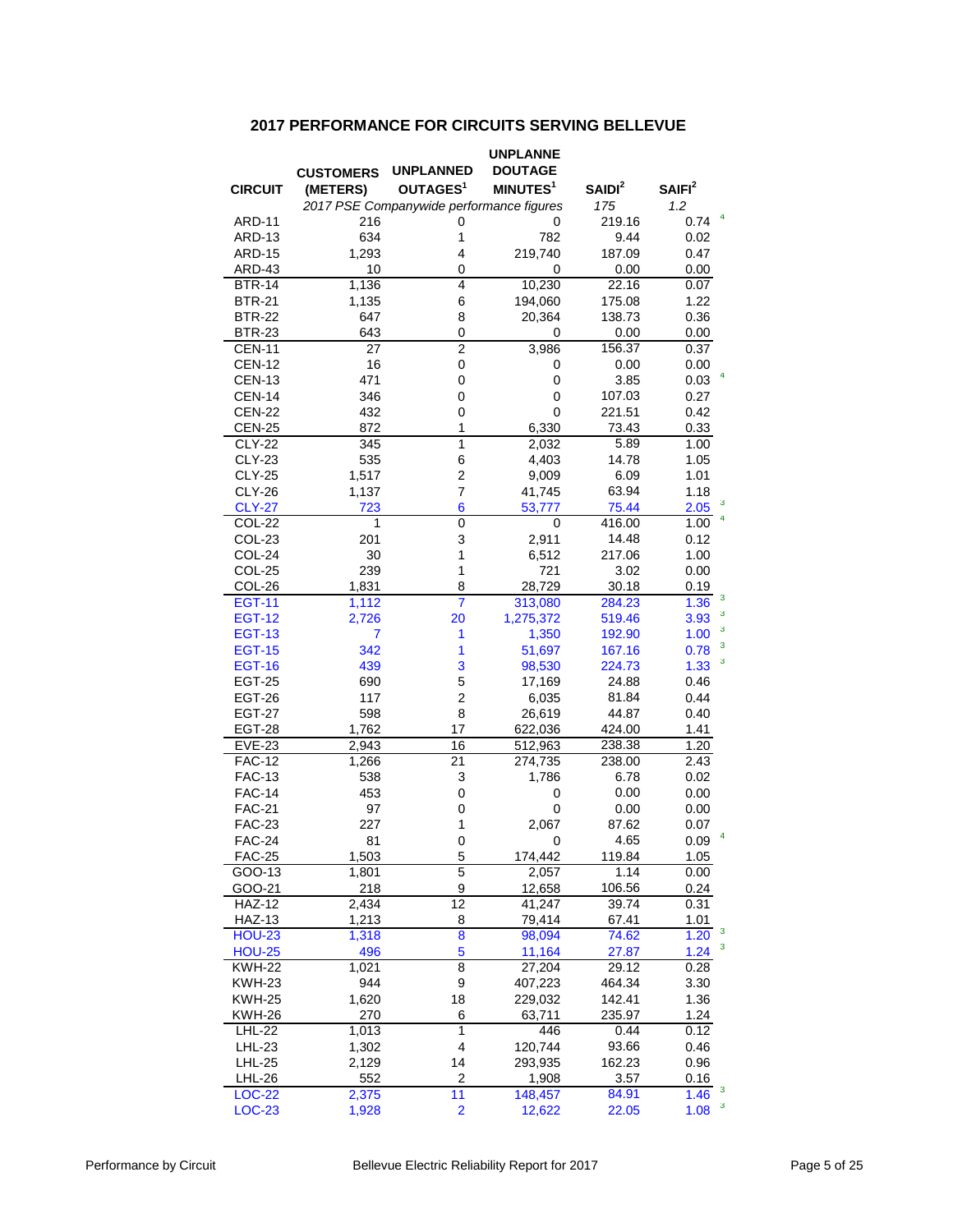### **2017 PERFORMANCE FOR CIRCUITS SERVING BELLEVUE**

|                         |                  |                                          | <b>UNPLANNE</b>      |                |                                 |
|-------------------------|------------------|------------------------------------------|----------------------|----------------|---------------------------------|
|                         | <b>CUSTOMERS</b> | <b>UNPLANNED</b>                         | <b>DOUTAGE</b>       |                |                                 |
| <b>CIRCUIT</b>          | (METERS)         | OUTAGES <sup>1</sup>                     | MINUTES <sup>1</sup> | $S$ AIDI $2$   | SAIFI <sup>2</sup>              |
|                         |                  | 2017 PSE Companywide performance figures |                      | 175            | 1.2                             |
| <b>ARD-11</b>           | 216              | 0                                        | 0                    | 219.16         | 0.74                            |
| ARD-13                  | 634              | 1                                        | 782                  | 9.44           | 0.02                            |
| <b>ARD-15</b>           | 1,293            | 4                                        | 219,740              | 187.09         | 0.47                            |
| ARD-43                  | 10               | 0                                        | 0                    | 0.00           | 0.00                            |
| <b>BTR-14</b>           | 1,136            | 4                                        | 10,230               | 22.16          | 0.07                            |
| <b>BTR-21</b>           | 1,135            | 6                                        | 194,060              | 175.08         | 1.22                            |
| <b>BTR-22</b>           | 647              | 8                                        | 20,364               | 138.73         | 0.36                            |
| <b>BTR-23</b>           | 643              | 0                                        | 0                    | 0.00           | 0.00                            |
| <b>CEN-11</b>           | 27               | $\overline{c}$                           | 3,986                | 156.37         | 0.37                            |
| <b>CEN-12</b>           | 16               | 0                                        | 0                    | 0.00           | 0.00                            |
| <b>CEN-13</b>           | 471              | 0                                        | 0                    | 3.85           | 0.03                            |
| <b>CEN-14</b>           | 346              | 0                                        | 0                    | 107.03         | 0.27                            |
| <b>CEN-22</b>           | 432              | 0                                        | 0                    | 221.51         | 0.42                            |
| <b>CEN-25</b>           | 872              | 1                                        | 6,330                | 73.43          | 0.33                            |
| <b>CLY-22</b>           | 345              | 1                                        | 2,032                | 5.89           | 1.00                            |
| <b>CLY-23</b>           | 535              | 6                                        | 4,403                | 14.78          | 1.05                            |
| <b>CLY-25</b>           | 1,517            | $\overline{c}$                           | 9,009                | 6.09           | 1.01                            |
| <b>CLY-26</b>           | 1,137            | 7                                        | 41,745               | 63.94          | 1.18                            |
| <b>CLY-27</b>           | 723              | 6                                        | 53,777               | 75.44          | 3<br>2.05                       |
| COL-22                  | 1                | 0                                        | 0                    | 416.00         | 1.00                            |
| COL-23                  | 201              | 3                                        | 2,911                | 14.48          | 0.12                            |
| COL-24                  | 30               | 1                                        | 6,512                | 217.06         | 1.00                            |
| <b>COL-25</b>           | 239              | 1                                        | 721                  | 3.02           | 0.00                            |
| COL-26                  | 1,831            | 8                                        | 28,729               | 30.18          | 0.19                            |
| <b>EGT-11</b>           | 1,112            | $\overline{7}$                           | 313,080              | 284.23         | 3<br>1.36                       |
| <b>EGT-12</b>           | 2,726            | 20                                       | 1,275,372            | 519.46         | 3<br>3.93                       |
| <b>EGT-13</b>           | 7                | 1                                        | 1,350                | 192.90         | 3<br>1.00<br>3                  |
| <b>EGT-15</b>           | 342              | 1                                        | 51,697               | 167.16         | 0.78<br>3                       |
| <b>EGT-16</b>           | 439              | 3                                        | 98,530               | 224.73         | 1.33                            |
| <b>EGT-25</b>           | 690              | 5                                        | 17,169               | 24.88          | 0.46                            |
| <b>EGT-26</b>           | 117              | 2                                        | 6,035                | 81.84          | 0.44                            |
| <b>EGT-27</b>           | 598              | 8                                        | 26,619               | 44.87          | 0.40                            |
| <b>EGT-28</b>           | 1,762            | 17                                       | 622,036              | 424.00         | 1.41                            |
| EVE-23                  | 2,943            | 16                                       | 512,963              | 238.38         | 1.20                            |
| <b>FAC-12</b>           | 1,266            | $\overline{21}$                          | 274,735              | 238.00         | $\overline{2}.43$               |
| <b>FAC-13</b>           | 538              | 3                                        | 1,786                | 6.78           | 0.02                            |
| <b>FAC-14</b>           | 453              | 0                                        | 0                    | 0.00           | 0.00                            |
| <b>FAC-21</b>           | 97               | 0                                        | 0                    | 0.00           | 0.00                            |
| <b>FAC-23</b>           | 227              | 1                                        | 2,067                | 87.62          | 0.07                            |
| FAC-24                  | 81               | 0                                        | 0                    | 4.65           | 0.09                            |
| <b>FAC-25</b><br>GOO-13 | 1,503            | 5<br>5                                   | 174,442<br>2,057     | 119.84<br>1.14 | 1.05<br>0.00                    |
| GOO-21                  | 1,801<br>218     | 9                                        | 12,658               | 106.56         | 0.24                            |
| <b>HAZ-12</b>           | 2,434            | 12                                       | 41,247               | 39.74          | 0.31                            |
| <b>HAZ-13</b>           | 1,213            | 8                                        | 79,414               | 67.41          | 1.01                            |
| <b>HOU-23</b>           | 1,318            | 8                                        | 98,094               | 74.62          | $\overline{\mathbf{3}}$<br>1.20 |
| <b>HOU-25</b>           | 496              | 5                                        | 11,164               | 27.87          | 3<br>1.24                       |
| <b>KWH-22</b>           | 1,021            | 8                                        | 27,204               | 29.12          | 0.28                            |
| <b>KWH-23</b>           | 944              | 9                                        | 407,223              | 464.34         | 3.30                            |
| <b>KWH-25</b>           | 1,620            | 18                                       | 229,032              | 142.41         | 1.36                            |
| KWH-26                  | 270              | 6                                        | 63,711               | 235.97         | 1.24                            |
| LHL-22                  | 1,013            | 1                                        | 446                  | 0.44           | 0.12                            |
| LHL-23                  | 1,302            | 4                                        | 120,744              | 93.66          | 0.46                            |
| <b>LHL-25</b>           | 2,129            | 14                                       | 293,935              | 162.23         | 0.96                            |
| <b>LHL-26</b>           | 552              | 2                                        | 1,908                | 3.57           | 0.16                            |
| <b>LOC-22</b>           | 2,375            | 11                                       | 148,457              | 84.91          | $\mathbf{3}$<br>1.46            |
| LOC-23                  | 1,928            | 2                                        | 12,622               | 22.05          | 3<br>1.08                       |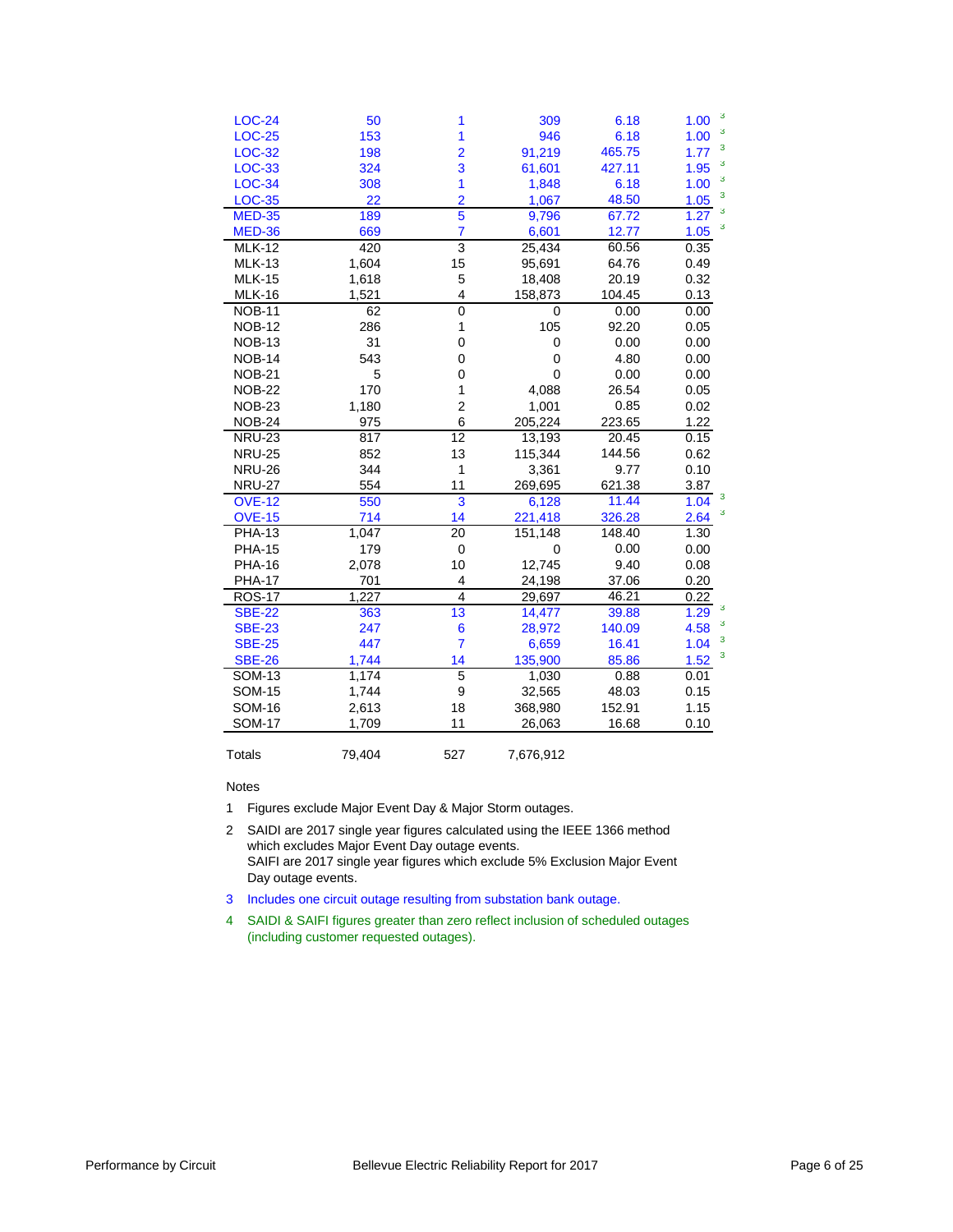| <b>LOC-24</b> | 50     | 1               | 309         | 6.18   | 3<br>1.00 |
|---------------|--------|-----------------|-------------|--------|-----------|
| <b>LOC-25</b> | 153    | 1               | 946         | 6.18   | 3<br>1.00 |
| <b>LOC-32</b> | 198    | $\overline{2}$  | 91,219      | 465.75 | 3<br>1.77 |
| <b>LOC-33</b> | 324    | 3               | 61,601      | 427.11 | 3<br>1.95 |
| <b>LOC-34</b> | 308    | 1               | 1,848       | 6.18   | 3<br>1.00 |
| <b>LOC-35</b> | 22     | $\overline{2}$  | 1,067       | 48.50  | 3<br>1.05 |
| <b>MED-35</b> | 189    | 5               | 9,796       | 67.72  | 3<br>1.27 |
| <b>MED-36</b> | 669    | $\overline{7}$  | 6,601       | 12.77  | 3<br>1.05 |
| <b>MLK-12</b> | 420    | 3               | 25,434      | 60.56  | 0.35      |
| <b>MLK-13</b> | 1,604  | 15              | 95,691      | 64.76  | 0.49      |
| <b>MLK-15</b> | 1,618  | 5               | 18,408      | 20.19  | 0.32      |
| <b>MLK-16</b> | 1,521  | 4               | 158,873     | 104.45 | 0.13      |
| <b>NOB-11</b> | 62     | 0               | 0           | 0.00   | 0.00      |
| <b>NOB-12</b> | 286    | $\mathbf{1}$    | 105         | 92.20  | 0.05      |
| <b>NOB-13</b> | 31     | 0               | 0           | 0.00   | 0.00      |
| <b>NOB-14</b> | 543    | 0               | $\mathbf 0$ | 4.80   | 0.00      |
| <b>NOB-21</b> | 5      | 0               | $\mathbf 0$ | 0.00   | 0.00      |
| <b>NOB-22</b> | 170    | 1               | 4,088       | 26.54  | 0.05      |
| <b>NOB-23</b> | 1,180  | 2               | 1,001       | 0.85   | 0.02      |
| <b>NOB-24</b> | 975    | 6               | 205,224     | 223.65 | 1.22      |
| <b>NRU-23</b> | 817    | 12              | 13,193      | 20.45  | 0.15      |
| <b>NRU-25</b> | 852    | 13              | 115,344     | 144.56 | 0.62      |
| <b>NRU-26</b> | 344    | 1               | 3,361       | 9.77   | 0.10      |
| <b>NRU-27</b> | 554    | 11              | 269,695     | 621.38 | 3.87      |
| <b>OVE-12</b> | 550    | 3               | 6,128       | 11.44  | з<br>1.04 |
| <b>OVE-15</b> | 714    | 14              | 221,418     | 326.28 | 3<br>2.64 |
| <b>PHA-13</b> | 1,047  | $\overline{20}$ | 151,148     | 148.40 | 1.30      |
| <b>PHA-15</b> | 179    | 0               | 0           | 0.00   | 0.00      |
| <b>PHA-16</b> | 2,078  | 10              | 12,745      | 9.40   | 0.08      |
| <b>PHA-17</b> | 701    | 4               | 24,198      | 37.06  | 0.20      |
| <b>ROS-17</b> | 1,227  | $\overline{4}$  | 29,697      | 46.21  | 0.22      |
| <b>SBE-22</b> | 363    | 13              | 14,477      | 39.88  | 3<br>1.29 |
| <b>SBE-23</b> | 247    | 6               | 28,972      | 140.09 | 3<br>4.58 |
| <b>SBE-25</b> | 447    | 7               | 6,659       | 16.41  | 3<br>1.04 |
| <b>SBE-26</b> | 1,744  | 14              | 135,900     | 85.86  | 3<br>1.52 |
| <b>SOM-13</b> | 1,174  | 5               | 1,030       | 0.88   | 0.01      |
| <b>SOM-15</b> | 1,744  | 9               | 32,565      | 48.03  | 0.15      |
| <b>SOM-16</b> | 2,613  | 18              | 368,980     | 152.91 | 1.15      |
| <b>SOM-17</b> | 1,709  | 11              | 26,063      | 16.68  | 0.10      |
| Totals        | 79,404 | 527             | 7,676,912   |        |           |

Notes

1 Figures exclude Major Event Day & Major Storm outages.

2 SAIDI are 2017 single year figures calculated using the IEEE 1366 method which excludes Major Event Day outage events. SAIFI are 2017 single year figures which exclude 5% Exclusion Major Event Day outage events.

3 Includes one circuit outage resulting from substation bank outage.

4 SAIDI & SAIFI figures greater than zero reflect inclusion of scheduled outages (including customer requested outages).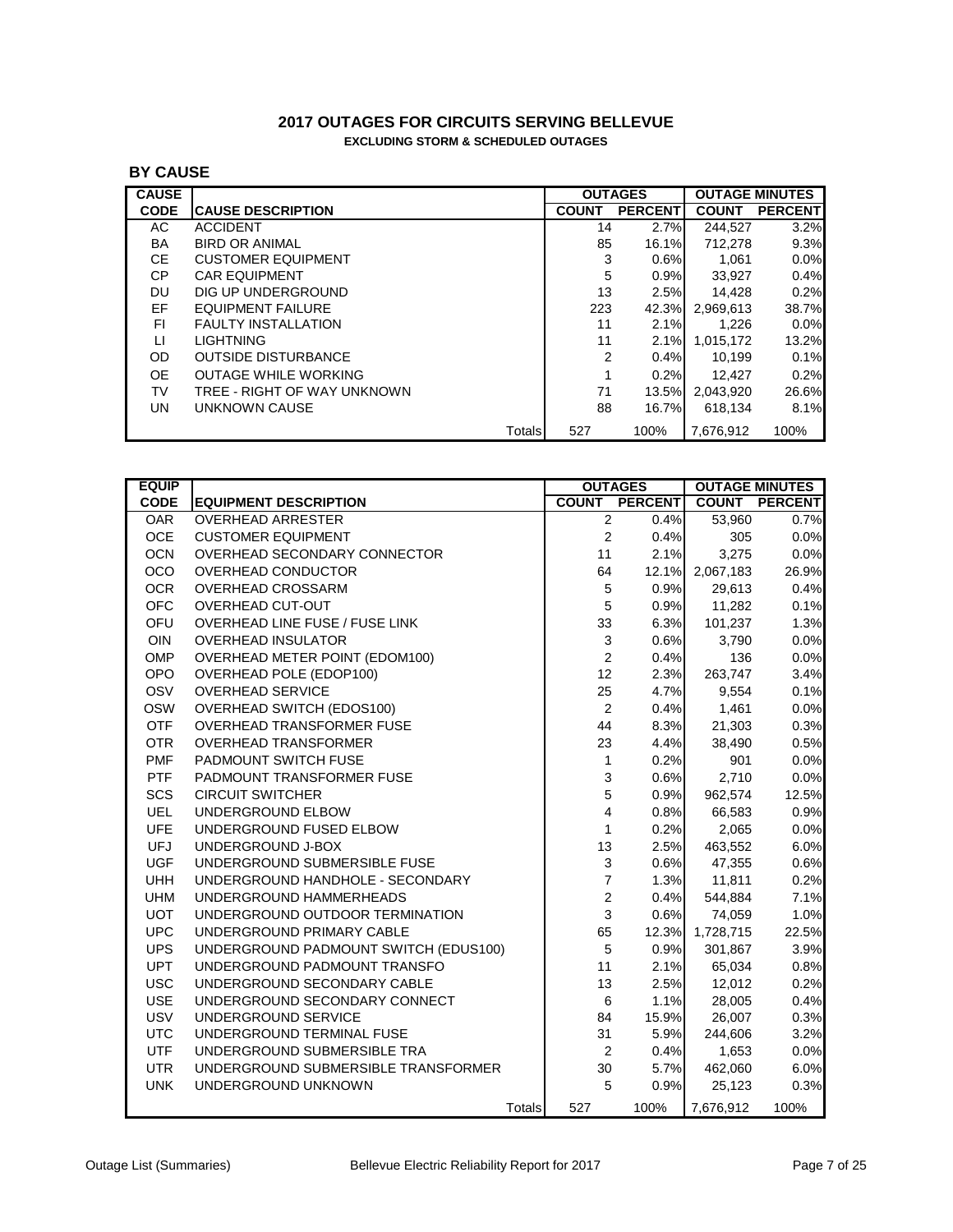### **2017 OUTAGES FOR CIRCUITS SERVING BELLEVUE EXCLUDING STORM & SCHEDULED OUTAGES**

# **BY CAUSE**

| <b>CAUSE</b> |                             |        |              | <b>OUTAGES</b> |              | <b>OUTAGE MINUTES</b> |
|--------------|-----------------------------|--------|--------------|----------------|--------------|-----------------------|
| <b>CODE</b>  | <b>ICAUSE DESCRIPTION</b>   |        | <b>COUNT</b> | <b>PERCENT</b> | <b>COUNT</b> | <b>PERCENT</b>        |
| AC.          | <b>ACCIDENT</b>             |        | 14           | 2.7%           | 244.527      | 3.2%                  |
| BA           | <b>BIRD OR ANIMAL</b>       |        | 85           | 16.1%          | 712,278      | 9.3%                  |
| CE.          | <b>CUSTOMER EQUIPMENT</b>   |        | 3            | 0.6%           | 1.061        | $0.0\%$               |
| CP.          | <b>CAR EQUIPMENT</b>        |        | 5            | 0.9%           | 33,927       | 0.4%                  |
| DU           | DIG UP UNDERGROUND          |        | 13           | 2.5%           | 14,428       | 0.2%                  |
| EF           | <b>EQUIPMENT FAILURE</b>    |        | 223          | 42.3%          | 2.969.613    | 38.7%                 |
| FI.          | <b>FAULTY INSTALLATION</b>  |        | 11           | 2.1%           | 1.226        | $0.0\%$               |
| П            | <b>LIGHTNING</b>            |        | 11           | 2.1%           | 1,015,172    | 13.2%                 |
| OD.          | <b>OUTSIDE DISTURBANCE</b>  |        | 2            | 0.4%           | 10.199       | 0.1%                  |
| OE.          | <b>OUTAGE WHILE WORKING</b> |        |              | 0.2%           | 12.427       | 0.2%                  |
| TV           | TREE - RIGHT OF WAY UNKNOWN |        | 71           | 13.5%          | 2.043.920    | 26.6%                 |
| UN.          | UNKNOWN CAUSE               |        | 88           | 16.7%          | 618.134      | 8.1%                  |
|              |                             | Totals | 527          | 100%           | 7,676,912    | 100%                  |

| <b>EQUIP</b> |                                       | <b>OUTAGES</b>            |                |           | <b>OUTAGE MINUTES</b> |
|--------------|---------------------------------------|---------------------------|----------------|-----------|-----------------------|
| <b>CODE</b>  | <b>EQUIPMENT DESCRIPTION</b>          | <b>COUNT</b>              | <b>PERCENT</b> |           | <b>COUNT PERCENT</b>  |
| <b>OAR</b>   | <b>OVERHEAD ARRESTER</b>              | $\overline{2}$            | 0.4%           | 53,960    | 0.7%                  |
| OCE          | <b>CUSTOMER EQUIPMENT</b>             | $\overline{c}$            | 0.4%           | 305       | 0.0%                  |
| <b>OCN</b>   | OVERHEAD SECONDARY CONNECTOR          | 11                        | 2.1%           | 3,275     | 0.0%                  |
| OCO          | OVERHEAD CONDUCTOR                    | 64                        | 12.1%          | 2,067,183 | 26.9%                 |
| <b>OCR</b>   | <b>OVERHEAD CROSSARM</b>              | $\sqrt{5}$                | 0.9%           | 29,613    | 0.4%                  |
| <b>OFC</b>   | OVERHEAD CUT-OUT                      | $\sqrt{5}$                | 0.9%           | 11,282    | 0.1%                  |
| OFU          | OVERHEAD LINE FUSE / FUSE LINK        | 33                        | 6.3%           | 101,237   | 1.3%                  |
| OIN          | <b>OVERHEAD INSULATOR</b>             | $\ensuremath{\mathsf{3}}$ | 0.6%           | 3,790     | 0.0%                  |
| OMP          | OVERHEAD METER POINT (EDOM100)        | $\overline{c}$            | 0.4%           | 136       | 0.0%                  |
| <b>OPO</b>   | OVERHEAD POLE (EDOP100)               | 12                        | 2.3%           | 263,747   | 3.4%                  |
| OSV          | <b>OVERHEAD SERVICE</b>               | 25                        | 4.7%           | 9,554     | 0.1%                  |
| <b>OSW</b>   | OVERHEAD SWITCH (EDOS100)             | $\boldsymbol{2}$          | 0.4%           | 1,461     | 0.0%                  |
| <b>OTF</b>   | OVERHEAD TRANSFORMER FUSE             | 44                        | 8.3%           | 21,303    | 0.3%                  |
| <b>OTR</b>   | <b>OVERHEAD TRANSFORMER</b>           | 23                        | 4.4%           | 38,490    | 0.5%                  |
| <b>PMF</b>   | PADMOUNT SWITCH FUSE                  | $\mathbf{1}$              | 0.2%           | 901       | 0.0%                  |
| <b>PTF</b>   | PADMOUNT TRANSFORMER FUSE             | 3                         | 0.6%           | 2,710     | 0.0%                  |
| SCS          | <b>CIRCUIT SWITCHER</b>               | $\mathbf 5$               | 0.9%           | 962,574   | 12.5%                 |
| <b>UEL</b>   | UNDERGROUND ELBOW                     | 4                         | 0.8%           | 66,583    | 0.9%                  |
| <b>UFE</b>   | UNDERGROUND FUSED ELBOW               | 1                         | 0.2%           | 2,065     | 0.0%                  |
| <b>UFJ</b>   | UNDERGROUND J-BOX                     | 13                        | 2.5%           | 463,552   | 6.0%                  |
| <b>UGF</b>   | UNDERGROUND SUBMERSIBLE FUSE          | $\ensuremath{\mathsf{3}}$ | 0.6%           | 47,355    | 0.6%                  |
| <b>UHH</b>   | UNDERGROUND HANDHOLE - SECONDARY      | $\overline{\mathbf{7}}$   | 1.3%           | 11,811    | 0.2%                  |
| <b>UHM</b>   | UNDERGROUND HAMMERHEADS               | $\sqrt{2}$                | 0.4%           | 544,884   | 7.1%                  |
| <b>UOT</b>   | UNDERGROUND OUTDOOR TERMINATION       | 3                         | 0.6%           | 74,059    | 1.0%                  |
| <b>UPC</b>   | UNDERGROUND PRIMARY CABLE             | 65                        | 12.3%          | 1,728,715 | 22.5%                 |
| <b>UPS</b>   | UNDERGROUND PADMOUNT SWITCH (EDUS100) | $\overline{5}$            | 0.9%           | 301,867   | 3.9%                  |
| <b>UPT</b>   | UNDERGROUND PADMOUNT TRANSFO          | 11                        | 2.1%           | 65,034    | 0.8%                  |
| <b>USC</b>   | UNDERGROUND SECONDARY CABLE           | 13                        | 2.5%           | 12,012    | 0.2%                  |
| <b>USE</b>   | UNDERGROUND SECONDARY CONNECT         | $\,6$                     | 1.1%           | 28,005    | 0.4%                  |
| <b>USV</b>   | UNDERGROUND SERVICE                   | 84                        | 15.9%          | 26,007    | 0.3%                  |
| <b>UTC</b>   | UNDERGROUND TERMINAL FUSE             | 31                        | 5.9%           | 244,606   | 3.2%                  |
| <b>UTF</b>   | UNDERGROUND SUBMERSIBLE TRA           | $\sqrt{2}$                | 0.4%           | 1,653     | 0.0%                  |
| <b>UTR</b>   | UNDERGROUND SUBMERSIBLE TRANSFORMER   | 30                        | 5.7%           | 462,060   | 6.0%                  |
| <b>UNK</b>   | UNDERGROUND UNKNOWN                   | 5                         | 0.9%           | 25,123    | 0.3%                  |
|              | Totals                                | 527                       | 100%           | 7,676,912 | 100%                  |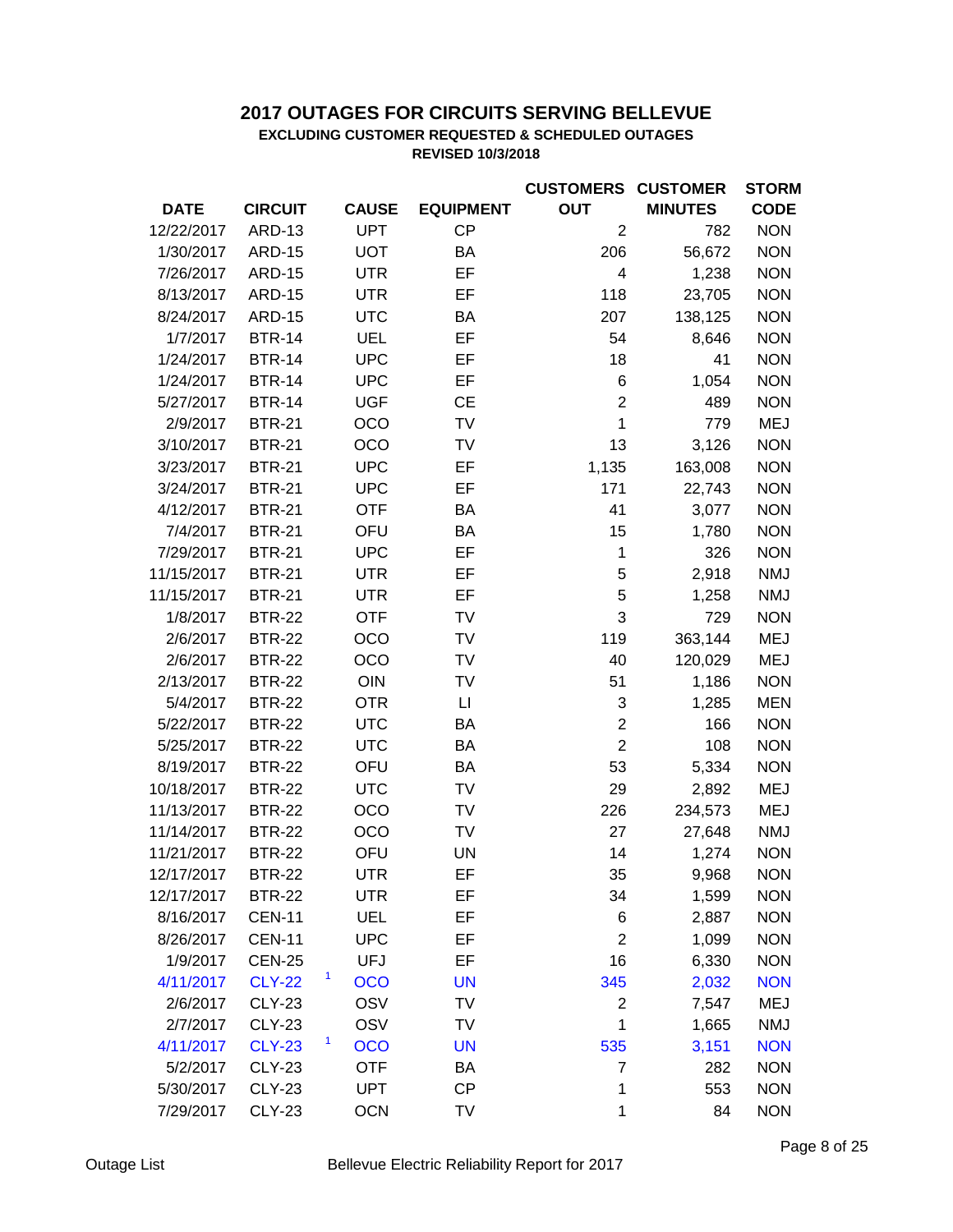# **2017 OUTAGES FOR CIRCUITS SERVING BELLEVUE**

### **EXCLUDING CUSTOMER REQUESTED & SCHEDULED OUTAGES REVISED 10/3/2018**

|             |                |                 |                  | <b>CUSTOMERS CUSTOMER</b> |                | <b>STORM</b> |
|-------------|----------------|-----------------|------------------|---------------------------|----------------|--------------|
| <b>DATE</b> | <b>CIRCUIT</b> | <b>CAUSE</b>    | <b>EQUIPMENT</b> | <b>OUT</b>                | <b>MINUTES</b> | <b>CODE</b>  |
| 12/22/2017  | <b>ARD-13</b>  | <b>UPT</b>      | CP               | $\overline{2}$            | 782            | <b>NON</b>   |
| 1/30/2017   | <b>ARD-15</b>  | <b>UOT</b>      | BA               | 206                       | 56,672         | <b>NON</b>   |
| 7/26/2017   | <b>ARD-15</b>  | <b>UTR</b>      | EF               | 4                         | 1,238          | <b>NON</b>   |
| 8/13/2017   | <b>ARD-15</b>  | <b>UTR</b>      | EF               | 118                       | 23,705         | <b>NON</b>   |
| 8/24/2017   | <b>ARD-15</b>  | <b>UTC</b>      | BA               | 207                       | 138,125        | <b>NON</b>   |
| 1/7/2017    | <b>BTR-14</b>  | <b>UEL</b>      | EF               | 54                        | 8,646          | <b>NON</b>   |
| 1/24/2017   | <b>BTR-14</b>  | <b>UPC</b>      | EF               | 18                        | 41             | <b>NON</b>   |
| 1/24/2017   | <b>BTR-14</b>  | <b>UPC</b>      | EF               | 6                         | 1,054          | <b>NON</b>   |
| 5/27/2017   | <b>BTR-14</b>  | <b>UGF</b>      | <b>CE</b>        | $\overline{2}$            | 489            | <b>NON</b>   |
| 2/9/2017    | <b>BTR-21</b>  | OCO             | TV               | $\mathbf 1$               | 779            | <b>MEJ</b>   |
| 3/10/2017   | <b>BTR-21</b>  | OCO             | TV               | 13                        | 3,126          | <b>NON</b>   |
| 3/23/2017   | <b>BTR-21</b>  | <b>UPC</b>      | EF               | 1,135                     | 163,008        | <b>NON</b>   |
| 3/24/2017   | <b>BTR-21</b>  | <b>UPC</b>      | EF               | 171                       | 22,743         | <b>NON</b>   |
| 4/12/2017   | <b>BTR-21</b>  | <b>OTF</b>      | BA               | 41                        | 3,077          | <b>NON</b>   |
| 7/4/2017    | <b>BTR-21</b>  | OFU             | BA               | 15                        | 1,780          | <b>NON</b>   |
| 7/29/2017   | <b>BTR-21</b>  | <b>UPC</b>      | EF               | $\mathbf 1$               | 326            | <b>NON</b>   |
| 11/15/2017  | <b>BTR-21</b>  | <b>UTR</b>      | EF               | 5                         | 2,918          | <b>NMJ</b>   |
| 11/15/2017  | <b>BTR-21</b>  | <b>UTR</b>      | EF               | 5                         | 1,258          | <b>NMJ</b>   |
| 1/8/2017    | <b>BTR-22</b>  | <b>OTF</b>      | TV               | 3                         | 729            | <b>NON</b>   |
| 2/6/2017    | <b>BTR-22</b>  | OCO             | TV               | 119                       | 363,144        | <b>MEJ</b>   |
| 2/6/2017    | <b>BTR-22</b>  | OCO             | TV               | 40                        | 120,029        | <b>MEJ</b>   |
| 2/13/2017   | <b>BTR-22</b>  | OIN             | TV               | 51                        | 1,186          | <b>NON</b>   |
| 5/4/2017    | <b>BTR-22</b>  | <b>OTR</b>      | П                | 3                         | 1,285          | <b>MEN</b>   |
| 5/22/2017   | <b>BTR-22</b>  | <b>UTC</b>      | BA               | $\overline{c}$            | 166            | <b>NON</b>   |
| 5/25/2017   | <b>BTR-22</b>  | <b>UTC</b>      | BA               | $\overline{2}$            | 108            | <b>NON</b>   |
| 8/19/2017   | <b>BTR-22</b>  | OFU             | BA               | 53                        | 5,334          | <b>NON</b>   |
| 10/18/2017  | <b>BTR-22</b>  | <b>UTC</b>      | TV               | 29                        | 2,892          | <b>MEJ</b>   |
| 11/13/2017  | <b>BTR-22</b>  | OCO             | TV               | 226                       | 234,573        | <b>MEJ</b>   |
| 11/14/2017  | <b>BTR-22</b>  | OCO             | TV               | 27                        | 27,648         | <b>NMJ</b>   |
| 11/21/2017  | <b>BTR-22</b>  | OFU             | <b>UN</b>        | 14                        | 1,274          | <b>NON</b>   |
| 12/17/2017  | <b>BTR-22</b>  | UTR             | EF               | 35                        | 9,968          | <b>NON</b>   |
| 12/17/2017  | <b>BTR-22</b>  | <b>UTR</b>      | EF               | 34                        | 1,599          | <b>NON</b>   |
| 8/16/2017   | <b>CEN-11</b>  | <b>UEL</b>      | EF               | 6                         | 2,887          | <b>NON</b>   |
| 8/26/2017   | <b>CEN-11</b>  | <b>UPC</b>      | EF               | $\overline{2}$            | 1,099          | <b>NON</b>   |
| 1/9/2017    | <b>CEN-25</b>  | <b>UFJ</b>      | EF               | 16                        | 6,330          | <b>NON</b>   |
| 4/11/2017   | <b>CLY-22</b>  | 1<br><b>OCO</b> | <b>UN</b>        | 345                       | 2,032          | <b>NON</b>   |
| 2/6/2017    | <b>CLY-23</b>  | OSV             | TV               | 2                         | 7,547          | <b>MEJ</b>   |
| 2/7/2017    | <b>CLY-23</b>  | OSV             | TV               | 1                         | 1,665          | <b>NMJ</b>   |
| 4/11/2017   | <b>CLY-23</b>  | 1<br><b>OCO</b> | <b>UN</b>        | 535                       | 3,151          | <b>NON</b>   |
| 5/2/2017    | <b>CLY-23</b>  | <b>OTF</b>      | BA               | 7                         | 282            | <b>NON</b>   |
| 5/30/2017   | <b>CLY-23</b>  | <b>UPT</b>      | CP               | 1                         | 553            | <b>NON</b>   |
| 7/29/2017   | <b>CLY-23</b>  | <b>OCN</b>      | TV               | 1                         | 84             | <b>NON</b>   |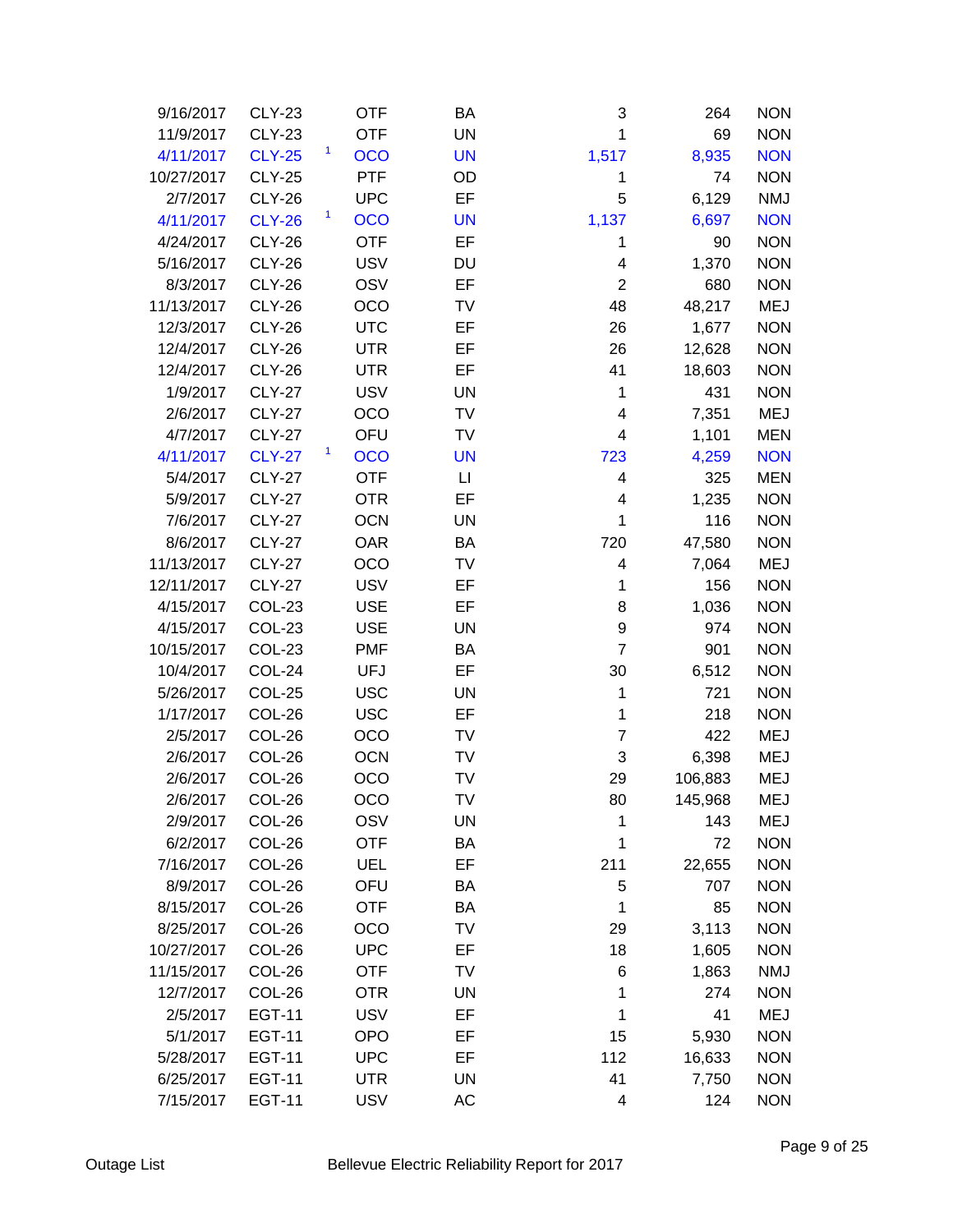| 9/16/2017  | <b>CLY-23</b> | <b>OTF</b>      | BA        | 3                       | 264     | <b>NON</b> |
|------------|---------------|-----------------|-----------|-------------------------|---------|------------|
| 11/9/2017  | <b>CLY-23</b> | <b>OTF</b>      | <b>UN</b> | 1                       | 69      | <b>NON</b> |
| 4/11/2017  | <b>CLY-25</b> | 1<br><b>OCO</b> | <b>UN</b> | 1,517                   | 8,935   | <b>NON</b> |
| 10/27/2017 | <b>CLY-25</b> | <b>PTF</b>      | OD        | 1                       | 74      | <b>NON</b> |
| 2/7/2017   | <b>CLY-26</b> | <b>UPC</b>      | EF        | 5                       | 6,129   | <b>NMJ</b> |
| 4/11/2017  | <b>CLY-26</b> | 1<br><b>OCO</b> | <b>UN</b> | 1,137                   | 6,697   | <b>NON</b> |
| 4/24/2017  | <b>CLY-26</b> | <b>OTF</b>      | EF        | 1                       | 90      | <b>NON</b> |
| 5/16/2017  | <b>CLY-26</b> | <b>USV</b>      | <b>DU</b> | 4                       | 1,370   | <b>NON</b> |
| 8/3/2017   | <b>CLY-26</b> | OSV             | EF        | $\overline{2}$          | 680     | <b>NON</b> |
| 11/13/2017 | <b>CLY-26</b> | OCO             | TV        | 48                      | 48,217  | <b>MEJ</b> |
| 12/3/2017  | <b>CLY-26</b> | <b>UTC</b>      | EF        | 26                      | 1,677   | <b>NON</b> |
| 12/4/2017  | <b>CLY-26</b> | <b>UTR</b>      | EF        | 26                      | 12,628  | <b>NON</b> |
| 12/4/2017  | <b>CLY-26</b> | <b>UTR</b>      | EF        | 41                      | 18,603  | <b>NON</b> |
| 1/9/2017   | <b>CLY-27</b> | <b>USV</b>      | <b>UN</b> | 1                       | 431     | <b>NON</b> |
| 2/6/2017   | <b>CLY-27</b> | OCO             | TV        | 4                       | 7,351   | <b>MEJ</b> |
| 4/7/2017   | <b>CLY-27</b> | OFU             | TV        | $\overline{\mathbf{4}}$ | 1,101   | <b>MEN</b> |
| 4/11/2017  | <b>CLY-27</b> | 1<br><b>OCO</b> | <b>UN</b> | 723                     | 4,259   | <b>NON</b> |
| 5/4/2017   | <b>CLY-27</b> | <b>OTF</b>      | П         | 4                       | 325     | <b>MEN</b> |
| 5/9/2017   | <b>CLY-27</b> | <b>OTR</b>      | EF        | 4                       | 1,235   | <b>NON</b> |
| 7/6/2017   | <b>CLY-27</b> | <b>OCN</b>      | <b>UN</b> | 1                       | 116     | <b>NON</b> |
| 8/6/2017   | <b>CLY-27</b> | <b>OAR</b>      | BA        | 720                     | 47,580  | <b>NON</b> |
| 11/13/2017 | <b>CLY-27</b> | OCO             | TV        | 4                       | 7,064   | <b>MEJ</b> |
| 12/11/2017 | <b>CLY-27</b> | <b>USV</b>      | EF        | 1                       | 156     | <b>NON</b> |
| 4/15/2017  | COL-23        | <b>USE</b>      | EF        | 8                       | 1,036   | <b>NON</b> |
| 4/15/2017  | COL-23        | <b>USE</b>      | <b>UN</b> | 9                       | 974     | <b>NON</b> |
| 10/15/2017 | <b>COL-23</b> | <b>PMF</b>      | BA        | $\overline{7}$          | 901     | <b>NON</b> |
| 10/4/2017  | COL-24        | <b>UFJ</b>      | EF        | 30                      | 6,512   | <b>NON</b> |
| 5/26/2017  | COL-25        | <b>USC</b>      | <b>UN</b> | 1                       | 721     | <b>NON</b> |
| 1/17/2017  | COL-26        | <b>USC</b>      | EF        | 1                       | 218     | <b>NON</b> |
| 2/5/2017   | COL-26        | OCO             | TV        | 7                       | 422     | <b>MEJ</b> |
| 2/6/2017   | COL-26        | <b>OCN</b>      | TV        | 3                       | 6,398   | <b>MEJ</b> |
| 2/6/2017   | COL-26        | OCO             | TV        | 29                      | 106,883 | MEJ        |
| 2/6/2017   | COL-26        | OCO             | TV        | 80                      | 145,968 | MEJ        |
| 2/9/2017   | COL-26        | OSV             | UN        | 1                       | 143     | MEJ        |
| 6/2/2017   | COL-26        | <b>OTF</b>      | BA        | 1                       | 72      | <b>NON</b> |
| 7/16/2017  | COL-26        | <b>UEL</b>      | EF        | 211                     | 22,655  | <b>NON</b> |
| 8/9/2017   | COL-26        | OFU             | BA        | 5                       | 707     | <b>NON</b> |
| 8/15/2017  | COL-26        | <b>OTF</b>      | BA        | 1                       | 85      | <b>NON</b> |
| 8/25/2017  | COL-26        | OCO             | TV        | 29                      | 3,113   | <b>NON</b> |
| 10/27/2017 | COL-26        | <b>UPC</b>      | EF        | 18                      | 1,605   | <b>NON</b> |
| 11/15/2017 | COL-26        | <b>OTF</b>      | TV        | 6                       | 1,863   | <b>NMJ</b> |
| 12/7/2017  | COL-26        | <b>OTR</b>      | UN        | 1                       | 274     | <b>NON</b> |
| 2/5/2017   | <b>EGT-11</b> | <b>USV</b>      | EF        | 1                       | 41      | <b>MEJ</b> |
| 5/1/2017   | <b>EGT-11</b> | OPO             | EF        | 15                      | 5,930   | <b>NON</b> |
| 5/28/2017  | <b>EGT-11</b> | <b>UPC</b>      | EF        | 112                     | 16,633  | <b>NON</b> |
| 6/25/2017  | <b>EGT-11</b> | <b>UTR</b>      | <b>UN</b> | 41                      | 7,750   | <b>NON</b> |
| 7/15/2017  | <b>EGT-11</b> | <b>USV</b>      | AC        | $\overline{\mathbf{4}}$ | 124     | <b>NON</b> |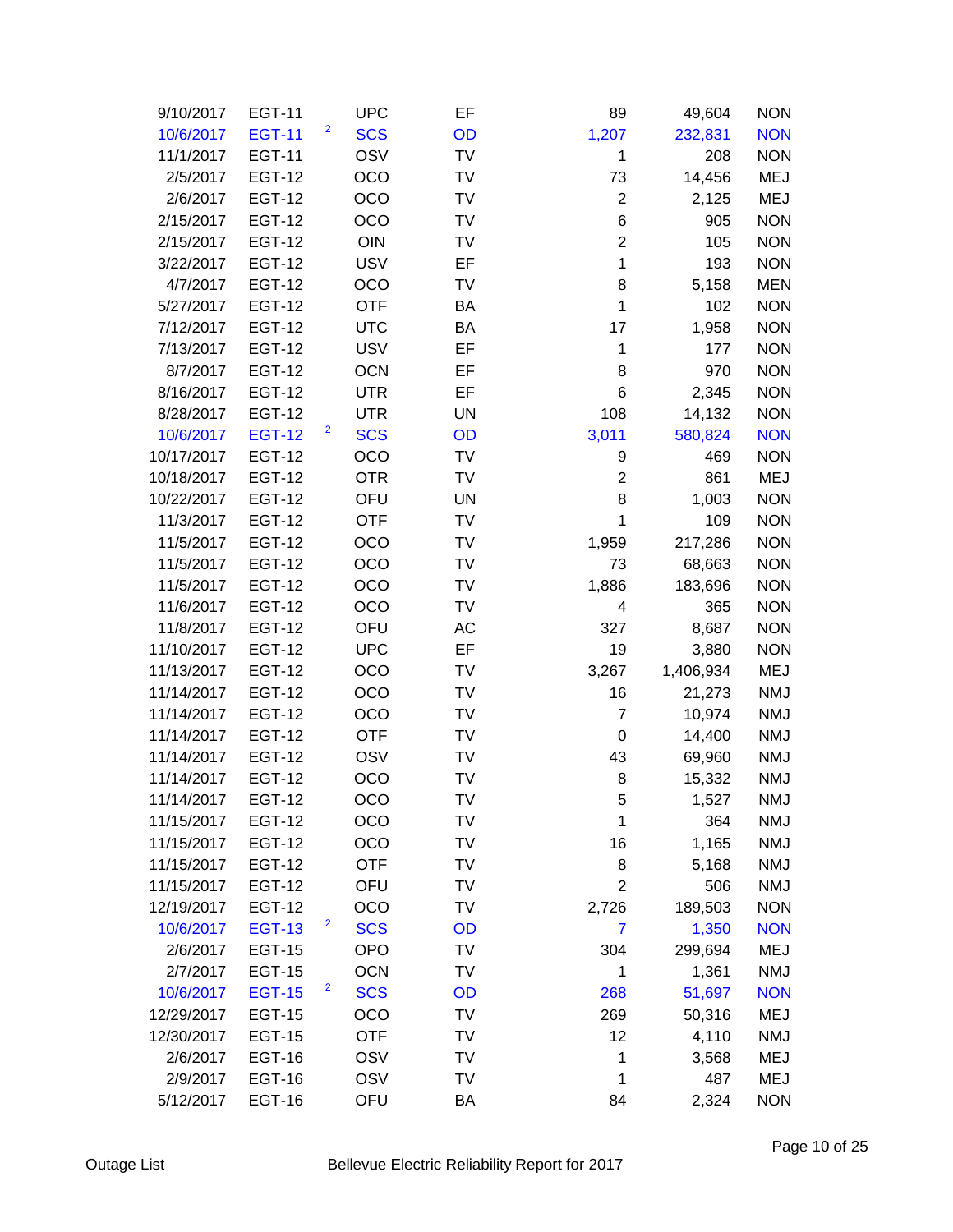| 9/10/2017  | <b>EGT-11</b> |                         | <b>UPC</b> | EF        | 89             | 49,604    | <b>NON</b> |
|------------|---------------|-------------------------|------------|-----------|----------------|-----------|------------|
| 10/6/2017  | <b>EGT-11</b> | 2                       | <b>SCS</b> | OD        | 1,207          | 232,831   | <b>NON</b> |
| 11/1/2017  | <b>EGT-11</b> |                         | OSV        | TV        | 1              | 208       | <b>NON</b> |
| 2/5/2017   | <b>EGT-12</b> |                         | OCO        | <b>TV</b> | 73             | 14,456    | <b>MEJ</b> |
| 2/6/2017   | <b>EGT-12</b> |                         | OCO        | TV        | $\overline{2}$ | 2,125     | <b>MEJ</b> |
| 2/15/2017  | <b>EGT-12</b> |                         | OCO        | <b>TV</b> | 6              | 905       | <b>NON</b> |
| 2/15/2017  | <b>EGT-12</b> |                         | OIN        | TV        | $\overline{2}$ | 105       | <b>NON</b> |
| 3/22/2017  | <b>EGT-12</b> |                         | <b>USV</b> | EF        | $\mathbf{1}$   | 193       | <b>NON</b> |
| 4/7/2017   | <b>EGT-12</b> |                         | OCO        | <b>TV</b> | 8              | 5,158     | <b>MEN</b> |
| 5/27/2017  | <b>EGT-12</b> |                         | <b>OTF</b> | BA        | $\mathbf 1$    | 102       | <b>NON</b> |
| 7/12/2017  | <b>EGT-12</b> |                         | <b>UTC</b> | BA        | 17             | 1,958     | <b>NON</b> |
| 7/13/2017  | <b>EGT-12</b> |                         | <b>USV</b> | EF        | 1              | 177       | <b>NON</b> |
| 8/7/2017   | <b>EGT-12</b> |                         | <b>OCN</b> | EF        | 8              | 970       | <b>NON</b> |
| 8/16/2017  | <b>EGT-12</b> |                         | <b>UTR</b> | EF        | 6              | 2,345     | <b>NON</b> |
| 8/28/2017  | <b>EGT-12</b> |                         | <b>UTR</b> | <b>UN</b> | 108            | 14,132    | <b>NON</b> |
| 10/6/2017  | <b>EGT-12</b> | $\overline{\mathbf{c}}$ | <b>SCS</b> | OD        | 3,011          | 580,824   | <b>NON</b> |
| 10/17/2017 | <b>EGT-12</b> |                         | OCO        | <b>TV</b> | 9              | 469       | <b>NON</b> |
| 10/18/2017 | <b>EGT-12</b> |                         | <b>OTR</b> | TV        | $\overline{2}$ | 861       | <b>MEJ</b> |
| 10/22/2017 | <b>EGT-12</b> |                         | OFU        | UN        | 8              | 1,003     | <b>NON</b> |
| 11/3/2017  | <b>EGT-12</b> |                         | <b>OTF</b> | <b>TV</b> | 1              | 109       | <b>NON</b> |
| 11/5/2017  | <b>EGT-12</b> |                         | OCO        | TV        | 1,959          | 217,286   | <b>NON</b> |
| 11/5/2017  | <b>EGT-12</b> |                         | OCO        | TV        | 73             | 68,663    | <b>NON</b> |
| 11/5/2017  | <b>EGT-12</b> |                         | OCO        | TV        | 1,886          | 183,696   | <b>NON</b> |
| 11/6/2017  | <b>EGT-12</b> |                         | OCO        | TV        | 4              | 365       | <b>NON</b> |
| 11/8/2017  | <b>EGT-12</b> |                         | OFU        | AC        | 327            | 8,687     | <b>NON</b> |
| 11/10/2017 | <b>EGT-12</b> |                         | <b>UPC</b> | EF        | 19             | 3,880     | <b>NON</b> |
| 11/13/2017 | <b>EGT-12</b> |                         | OCO        | TV        | 3,267          | 1,406,934 | <b>MEJ</b> |
| 11/14/2017 | <b>EGT-12</b> |                         | OCO        | TV        | 16             | 21,273    | <b>NMJ</b> |
| 11/14/2017 | <b>EGT-12</b> |                         | OCO        | TV        | $\overline{7}$ | 10,974    | <b>NMJ</b> |
| 11/14/2017 | <b>EGT-12</b> |                         | <b>OTF</b> | TV        | 0              | 14,400    | <b>NMJ</b> |
| 11/14/2017 | <b>EGT-12</b> |                         | OSV        | TV        | 43             | 69,960    | <b>NMJ</b> |
| 11/14/2017 | <b>EGT-12</b> |                         | OCO        | TV        | 8              | 15,332    | <b>NMJ</b> |
| 11/14/2017 | <b>EGT-12</b> |                         | OCO        | TV        | 5              | 1,527     | NMJ        |
| 11/15/2017 | <b>EGT-12</b> |                         | OCO        | TV        | 1              | 364       | <b>NMJ</b> |
| 11/15/2017 | <b>EGT-12</b> |                         | OCO        | TV        | 16             | 1,165     | <b>NMJ</b> |
| 11/15/2017 | <b>EGT-12</b> |                         | <b>OTF</b> | TV        | 8              | 5,168     | <b>NMJ</b> |
| 11/15/2017 | <b>EGT-12</b> |                         | OFU        | TV        | $\overline{2}$ | 506       | <b>NMJ</b> |
| 12/19/2017 | <b>EGT-12</b> |                         | OCO        | TV        | 2,726          | 189,503   | <b>NON</b> |
| 10/6/2017  | <b>EGT-13</b> | 2                       | <b>SCS</b> | OD        | 7              | 1,350     | <b>NON</b> |
| 2/6/2017   | <b>EGT-15</b> |                         | <b>OPO</b> | TV        | 304            | 299,694   | MEJ        |
| 2/7/2017   | <b>EGT-15</b> |                         | <b>OCN</b> | TV        | 1              | 1,361     | <b>NMJ</b> |
| 10/6/2017  | <b>EGT-15</b> | $\overline{a}$          | <b>SCS</b> | OD        | 268            | 51,697    | <b>NON</b> |
| 12/29/2017 | <b>EGT-15</b> |                         | OCO        | <b>TV</b> | 269            | 50,316    | <b>MEJ</b> |
| 12/30/2017 | <b>EGT-15</b> |                         | <b>OTF</b> | TV        | 12             | 4,110     | <b>NMJ</b> |
| 2/6/2017   | <b>EGT-16</b> |                         | OSV        | TV        | 1              | 3,568     | MEJ        |
| 2/9/2017   | <b>EGT-16</b> |                         | OSV        | TV        | 1              | 487       | MEJ        |
| 5/12/2017  | <b>EGT-16</b> |                         | OFU        | BA        | 84             | 2,324     | <b>NON</b> |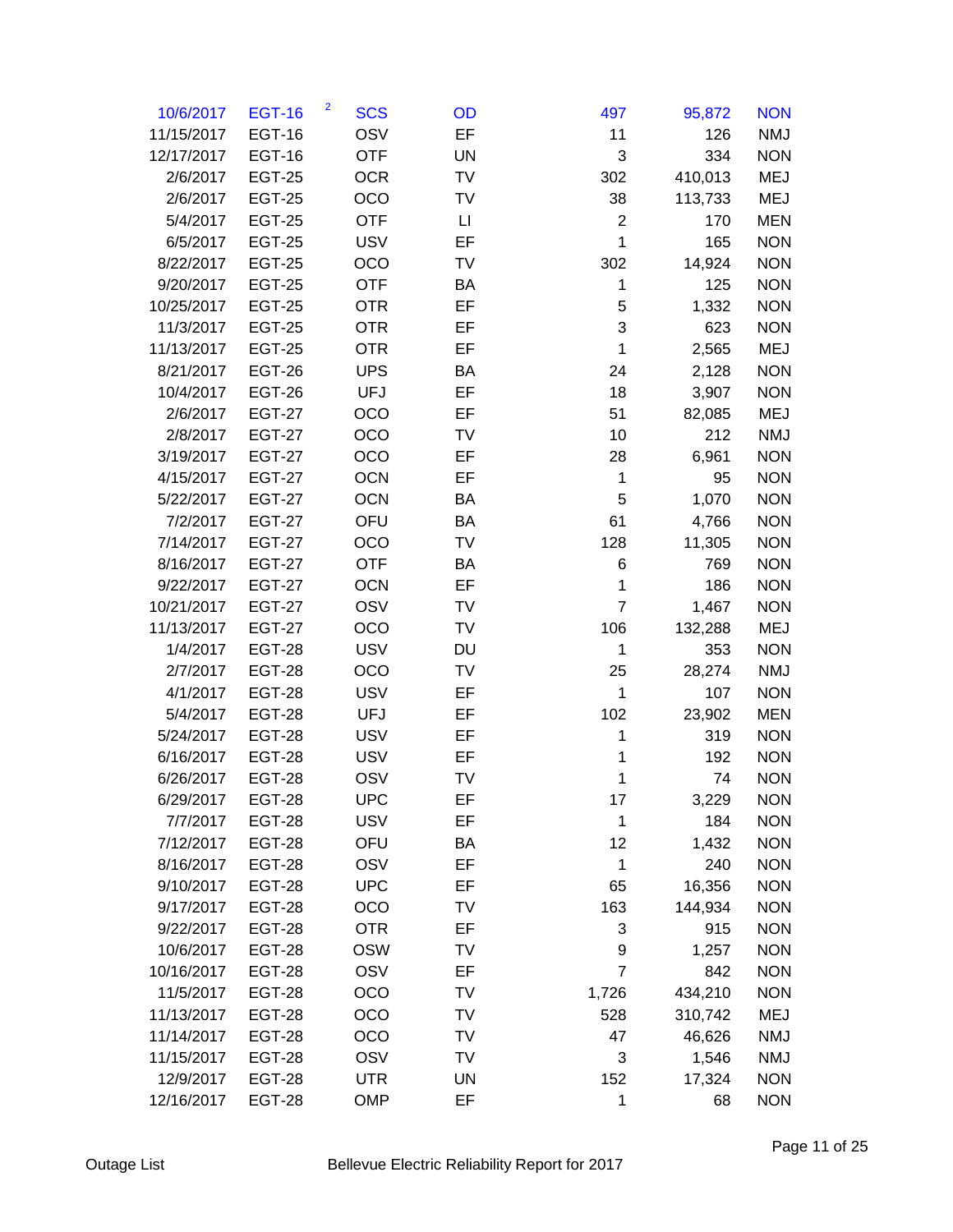| 10/6/2017  | <b>EGT-16</b> | 2<br><b>SCS</b> | OD | 497            | 95,872  | <b>NON</b> |
|------------|---------------|-----------------|----|----------------|---------|------------|
| 11/15/2017 | <b>EGT-16</b> | OSV             | EF | 11             | 126     | <b>NMJ</b> |
| 12/17/2017 | <b>EGT-16</b> | <b>OTF</b>      | UN | 3              | 334     | <b>NON</b> |
| 2/6/2017   | <b>EGT-25</b> | <b>OCR</b>      | TV | 302            | 410,013 | <b>MEJ</b> |
| 2/6/2017   | <b>EGT-25</b> | OCO             | TV | 38             | 113,733 | <b>MEJ</b> |
| 5/4/2017   | <b>EGT-25</b> | <b>OTF</b>      | П  | $\overline{2}$ | 170     | <b>MEN</b> |
| 6/5/2017   | <b>EGT-25</b> | <b>USV</b>      | EF | $\mathbf{1}$   | 165     | <b>NON</b> |
| 8/22/2017  | <b>EGT-25</b> | OCO             | TV | 302            | 14,924  | <b>NON</b> |
| 9/20/2017  | <b>EGT-25</b> | <b>OTF</b>      | BA | 1              | 125     | <b>NON</b> |
| 10/25/2017 | <b>EGT-25</b> | <b>OTR</b>      | EF | 5              | 1,332   | <b>NON</b> |
| 11/3/2017  | <b>EGT-25</b> | <b>OTR</b>      | EF | 3              | 623     | <b>NON</b> |
| 11/13/2017 | <b>EGT-25</b> | <b>OTR</b>      | EF | 1              | 2,565   | <b>MEJ</b> |
| 8/21/2017  | <b>EGT-26</b> | <b>UPS</b>      | BA | 24             | 2,128   | <b>NON</b> |
| 10/4/2017  | <b>EGT-26</b> | <b>UFJ</b>      | EF | 18             | 3,907   | <b>NON</b> |
| 2/6/2017   | <b>EGT-27</b> | OCO             | EF | 51             | 82,085  | <b>MEJ</b> |
| 2/8/2017   | <b>EGT-27</b> | OCO             | TV | 10             | 212     | <b>NMJ</b> |
| 3/19/2017  | <b>EGT-27</b> | OCO             | EF | 28             | 6,961   | <b>NON</b> |
| 4/15/2017  | <b>EGT-27</b> | <b>OCN</b>      | EF | 1              | 95      | <b>NON</b> |
| 5/22/2017  | <b>EGT-27</b> | <b>OCN</b>      | BA | 5              | 1,070   | <b>NON</b> |
| 7/2/2017   | <b>EGT-27</b> | OFU             | BA | 61             | 4,766   | <b>NON</b> |
| 7/14/2017  | <b>EGT-27</b> | OCO             | TV | 128            | 11,305  | <b>NON</b> |
| 8/16/2017  | <b>EGT-27</b> | <b>OTF</b>      | BA | 6              | 769     | <b>NON</b> |
| 9/22/2017  | <b>EGT-27</b> | <b>OCN</b>      | EF | $\mathbf{1}$   | 186     | <b>NON</b> |
| 10/21/2017 | <b>EGT-27</b> | OSV             | TV | $\overline{7}$ | 1,467   | <b>NON</b> |
| 11/13/2017 | <b>EGT-27</b> | OCO             | TV | 106            | 132,288 | <b>MEJ</b> |
| 1/4/2017   | <b>EGT-28</b> | <b>USV</b>      | DU | 1              | 353     | <b>NON</b> |
| 2/7/2017   | <b>EGT-28</b> | OCO             | TV | 25             | 28,274  | <b>NMJ</b> |
| 4/1/2017   | <b>EGT-28</b> | <b>USV</b>      | EF | $\mathbf{1}$   | 107     | <b>NON</b> |
| 5/4/2017   | <b>EGT-28</b> | <b>UFJ</b>      | EF | 102            | 23,902  | <b>MEN</b> |
| 5/24/2017  | <b>EGT-28</b> | <b>USV</b>      | EF | 1              | 319     | <b>NON</b> |
| 6/16/2017  | <b>EGT-28</b> | <b>USV</b>      | EF | 1              | 192     | <b>NON</b> |
| 6/26/2017  | <b>EGT-28</b> | OSV             | TV | $\mathbf{1}$   | 74      | <b>NON</b> |
| 6/29/2017  | <b>EGT-28</b> | <b>UPC</b>      | EF | 17             | 3,229   | <b>NON</b> |
| 7/7/2017   | <b>EGT-28</b> | <b>USV</b>      | EF | 1              | 184     | <b>NON</b> |
| 7/12/2017  | <b>EGT-28</b> | OFU             | BA | 12             | 1,432   | <b>NON</b> |
| 8/16/2017  | <b>EGT-28</b> | OSV             | EF | 1              | 240     | <b>NON</b> |
| 9/10/2017  | <b>EGT-28</b> | <b>UPC</b>      | EF | 65             | 16,356  | <b>NON</b> |
| 9/17/2017  | <b>EGT-28</b> | OCO             | TV | 163            | 144,934 | <b>NON</b> |
| 9/22/2017  | <b>EGT-28</b> | <b>OTR</b>      | EF | 3              | 915     | <b>NON</b> |
| 10/6/2017  | <b>EGT-28</b> | <b>OSW</b>      | TV | 9              | 1,257   | <b>NON</b> |
| 10/16/2017 | <b>EGT-28</b> | OSV             | EF | 7              | 842     | <b>NON</b> |
| 11/5/2017  | <b>EGT-28</b> | OCO             | TV | 1,726          | 434,210 | <b>NON</b> |
| 11/13/2017 | <b>EGT-28</b> | OCO             | TV | 528            | 310,742 | <b>MEJ</b> |
| 11/14/2017 | <b>EGT-28</b> | OCO             | TV | 47             | 46,626  | <b>NMJ</b> |
| 11/15/2017 | <b>EGT-28</b> | OSV             | TV | 3              | 1,546   | <b>NMJ</b> |
| 12/9/2017  | <b>EGT-28</b> | <b>UTR</b>      | UN | 152            | 17,324  | <b>NON</b> |
| 12/16/2017 | <b>EGT-28</b> | OMP             | EF | $\mathbf 1$    | 68      | <b>NON</b> |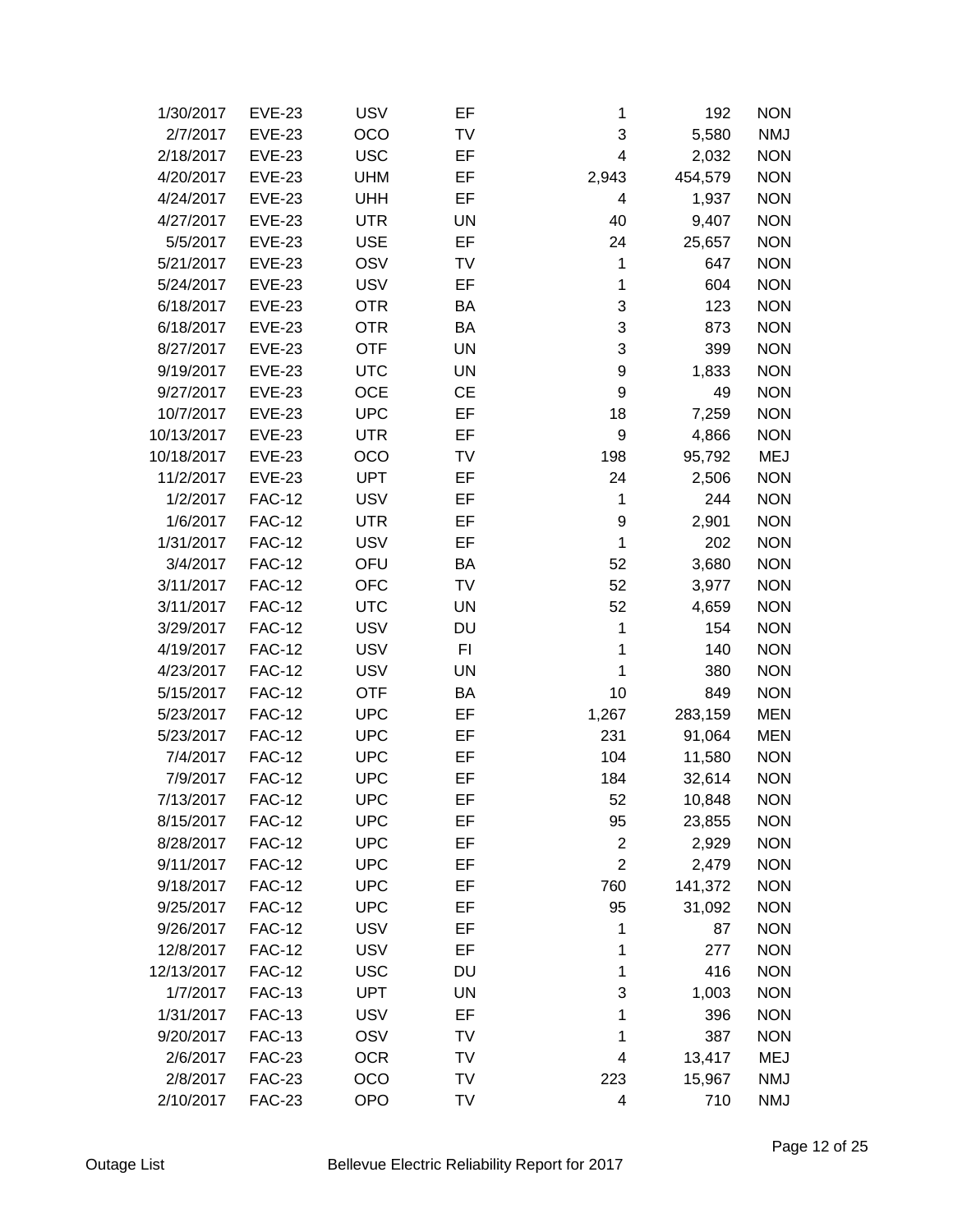| 1/30/2017  | <b>EVE-23</b> | <b>USV</b> | EF        | 1              | 192     | <b>NON</b> |
|------------|---------------|------------|-----------|----------------|---------|------------|
| 2/7/2017   | <b>EVE-23</b> | OCO        | TV        | 3              | 5,580   | <b>NMJ</b> |
| 2/18/2017  | <b>EVE-23</b> | <b>USC</b> | EF        | 4              | 2,032   | <b>NON</b> |
| 4/20/2017  | <b>EVE-23</b> | <b>UHM</b> | EF        | 2,943          | 454,579 | <b>NON</b> |
| 4/24/2017  | <b>EVE-23</b> | <b>UHH</b> | EF        | 4              | 1,937   | <b>NON</b> |
| 4/27/2017  | <b>EVE-23</b> | <b>UTR</b> | <b>UN</b> | 40             | 9,407   | <b>NON</b> |
| 5/5/2017   | <b>EVE-23</b> | <b>USE</b> | EF        | 24             | 25,657  | <b>NON</b> |
| 5/21/2017  | <b>EVE-23</b> | OSV        | TV        | 1              | 647     | <b>NON</b> |
| 5/24/2017  | <b>EVE-23</b> | <b>USV</b> | EF        | 1              | 604     | <b>NON</b> |
| 6/18/2017  | <b>EVE-23</b> | <b>OTR</b> | ΒA        | 3              | 123     | <b>NON</b> |
| 6/18/2017  | <b>EVE-23</b> | <b>OTR</b> | BA        | 3              | 873     | <b>NON</b> |
| 8/27/2017  | <b>EVE-23</b> | <b>OTF</b> | <b>UN</b> | 3              | 399     | <b>NON</b> |
| 9/19/2017  | <b>EVE-23</b> | <b>UTC</b> | UN        | 9              | 1,833   | <b>NON</b> |
| 9/27/2017  | <b>EVE-23</b> | <b>OCE</b> | <b>CE</b> | 9              | 49      | <b>NON</b> |
| 10/7/2017  | <b>EVE-23</b> | <b>UPC</b> | EF        | 18             | 7,259   | <b>NON</b> |
| 10/13/2017 | <b>EVE-23</b> | <b>UTR</b> | EF        | 9              | 4,866   | <b>NON</b> |
| 10/18/2017 | <b>EVE-23</b> | OCO        | TV        | 198            | 95,792  | <b>MEJ</b> |
| 11/2/2017  | <b>EVE-23</b> | <b>UPT</b> | EF        | 24             | 2,506   | <b>NON</b> |
| 1/2/2017   | <b>FAC-12</b> | <b>USV</b> | EF        | 1              | 244     | <b>NON</b> |
| 1/6/2017   | <b>FAC-12</b> | <b>UTR</b> | EF        | 9              | 2,901   | <b>NON</b> |
| 1/31/2017  | <b>FAC-12</b> | <b>USV</b> | EF        | $\mathbf{1}$   | 202     | <b>NON</b> |
| 3/4/2017   | <b>FAC-12</b> | OFU        | BA        | 52             | 3,680   | <b>NON</b> |
| 3/11/2017  | <b>FAC-12</b> | <b>OFC</b> | TV        | 52             | 3,977   | <b>NON</b> |
| 3/11/2017  | <b>FAC-12</b> | <b>UTC</b> | <b>UN</b> | 52             | 4,659   | <b>NON</b> |
| 3/29/2017  | <b>FAC-12</b> | <b>USV</b> | DU        | 1              | 154     | <b>NON</b> |
| 4/19/2017  | <b>FAC-12</b> | <b>USV</b> | FI        | 1              | 140     | <b>NON</b> |
| 4/23/2017  | <b>FAC-12</b> | <b>USV</b> | <b>UN</b> | 1              | 380     | <b>NON</b> |
| 5/15/2017  | <b>FAC-12</b> | <b>OTF</b> | BA        | 10             | 849     | <b>NON</b> |
| 5/23/2017  | <b>FAC-12</b> | <b>UPC</b> | EF        | 1,267          | 283,159 | <b>MEN</b> |
| 5/23/2017  | <b>FAC-12</b> | <b>UPC</b> | EF        | 231            | 91,064  | <b>MEN</b> |
| 7/4/2017   | <b>FAC-12</b> | <b>UPC</b> | EF        | 104            | 11,580  | <b>NON</b> |
| 7/9/2017   | <b>FAC-12</b> | <b>UPC</b> | EF        | 184            | 32,614  | <b>NON</b> |
| 7/13/2017  | <b>FAC-12</b> | <b>UPC</b> | EF        | 52             | 10,848  | <b>NON</b> |
| 8/15/2017  | <b>FAC-12</b> | <b>UPC</b> | EF        | 95             | 23,855  | <b>NON</b> |
| 8/28/2017  | <b>FAC-12</b> | <b>UPC</b> | EF        | 2              | 2,929   | <b>NON</b> |
| 9/11/2017  | <b>FAC-12</b> | <b>UPC</b> | EF        | $\overline{2}$ | 2,479   | <b>NON</b> |
| 9/18/2017  | <b>FAC-12</b> | <b>UPC</b> | EF        | 760            | 141,372 | <b>NON</b> |
| 9/25/2017  | <b>FAC-12</b> | <b>UPC</b> | EF        | 95             | 31,092  | <b>NON</b> |
| 9/26/2017  | <b>FAC-12</b> | <b>USV</b> | EF        | 1              | 87      | <b>NON</b> |
| 12/8/2017  | <b>FAC-12</b> | <b>USV</b> | EF        | 1              | 277     | <b>NON</b> |
| 12/13/2017 | <b>FAC-12</b> | <b>USC</b> | DU        | 1              | 416     | <b>NON</b> |
| 1/7/2017   | <b>FAC-13</b> | <b>UPT</b> | <b>UN</b> | 3              | 1,003   | <b>NON</b> |
| 1/31/2017  | <b>FAC-13</b> | <b>USV</b> | EF        | 1              | 396     | <b>NON</b> |
| 9/20/2017  | <b>FAC-13</b> | OSV        | TV        | 1              | 387     | <b>NON</b> |
| 2/6/2017   | <b>FAC-23</b> | <b>OCR</b> | TV        | 4              | 13,417  | <b>MEJ</b> |
| 2/8/2017   | <b>FAC-23</b> | OCO        | TV        | 223            | 15,967  | <b>NMJ</b> |
| 2/10/2017  | <b>FAC-23</b> | <b>OPO</b> | TV        | 4              | 710     | <b>NMJ</b> |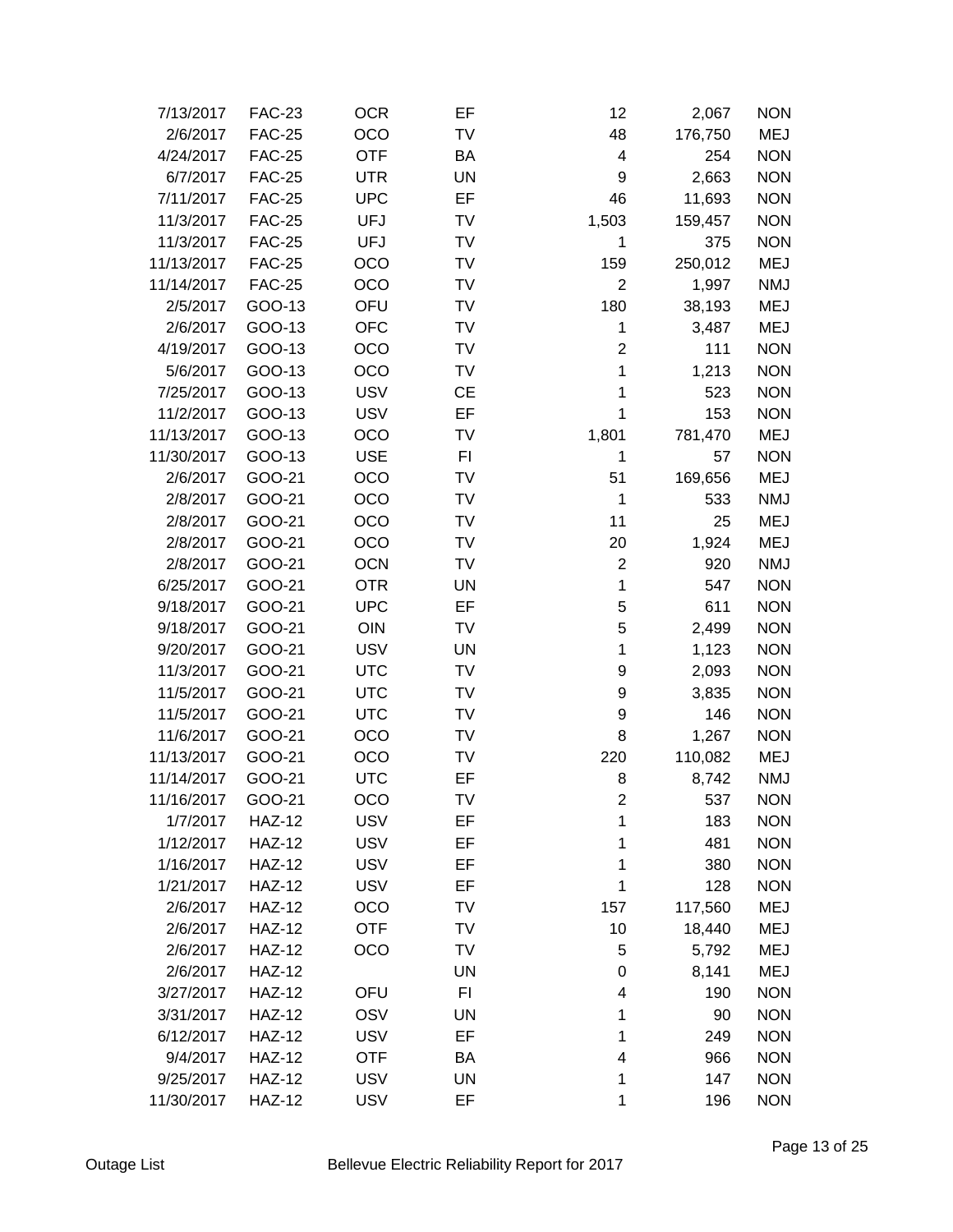| 7/13/2017  | <b>FAC-23</b> | <b>OCR</b> | EF        | 12                      | 2,067   | <b>NON</b> |
|------------|---------------|------------|-----------|-------------------------|---------|------------|
| 2/6/2017   | <b>FAC-25</b> | OCO        | TV        | 48                      | 176,750 | MEJ        |
| 4/24/2017  | <b>FAC-25</b> | <b>OTF</b> | BA        | $\overline{\mathbf{4}}$ | 254     | <b>NON</b> |
| 6/7/2017   | <b>FAC-25</b> | <b>UTR</b> | UN        | 9                       | 2,663   | <b>NON</b> |
| 7/11/2017  | <b>FAC-25</b> | <b>UPC</b> | EF        | 46                      | 11,693  | <b>NON</b> |
| 11/3/2017  | <b>FAC-25</b> | <b>UFJ</b> | TV        | 1,503                   | 159,457 | <b>NON</b> |
| 11/3/2017  | <b>FAC-25</b> | <b>UFJ</b> | TV        | 1                       | 375     | <b>NON</b> |
| 11/13/2017 | <b>FAC-25</b> | OCO        | TV        | 159                     | 250,012 | <b>MEJ</b> |
| 11/14/2017 | <b>FAC-25</b> | OCO        | TV        | $\overline{2}$          | 1,997   | <b>NMJ</b> |
| 2/5/2017   | GOO-13        | OFU        | TV        | 180                     | 38,193  | <b>MEJ</b> |
| 2/6/2017   | GOO-13        | <b>OFC</b> | TV        | 1                       | 3,487   | <b>MEJ</b> |
| 4/19/2017  | GOO-13        | OCO        | TV        | $\overline{2}$          | 111     | <b>NON</b> |
| 5/6/2017   | GOO-13        | OCO        | TV        | 1                       | 1,213   | <b>NON</b> |
| 7/25/2017  | GOO-13        | <b>USV</b> | СE        | 1                       | 523     | <b>NON</b> |
| 11/2/2017  | GOO-13        | <b>USV</b> | EF        | 1                       | 153     | <b>NON</b> |
| 11/13/2017 | GOO-13        | OCO        | TV        | 1,801                   | 781,470 | <b>MEJ</b> |
| 11/30/2017 | GOO-13        | <b>USE</b> | FI        | 1                       | 57      | <b>NON</b> |
| 2/6/2017   | GOO-21        | OCO        | TV        | 51                      | 169,656 | <b>MEJ</b> |
| 2/8/2017   | GOO-21        | OCO        | TV        | 1                       | 533     | <b>NMJ</b> |
| 2/8/2017   | GOO-21        | OCO        | TV        | 11                      | 25      | <b>MEJ</b> |
| 2/8/2017   | GOO-21        | <b>OCO</b> | TV        | 20                      | 1,924   | <b>MEJ</b> |
| 2/8/2017   | GOO-21        | <b>OCN</b> | TV        | $\overline{2}$          | 920     | <b>NMJ</b> |
| 6/25/2017  | GOO-21        | <b>OTR</b> | <b>UN</b> | $\mathbf{1}$            | 547     | <b>NON</b> |
| 9/18/2017  | GOO-21        | <b>UPC</b> | EF        | 5                       | 611     | <b>NON</b> |
| 9/18/2017  | GOO-21        | OIN        | TV        | 5                       | 2,499   | <b>NON</b> |
| 9/20/2017  | GOO-21        | <b>USV</b> | UN        | 1                       | 1,123   | <b>NON</b> |
| 11/3/2017  | GOO-21        | <b>UTC</b> | TV        | 9                       | 2,093   | <b>NON</b> |
| 11/5/2017  | GOO-21        | <b>UTC</b> | TV        | 9                       | 3,835   | <b>NON</b> |
| 11/5/2017  | GOO-21        | <b>UTC</b> | TV        | 9                       | 146     | <b>NON</b> |
| 11/6/2017  | GOO-21        | <b>OCO</b> | TV        | 8                       | 1,267   | <b>NON</b> |
| 11/13/2017 | GOO-21        | OCO        | TV        | 220                     | 110,082 | MEJ        |
| 11/14/2017 | GOO-21        | <b>UTC</b> | EF        | 8                       | 8,742   | <b>NMJ</b> |
| 11/16/2017 | GOO-21        | <b>OCO</b> | TV        | 2                       | 537     | <b>NON</b> |
| 1/7/2017   | <b>HAZ-12</b> | <b>USV</b> | EF        | 1                       | 183     | <b>NON</b> |
| 1/12/2017  | <b>HAZ-12</b> | <b>USV</b> | EF        | 1                       | 481     | <b>NON</b> |
| 1/16/2017  | <b>HAZ-12</b> | <b>USV</b> | EF        | 1                       | 380     | <b>NON</b> |
| 1/21/2017  | <b>HAZ-12</b> | <b>USV</b> | EF        | 1                       | 128     | <b>NON</b> |
| 2/6/2017   | <b>HAZ-12</b> | OCO        | TV        | 157                     | 117,560 | <b>MEJ</b> |
| 2/6/2017   | <b>HAZ-12</b> | <b>OTF</b> | TV        | 10                      | 18,440  | <b>MEJ</b> |
| 2/6/2017   | <b>HAZ-12</b> | OCO        | TV        | 5                       | 5,792   | <b>MEJ</b> |
| 2/6/2017   | <b>HAZ-12</b> |            | UN        | 0                       | 8,141   | <b>MEJ</b> |
| 3/27/2017  | <b>HAZ-12</b> | OFU        | FI        | 4                       | 190     | <b>NON</b> |
| 3/31/2017  | <b>HAZ-12</b> | OSV        | UN        | 1                       | 90      | <b>NON</b> |
| 6/12/2017  | <b>HAZ-12</b> | <b>USV</b> | EF        | 1                       | 249     | <b>NON</b> |
| 9/4/2017   | <b>HAZ-12</b> | <b>OTF</b> | BA        | 4                       | 966     | <b>NON</b> |
| 9/25/2017  | <b>HAZ-12</b> | <b>USV</b> | UN        | 1                       | 147     | <b>NON</b> |
| 11/30/2017 | <b>HAZ-12</b> | <b>USV</b> | EF        | 1                       | 196     | <b>NON</b> |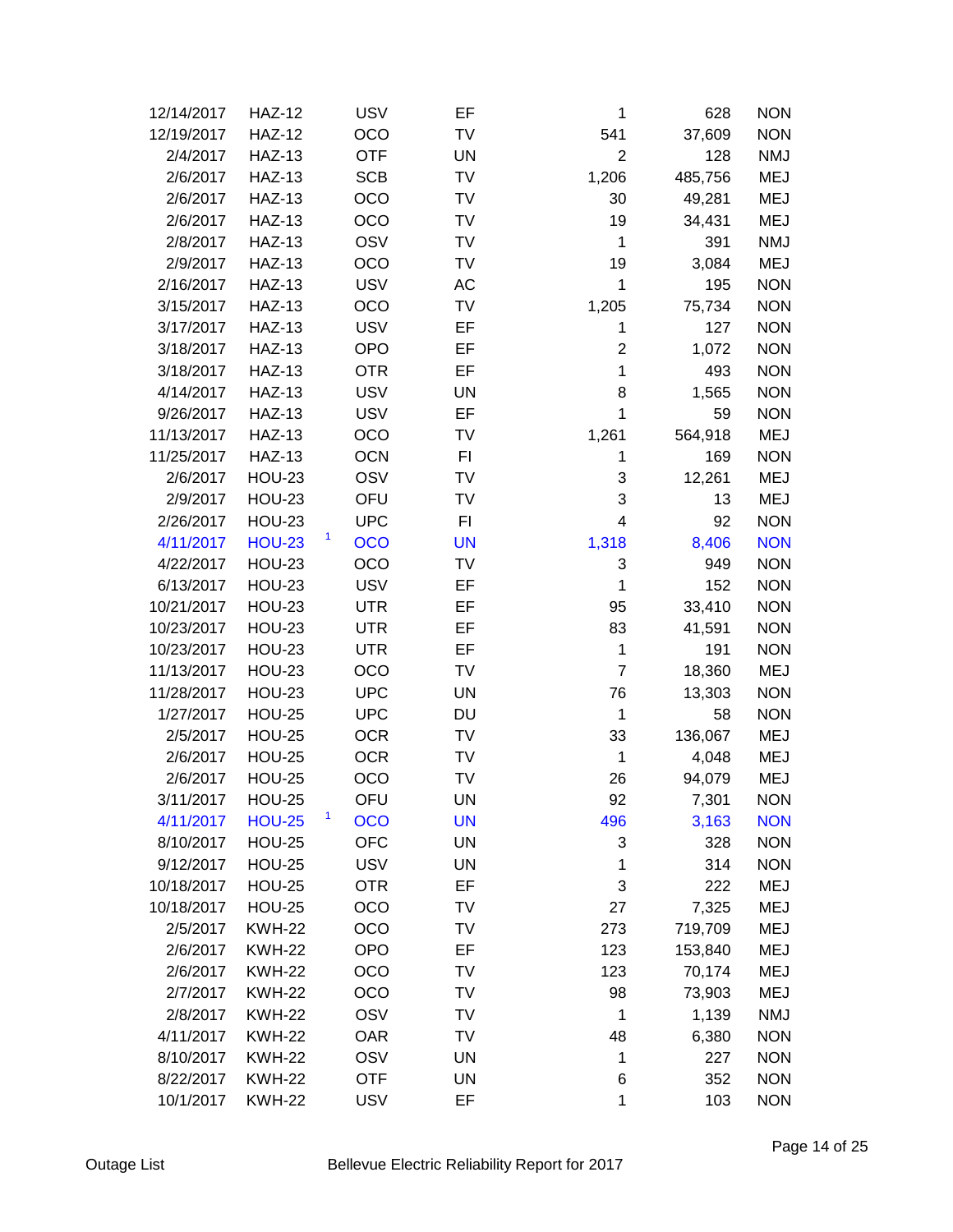| 12/14/2017 | <b>HAZ-12</b> | <b>USV</b>      | EF        | 1              | 628     | <b>NON</b> |
|------------|---------------|-----------------|-----------|----------------|---------|------------|
| 12/19/2017 | <b>HAZ-12</b> | OCO             | TV        | 541            | 37,609  | <b>NON</b> |
| 2/4/2017   | <b>HAZ-13</b> | <b>OTF</b>      | <b>UN</b> | $\overline{2}$ | 128     | <b>NMJ</b> |
| 2/6/2017   | <b>HAZ-13</b> | <b>SCB</b>      | TV        | 1,206          | 485,756 | <b>MEJ</b> |
| 2/6/2017   | <b>HAZ-13</b> | OCO             | TV        | 30             | 49,281  | <b>MEJ</b> |
| 2/6/2017   | <b>HAZ-13</b> | OCO             | TV        | 19             | 34,431  | <b>MEJ</b> |
| 2/8/2017   | <b>HAZ-13</b> | OSV             | TV        | 1              | 391     | <b>NMJ</b> |
| 2/9/2017   | <b>HAZ-13</b> | OCO             | TV        | 19             | 3,084   | <b>MEJ</b> |
| 2/16/2017  | <b>HAZ-13</b> | <b>USV</b>      | AC        | 1              | 195     | <b>NON</b> |
| 3/15/2017  | <b>HAZ-13</b> | OCO             | TV        | 1,205          | 75,734  | <b>NON</b> |
| 3/17/2017  | <b>HAZ-13</b> | <b>USV</b>      | EF        | 1              | 127     | <b>NON</b> |
| 3/18/2017  | <b>HAZ-13</b> | <b>OPO</b>      | EF        | $\overline{2}$ | 1,072   | <b>NON</b> |
| 3/18/2017  | <b>HAZ-13</b> | <b>OTR</b>      | EF        | $\mathbf{1}$   | 493     | <b>NON</b> |
| 4/14/2017  | <b>HAZ-13</b> | <b>USV</b>      | UN        | 8              | 1,565   | <b>NON</b> |
| 9/26/2017  | <b>HAZ-13</b> | <b>USV</b>      | EF        | 1              | 59      | <b>NON</b> |
| 11/13/2017 | <b>HAZ-13</b> | OCO             | TV        | 1,261          | 564,918 | <b>MEJ</b> |
| 11/25/2017 | <b>HAZ-13</b> | <b>OCN</b>      | FI        | 1              | 169     | <b>NON</b> |
| 2/6/2017   | <b>HOU-23</b> | OSV             | TV        | 3              | 12,261  | <b>MEJ</b> |
| 2/9/2017   | <b>HOU-23</b> | OFU             | TV        | 3              | 13      | <b>MEJ</b> |
| 2/26/2017  | <b>HOU-23</b> | <b>UPC</b>      | FI        | 4              | 92      | <b>NON</b> |
| 4/11/2017  | <b>HOU-23</b> | 1<br><b>OCO</b> | <b>UN</b> | 1,318          | 8,406   | <b>NON</b> |
| 4/22/2017  | <b>HOU-23</b> | OCO             | TV        | 3              | 949     | <b>NON</b> |
| 6/13/2017  | <b>HOU-23</b> | <b>USV</b>      | EF        | $\mathbf{1}$   | 152     | <b>NON</b> |
| 10/21/2017 | <b>HOU-23</b> | <b>UTR</b>      | EF        | 95             | 33,410  | <b>NON</b> |
| 10/23/2017 | <b>HOU-23</b> | <b>UTR</b>      | EF        | 83             | 41,591  | <b>NON</b> |
| 10/23/2017 | <b>HOU-23</b> | <b>UTR</b>      | EF        | $\mathbf{1}$   | 191     | <b>NON</b> |
| 11/13/2017 | <b>HOU-23</b> | <b>OCO</b>      | TV        | $\overline{7}$ | 18,360  | <b>MEJ</b> |
| 11/28/2017 | <b>HOU-23</b> | <b>UPC</b>      | <b>UN</b> | 76             | 13,303  | <b>NON</b> |
| 1/27/2017  | <b>HOU-25</b> | <b>UPC</b>      | DU        | $\mathbf 1$    | 58      | <b>NON</b> |
| 2/5/2017   | <b>HOU-25</b> | <b>OCR</b>      | TV        | 33             | 136,067 | <b>MEJ</b> |
| 2/6/2017   | <b>HOU-25</b> | <b>OCR</b>      | TV        | 1              | 4,048   | <b>MEJ</b> |
| 2/6/2017   | <b>HOU-25</b> | OCO             | TV        | 26             | 94,079  | <b>MEJ</b> |
| 3/11/2017  | <b>HOU-25</b> | OFU             | UN        | 92             | 7,301   | <b>NON</b> |
| 4/11/2017  | <b>HOU-25</b> | 1<br><b>OCO</b> | <b>UN</b> | 496            | 3,163   | <b>NON</b> |
| 8/10/2017  | <b>HOU-25</b> | <b>OFC</b>      | <b>UN</b> | 3              | 328     | <b>NON</b> |
| 9/12/2017  | <b>HOU-25</b> | <b>USV</b>      | UN        | 1              | 314     | <b>NON</b> |
| 10/18/2017 | <b>HOU-25</b> | <b>OTR</b>      | EF        | 3              | 222     | <b>MEJ</b> |
| 10/18/2017 | <b>HOU-25</b> | OCO             | TV        | 27             | 7,325   | <b>MEJ</b> |
| 2/5/2017   | <b>KWH-22</b> | OCO             | TV        | 273            | 719,709 | <b>MEJ</b> |
| 2/6/2017   | <b>KWH-22</b> | <b>OPO</b>      | EF        | 123            | 153,840 | <b>MEJ</b> |
| 2/6/2017   | <b>KWH-22</b> | OCO             | TV        | 123            | 70,174  | <b>MEJ</b> |
| 2/7/2017   | <b>KWH-22</b> | OCO             | TV        | 98             | 73,903  | <b>MEJ</b> |
| 2/8/2017   | <b>KWH-22</b> | OSV             | TV        | 1              | 1,139   | <b>NMJ</b> |
| 4/11/2017  | <b>KWH-22</b> | <b>OAR</b>      | TV        | 48             | 6,380   | <b>NON</b> |
| 8/10/2017  | <b>KWH-22</b> | OSV             | UN        | 1              | 227     | <b>NON</b> |
| 8/22/2017  | <b>KWH-22</b> | <b>OTF</b>      | UN        | 6              | 352     | <b>NON</b> |
| 10/1/2017  | <b>KWH-22</b> | <b>USV</b>      | EF        | 1              | 103     | <b>NON</b> |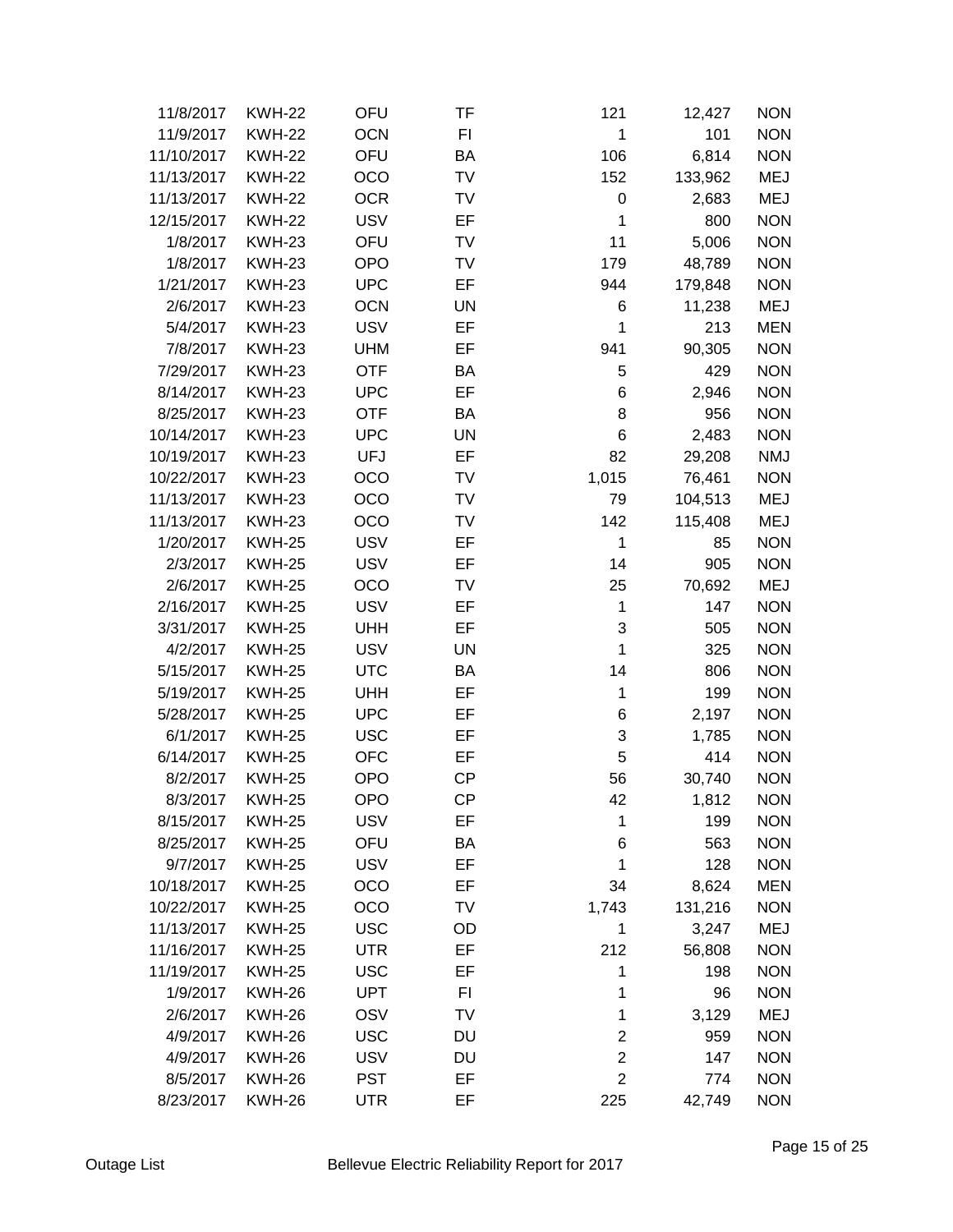| 11/8/2017  | <b>KWH-22</b> | OFU        | TF        | 121            | 12,427  | <b>NON</b> |
|------------|---------------|------------|-----------|----------------|---------|------------|
| 11/9/2017  | <b>KWH-22</b> | <b>OCN</b> | FI        | 1              | 101     | <b>NON</b> |
| 11/10/2017 | <b>KWH-22</b> | OFU        | BA        | 106            | 6,814   | <b>NON</b> |
| 11/13/2017 | <b>KWH-22</b> | OCO        | TV        | 152            | 133,962 | <b>MEJ</b> |
| 11/13/2017 | <b>KWH-22</b> | <b>OCR</b> | TV        | $\mathbf 0$    | 2,683   | <b>MEJ</b> |
| 12/15/2017 | <b>KWH-22</b> | <b>USV</b> | EF        | 1              | 800     | <b>NON</b> |
| 1/8/2017   | <b>KWH-23</b> | OFU        | TV        | 11             | 5,006   | <b>NON</b> |
| 1/8/2017   | <b>KWH-23</b> | <b>OPO</b> | TV        | 179            | 48,789  | <b>NON</b> |
| 1/21/2017  | <b>KWH-23</b> | <b>UPC</b> | EF        | 944            | 179,848 | <b>NON</b> |
| 2/6/2017   | <b>KWH-23</b> | <b>OCN</b> | <b>UN</b> | 6              | 11,238  | <b>MEJ</b> |
| 5/4/2017   | <b>KWH-23</b> | <b>USV</b> | EF        | 1              | 213     | <b>MEN</b> |
| 7/8/2017   | <b>KWH-23</b> | <b>UHM</b> | EF        | 941            | 90,305  | <b>NON</b> |
| 7/29/2017  | <b>KWH-23</b> | <b>OTF</b> | BA        | 5              | 429     | <b>NON</b> |
| 8/14/2017  | <b>KWH-23</b> | <b>UPC</b> | EF        | 6              | 2,946   | <b>NON</b> |
| 8/25/2017  | <b>KWH-23</b> | <b>OTF</b> | BA        | 8              | 956     | <b>NON</b> |
| 10/14/2017 | <b>KWH-23</b> | <b>UPC</b> | <b>UN</b> | 6              | 2,483   | <b>NON</b> |
| 10/19/2017 | <b>KWH-23</b> | <b>UFJ</b> | EF        | 82             | 29,208  | <b>NMJ</b> |
| 10/22/2017 | <b>KWH-23</b> | OCO        | TV        | 1,015          | 76,461  | <b>NON</b> |
| 11/13/2017 | <b>KWH-23</b> | OCO        | TV        | 79             | 104,513 | <b>MEJ</b> |
| 11/13/2017 | <b>KWH-23</b> | <b>OCO</b> | TV        | 142            | 115,408 | <b>MEJ</b> |
| 1/20/2017  | <b>KWH-25</b> | <b>USV</b> | EF        | $\mathbf{1}$   | 85      | <b>NON</b> |
| 2/3/2017   | <b>KWH-25</b> | <b>USV</b> | EF        | 14             | 905     | <b>NON</b> |
| 2/6/2017   | <b>KWH-25</b> | OCO        | TV        | 25             | 70,692  | <b>MEJ</b> |
| 2/16/2017  | <b>KWH-25</b> | <b>USV</b> | EF        | 1              | 147     | <b>NON</b> |
| 3/31/2017  | <b>KWH-25</b> | <b>UHH</b> | EF        | 3              | 505     | <b>NON</b> |
| 4/2/2017   | <b>KWH-25</b> | <b>USV</b> | <b>UN</b> | 1              | 325     | <b>NON</b> |
| 5/15/2017  | <b>KWH-25</b> | <b>UTC</b> | BA        | 14             | 806     | <b>NON</b> |
| 5/19/2017  | <b>KWH-25</b> | <b>UHH</b> | EF        | 1              | 199     | <b>NON</b> |
| 5/28/2017  | <b>KWH-25</b> | <b>UPC</b> | EF        | 6              | 2,197   | <b>NON</b> |
| 6/1/2017   | <b>KWH-25</b> | <b>USC</b> | EF        | 3              | 1,785   | <b>NON</b> |
| 6/14/2017  | <b>KWH-25</b> | <b>OFC</b> | EF        | 5              | 414     | <b>NON</b> |
| 8/2/2017   | <b>KWH-25</b> | <b>OPO</b> | <b>CP</b> | 56             | 30,740  | <b>NON</b> |
| 8/3/2017   | <b>KWH-25</b> | <b>OPO</b> | CP        | 42             | 1,812   | <b>NON</b> |
| 8/15/2017  | <b>KWH-25</b> | <b>USV</b> | EF        | 1              | 199     | <b>NON</b> |
| 8/25/2017  | <b>KWH-25</b> | OFU        | BA        | 6              | 563     | <b>NON</b> |
| 9/7/2017   | <b>KWH-25</b> | <b>USV</b> | EF        | 1              | 128     | <b>NON</b> |
| 10/18/2017 | <b>KWH-25</b> | OCO        | EF        | 34             | 8,624   | <b>MEN</b> |
| 10/22/2017 | <b>KWH-25</b> | OCO        | TV        | 1,743          | 131,216 | <b>NON</b> |
| 11/13/2017 | <b>KWH-25</b> | <b>USC</b> | OD        | 1              | 3,247   | <b>MEJ</b> |
| 11/16/2017 | <b>KWH-25</b> | <b>UTR</b> | EF        | 212            | 56,808  | <b>NON</b> |
| 11/19/2017 | <b>KWH-25</b> | <b>USC</b> | EF        | 1              | 198     | <b>NON</b> |
| 1/9/2017   | <b>KWH-26</b> | <b>UPT</b> | FI        | 1              | 96      | <b>NON</b> |
| 2/6/2017   | <b>KWH-26</b> | OSV        | TV        | 1              | 3,129   | <b>MEJ</b> |
| 4/9/2017   | <b>KWH-26</b> | <b>USC</b> | DU        | $\overline{2}$ | 959     | <b>NON</b> |
| 4/9/2017   | <b>KWH-26</b> | <b>USV</b> | DU        | $\overline{2}$ | 147     | <b>NON</b> |
| 8/5/2017   | <b>KWH-26</b> | <b>PST</b> | EF        | $\overline{2}$ | 774     | <b>NON</b> |
| 8/23/2017  | <b>KWH-26</b> | <b>UTR</b> | EF        | 225            | 42,749  | <b>NON</b> |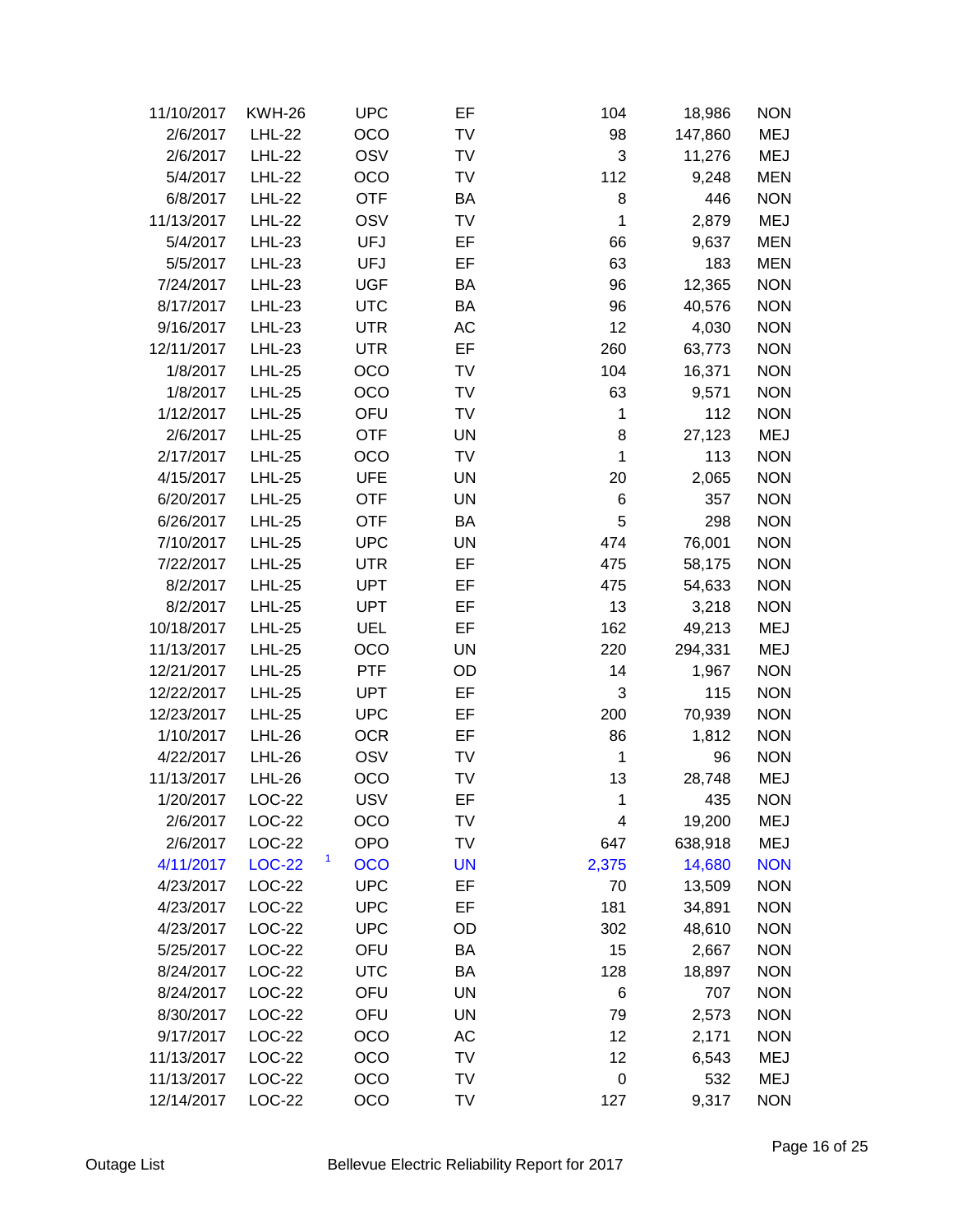| 11/10/2017 | <b>KWH-26</b> | <b>UPC</b>      | EF        | 104         | 18,986  | <b>NON</b> |
|------------|---------------|-----------------|-----------|-------------|---------|------------|
| 2/6/2017   | <b>LHL-22</b> | <b>OCO</b>      | TV        | 98          | 147,860 | MEJ        |
| 2/6/2017   | <b>LHL-22</b> | OSV             | TV        | 3           | 11,276  | <b>MEJ</b> |
| 5/4/2017   | <b>LHL-22</b> | <b>OCO</b>      | TV        | 112         | 9,248   | <b>MEN</b> |
| 6/8/2017   | <b>LHL-22</b> | <b>OTF</b>      | BA        | 8           | 446     | <b>NON</b> |
| 11/13/2017 | <b>LHL-22</b> | OSV             | TV        | 1           | 2,879   | <b>MEJ</b> |
| 5/4/2017   | <b>LHL-23</b> | <b>UFJ</b>      | EF        | 66          | 9,637   | <b>MEN</b> |
| 5/5/2017   | $LHL-23$      | <b>UFJ</b>      | EF        | 63          | 183     | <b>MEN</b> |
| 7/24/2017  | <b>LHL-23</b> | <b>UGF</b>      | BA        | 96          | 12,365  | <b>NON</b> |
| 8/17/2017  | <b>LHL-23</b> | <b>UTC</b>      | BA        | 96          | 40,576  | <b>NON</b> |
| 9/16/2017  | <b>LHL-23</b> | <b>UTR</b>      | AC        | 12          | 4,030   | <b>NON</b> |
| 12/11/2017 | $LHL-23$      | <b>UTR</b>      | EF        | 260         | 63,773  | <b>NON</b> |
| 1/8/2017   | <b>LHL-25</b> | <b>OCO</b>      | TV        | 104         | 16,371  | <b>NON</b> |
| 1/8/2017   | <b>LHL-25</b> | OCO             | TV        | 63          | 9,571   | <b>NON</b> |
| 1/12/2017  | $LHL-25$      | OFU             | <b>TV</b> | 1           | 112     | <b>NON</b> |
| 2/6/2017   | <b>LHL-25</b> | <b>OTF</b>      | <b>UN</b> | 8           | 27,123  | <b>MEJ</b> |
| 2/17/2017  | <b>LHL-25</b> | <b>OCO</b>      | TV        | 1           | 113     | <b>NON</b> |
| 4/15/2017  | $LHL-25$      | <b>UFE</b>      | <b>UN</b> | 20          | 2,065   | <b>NON</b> |
| 6/20/2017  | <b>LHL-25</b> | <b>OTF</b>      | UN        | 6           | 357     | <b>NON</b> |
| 6/26/2017  | <b>LHL-25</b> | <b>OTF</b>      | BA        | 5           | 298     | <b>NON</b> |
| 7/10/2017  | <b>LHL-25</b> | <b>UPC</b>      | <b>UN</b> | 474         | 76,001  | <b>NON</b> |
| 7/22/2017  | <b>LHL-25</b> | <b>UTR</b>      | EF        | 475         | 58,175  | <b>NON</b> |
| 8/2/2017   | <b>LHL-25</b> | <b>UPT</b>      | EF        | 475         | 54,633  | <b>NON</b> |
| 8/2/2017   | <b>LHL-25</b> | <b>UPT</b>      | EF        | 13          | 3,218   | <b>NON</b> |
| 10/18/2017 | $LHL-25$      | <b>UEL</b>      | EF        | 162         | 49,213  | <b>MEJ</b> |
| 11/13/2017 | <b>LHL-25</b> | OCO             | <b>UN</b> | 220         | 294,331 | <b>MEJ</b> |
| 12/21/2017 | <b>LHL-25</b> | <b>PTF</b>      | OD        | 14          | 1,967   | <b>NON</b> |
| 12/22/2017 | <b>LHL-25</b> | <b>UPT</b>      | EF        | 3           | 115     | <b>NON</b> |
| 12/23/2017 | <b>LHL-25</b> | <b>UPC</b>      | EF        | 200         | 70,939  | <b>NON</b> |
| 1/10/2017  | <b>LHL-26</b> | <b>OCR</b>      | EF        | 86          | 1,812   | <b>NON</b> |
| 4/22/2017  | <b>LHL-26</b> | OSV             | TV        | 1           | 96      | <b>NON</b> |
| 11/13/2017 | $LHL-26$      | OCO             | TV        | 13          | 28,748  | <b>MEJ</b> |
| 1/20/2017  | LOC-22        | <b>USV</b>      | EF        | 1           | 435     | <b>NON</b> |
| 2/6/2017   | <b>LOC-22</b> | OCO             | TV        | 4           | 19,200  | MEJ        |
| 2/6/2017   | <b>LOC-22</b> | <b>OPO</b>      | TV        | 647         | 638,918 | <b>MEJ</b> |
| 4/11/2017  | <b>LOC-22</b> | 1<br><b>OCO</b> | <b>UN</b> | 2,375       | 14,680  | <b>NON</b> |
| 4/23/2017  | <b>LOC-22</b> | <b>UPC</b>      | EF        | 70          | 13,509  | <b>NON</b> |
| 4/23/2017  | LOC-22        | <b>UPC</b>      | EF        | 181         | 34,891  | <b>NON</b> |
| 4/23/2017  | LOC-22        | <b>UPC</b>      | OD        | 302         | 48,610  | <b>NON</b> |
| 5/25/2017  | LOC-22        | OFU             | BA        | 15          | 2,667   | <b>NON</b> |
| 8/24/2017  | <b>LOC-22</b> | <b>UTC</b>      | BA        | 128         | 18,897  | <b>NON</b> |
| 8/24/2017  | LOC-22        | OFU             | UN        | 6           | 707     | <b>NON</b> |
| 8/30/2017  | LOC-22        | OFU             | <b>UN</b> | 79          | 2,573   | <b>NON</b> |
| 9/17/2017  | <b>LOC-22</b> | OCO             | АC        | 12          | 2,171   | <b>NON</b> |
| 11/13/2017 | LOC-22        | OCO             | TV        | 12          | 6,543   | MEJ        |
| 11/13/2017 | LOC-22        | OCO             | TV        | $\mathbf 0$ | 532     | MEJ        |
| 12/14/2017 | LOC-22        | OCO             | TV        | 127         | 9,317   | <b>NON</b> |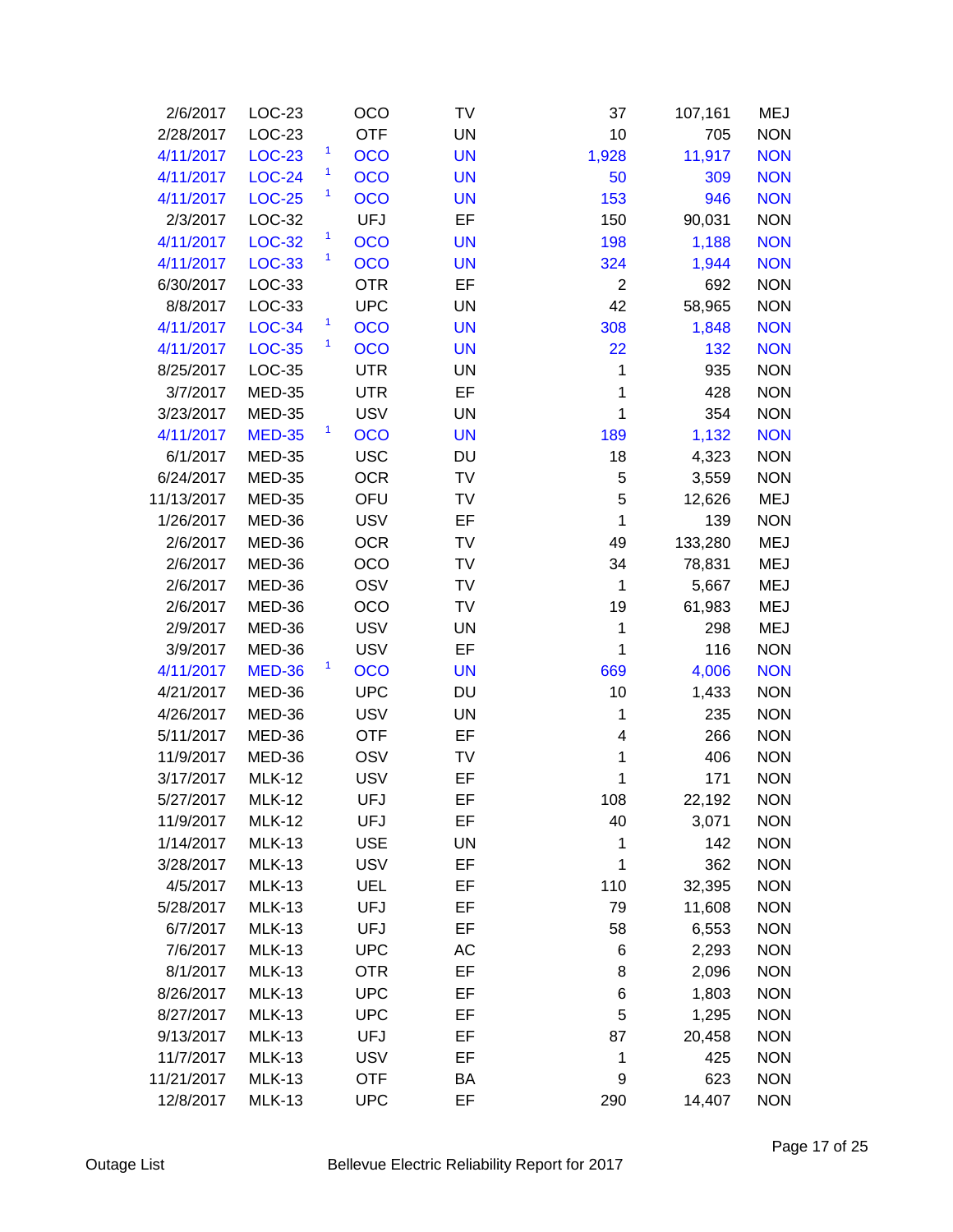| 2/6/2017   | LOC-23        | OCO                        | TV        | 37             | 107,161 | MEJ        |
|------------|---------------|----------------------------|-----------|----------------|---------|------------|
| 2/28/2017  | LOC-23        | <b>OTF</b>                 | <b>UN</b> | 10             | 705     | <b>NON</b> |
| 4/11/2017  | <b>LOC-23</b> | $\mathbf{1}$<br><b>OCO</b> | <b>UN</b> | 1,928          | 11,917  | <b>NON</b> |
| 4/11/2017  | <b>LOC-24</b> | 1<br>OCO                   | <b>UN</b> | 50             | 309     | <b>NON</b> |
| 4/11/2017  | <b>LOC-25</b> | $\mathbf{1}$<br>OCO        | <b>UN</b> | 153            | 946     | <b>NON</b> |
| 2/3/2017   | LOC-32        | <b>UFJ</b>                 | EF        | 150            | 90,031  | <b>NON</b> |
| 4/11/2017  | <b>LOC-32</b> | $\mathbf{1}$<br><b>OCO</b> | <b>UN</b> | 198            | 1,188   | <b>NON</b> |
| 4/11/2017  | <b>LOC-33</b> | $\mathbf{1}$<br><b>OCO</b> | <b>UN</b> | 324            | 1,944   | <b>NON</b> |
| 6/30/2017  | LOC-33        | <b>OTR</b>                 | EF        | $\overline{2}$ | 692     | <b>NON</b> |
| 8/8/2017   | LOC-33        | <b>UPC</b>                 | UN        | 42             | 58,965  | <b>NON</b> |
| 4/11/2017  | <b>LOC-34</b> | $\mathbf{1}$<br>OCO        | <b>UN</b> | 308            | 1,848   | <b>NON</b> |
| 4/11/2017  | <b>LOC-35</b> | $\mathbf{1}$<br>OCO        | <b>UN</b> | 22             | 132     | <b>NON</b> |
| 8/25/2017  | LOC-35        | <b>UTR</b>                 | <b>UN</b> | $\mathbf{1}$   | 935     | <b>NON</b> |
| 3/7/2017   | <b>MED-35</b> | <b>UTR</b>                 | EF        | 1              | 428     | <b>NON</b> |
| 3/23/2017  | <b>MED-35</b> | <b>USV</b>                 | <b>UN</b> | 1              | 354     | <b>NON</b> |
| 4/11/2017  | <b>MED-35</b> | $\mathbf{1}$<br><b>OCO</b> | <b>UN</b> | 189            | 1,132   | <b>NON</b> |
| 6/1/2017   | <b>MED-35</b> | <b>USC</b>                 | DU        | 18             | 4,323   | <b>NON</b> |
| 6/24/2017  | <b>MED-35</b> | <b>OCR</b>                 | TV        | 5              | 3,559   | <b>NON</b> |
| 11/13/2017 | <b>MED-35</b> | OFU                        | TV        | 5              | 12,626  | <b>MEJ</b> |
| 1/26/2017  | MED-36        | <b>USV</b>                 | EF        | $\mathbf{1}$   | 139     | <b>NON</b> |
| 2/6/2017   | MED-36        | <b>OCR</b>                 | TV        | 49             | 133,280 | <b>MEJ</b> |
| 2/6/2017   | MED-36        | OCO                        | TV        | 34             | 78,831  | <b>MEJ</b> |
| 2/6/2017   | MED-36        | OSV                        | TV        | $\mathbf 1$    | 5,667   | <b>MEJ</b> |
| 2/6/2017   | MED-36        | OCO                        | TV        | 19             | 61,983  | <b>MEJ</b> |
| 2/9/2017   | MED-36        | <b>USV</b>                 | UN        | 1              | 298     | <b>MEJ</b> |
| 3/9/2017   | MED-36        | <b>USV</b>                 | EF        | 1              | 116     | <b>NON</b> |
| 4/11/2017  | <b>MED-36</b> | 1<br><b>OCO</b>            | <b>UN</b> | 669            | 4,006   | <b>NON</b> |
| 4/21/2017  | MED-36        | <b>UPC</b>                 | DU        | 10             | 1,433   | <b>NON</b> |
| 4/26/2017  | MED-36        | <b>USV</b>                 | <b>UN</b> | $\mathbf{1}$   | 235     | <b>NON</b> |
| 5/11/2017  | MED-36        | <b>OTF</b>                 | EF        | 4              | 266     | <b>NON</b> |
| 11/9/2017  | MED-36        | OSV                        | TV        | 1              | 406     | <b>NON</b> |
| 3/17/2017  | <b>MLK-12</b> | <b>USV</b>                 | EF        | 1              | 171     | <b>NON</b> |
| 5/27/2017  | <b>MLK-12</b> | <b>UFJ</b>                 | EF        | 108            | 22,192  | <b>NON</b> |
| 11/9/2017  | <b>MLK-12</b> | UFJ                        | EF        | 40             | 3,071   | <b>NON</b> |
| 1/14/2017  | <b>MLK-13</b> | <b>USE</b>                 | <b>UN</b> | 1              | 142     | <b>NON</b> |
| 3/28/2017  | <b>MLK-13</b> | <b>USV</b>                 | EF        | 1              | 362     | <b>NON</b> |
| 4/5/2017   | <b>MLK-13</b> | <b>UEL</b>                 | EF        | 110            | 32,395  | <b>NON</b> |
| 5/28/2017  | <b>MLK-13</b> | <b>UFJ</b>                 | EF        | 79             | 11,608  | <b>NON</b> |
| 6/7/2017   | <b>MLK-13</b> | <b>UFJ</b>                 | EF        | 58             | 6,553   | <b>NON</b> |
| 7/6/2017   | <b>MLK-13</b> | <b>UPC</b>                 | AC        | 6              | 2,293   | <b>NON</b> |
| 8/1/2017   | <b>MLK-13</b> | <b>OTR</b>                 | EF        | 8              | 2,096   | <b>NON</b> |
| 8/26/2017  | <b>MLK-13</b> | <b>UPC</b>                 | EF        | 6              | 1,803   | <b>NON</b> |
| 8/27/2017  | <b>MLK-13</b> | <b>UPC</b>                 | EF        | 5              | 1,295   | <b>NON</b> |
| 9/13/2017  | <b>MLK-13</b> | <b>UFJ</b>                 | EF        | 87             | 20,458  | <b>NON</b> |
| 11/7/2017  | <b>MLK-13</b> | <b>USV</b>                 | EF        | 1              | 425     | <b>NON</b> |
| 11/21/2017 | <b>MLK-13</b> | <b>OTF</b>                 | BA        | 9              | 623     | <b>NON</b> |
| 12/8/2017  | <b>MLK-13</b> | <b>UPC</b>                 | EF        | 290            | 14,407  | <b>NON</b> |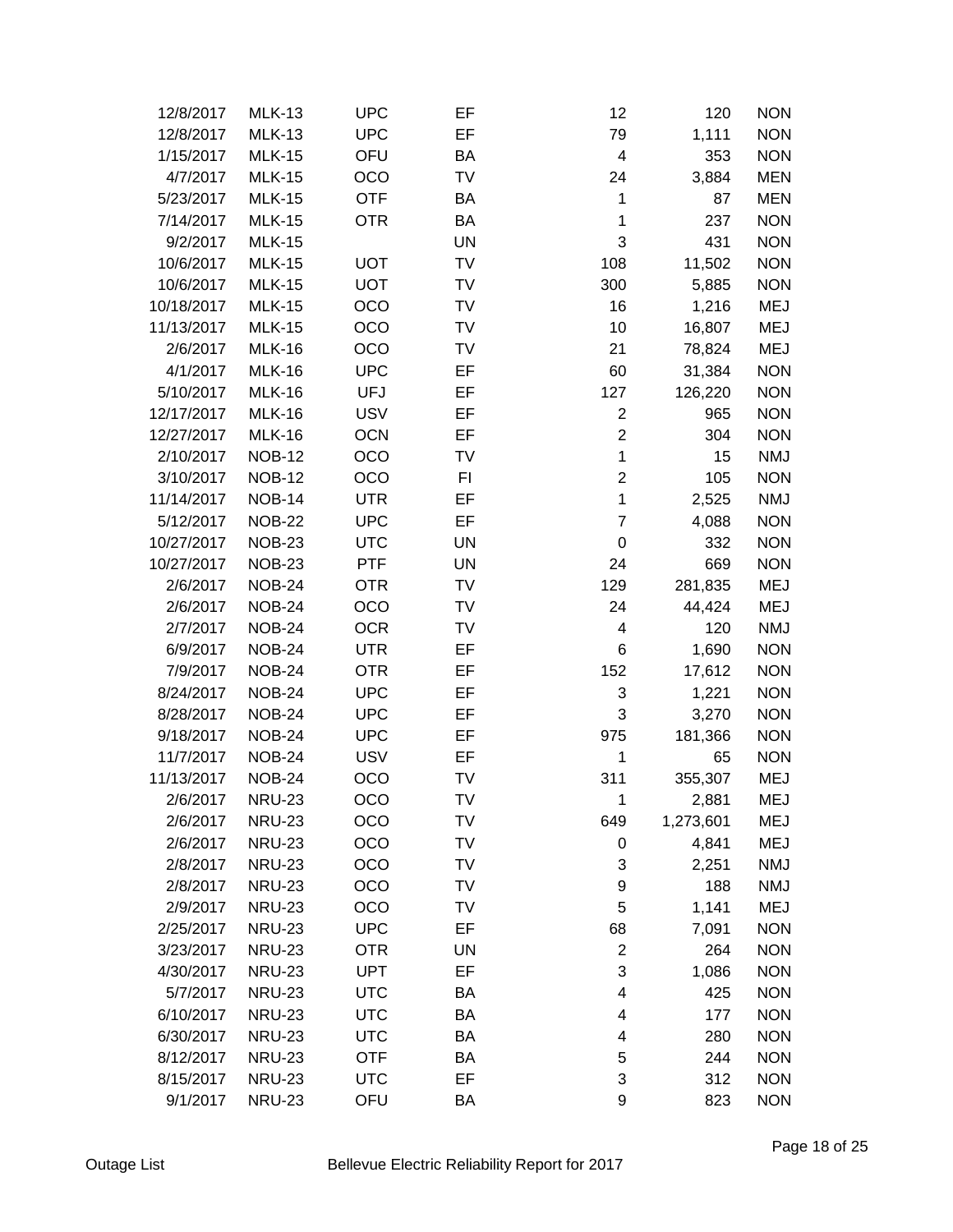| 12/8/2017  | <b>MLK-13</b> | <b>UPC</b> | EF        | 12             | 120       | <b>NON</b> |
|------------|---------------|------------|-----------|----------------|-----------|------------|
| 12/8/2017  | <b>MLK-13</b> | <b>UPC</b> | EF        | 79             | 1,111     | <b>NON</b> |
| 1/15/2017  | <b>MLK-15</b> | OFU        | BA        | 4              | 353       | <b>NON</b> |
| 4/7/2017   | <b>MLK-15</b> | OCO        | TV        | 24             | 3,884     | <b>MEN</b> |
| 5/23/2017  | <b>MLK-15</b> | <b>OTF</b> | BA        | 1              | 87        | <b>MEN</b> |
| 7/14/2017  | <b>MLK-15</b> | <b>OTR</b> | BA        | 1              | 237       | <b>NON</b> |
| 9/2/2017   | <b>MLK-15</b> |            | UN        | 3              | 431       | <b>NON</b> |
| 10/6/2017  | <b>MLK-15</b> | <b>UOT</b> | TV        | 108            | 11,502    | <b>NON</b> |
| 10/6/2017  | <b>MLK-15</b> | <b>UOT</b> | TV        | 300            | 5,885     | <b>NON</b> |
| 10/18/2017 | <b>MLK-15</b> | OCO        | TV        | 16             | 1,216     | <b>MEJ</b> |
| 11/13/2017 | <b>MLK-15</b> | OCO        | TV        | 10             | 16,807    | <b>MEJ</b> |
| 2/6/2017   | <b>MLK-16</b> | OCO        | TV        | 21             | 78,824    | <b>MEJ</b> |
| 4/1/2017   | <b>MLK-16</b> | <b>UPC</b> | EF        | 60             | 31,384    | <b>NON</b> |
| 5/10/2017  | <b>MLK-16</b> | <b>UFJ</b> | EF        | 127            | 126,220   | <b>NON</b> |
| 12/17/2017 | <b>MLK-16</b> | <b>USV</b> | EF        | $\overline{c}$ | 965       | <b>NON</b> |
| 12/27/2017 | <b>MLK-16</b> | <b>OCN</b> | EF        | $\overline{c}$ | 304       | <b>NON</b> |
| 2/10/2017  | <b>NOB-12</b> | OCO        | TV        | $\mathbf{1}$   | 15        | <b>NMJ</b> |
| 3/10/2017  | <b>NOB-12</b> | OCO        | FI        | $\overline{2}$ | 105       | <b>NON</b> |
| 11/14/2017 | <b>NOB-14</b> | <b>UTR</b> | EF        | 1              | 2,525     | <b>NMJ</b> |
| 5/12/2017  | <b>NOB-22</b> | <b>UPC</b> | EF        | $\overline{7}$ | 4,088     | <b>NON</b> |
| 10/27/2017 | <b>NOB-23</b> | <b>UTC</b> | UN        | 0              | 332       | <b>NON</b> |
| 10/27/2017 | <b>NOB-23</b> | <b>PTF</b> | <b>UN</b> | 24             | 669       | <b>NON</b> |
| 2/6/2017   | <b>NOB-24</b> | <b>OTR</b> | TV        | 129            | 281,835   | <b>MEJ</b> |
| 2/6/2017   | <b>NOB-24</b> | OCO        | TV        | 24             | 44,424    | <b>MEJ</b> |
| 2/7/2017   | <b>NOB-24</b> | <b>OCR</b> | TV        | 4              | 120       | <b>NMJ</b> |
| 6/9/2017   | <b>NOB-24</b> | <b>UTR</b> | EF        | 6              | 1,690     | <b>NON</b> |
| 7/9/2017   | <b>NOB-24</b> | <b>OTR</b> | EF        | 152            | 17,612    | <b>NON</b> |
| 8/24/2017  | <b>NOB-24</b> | <b>UPC</b> | EF        | 3              | 1,221     | <b>NON</b> |
| 8/28/2017  | <b>NOB-24</b> | <b>UPC</b> | EF        | 3              | 3,270     | <b>NON</b> |
| 9/18/2017  | <b>NOB-24</b> | <b>UPC</b> | EF        | 975            | 181,366   | <b>NON</b> |
| 11/7/2017  | <b>NOB-24</b> | <b>USV</b> | EF        | 1              | 65        | <b>NON</b> |
| 11/13/2017 | <b>NOB-24</b> | OCO        | TV        | 311            | 355,307   | <b>MEJ</b> |
| 2/6/2017   | <b>NRU-23</b> | OCO        | TV        | 1              | 2,881     | MEJ        |
| 2/6/2017   | <b>NRU-23</b> | OCO        | TV        | 649            | 1,273,601 | MEJ        |
| 2/6/2017   | <b>NRU-23</b> | OCO        | TV        | 0              | 4,841     | <b>MEJ</b> |
| 2/8/2017   | <b>NRU-23</b> | OCO        | TV        | 3              | 2,251     | <b>NMJ</b> |
| 2/8/2017   | <b>NRU-23</b> | OCO        | TV        | 9              | 188       | <b>NMJ</b> |
| 2/9/2017   | <b>NRU-23</b> | OCO        | TV        | 5              | 1,141     | <b>MEJ</b> |
| 2/25/2017  | <b>NRU-23</b> | <b>UPC</b> | EF        | 68             | 7,091     | <b>NON</b> |
| 3/23/2017  | <b>NRU-23</b> | <b>OTR</b> | UN        | $\overline{2}$ | 264       | <b>NON</b> |
| 4/30/2017  | <b>NRU-23</b> | <b>UPT</b> | EF        | 3              | 1,086     | <b>NON</b> |
| 5/7/2017   | <b>NRU-23</b> | <b>UTC</b> | BA        | 4              | 425       | <b>NON</b> |
| 6/10/2017  | <b>NRU-23</b> | <b>UTC</b> | BA        | 4              | 177       | <b>NON</b> |
| 6/30/2017  | <b>NRU-23</b> | <b>UTC</b> | BA        | 4              | 280       | <b>NON</b> |
| 8/12/2017  | <b>NRU-23</b> | <b>OTF</b> | BA        | 5              | 244       | <b>NON</b> |
| 8/15/2017  | <b>NRU-23</b> | <b>UTC</b> | EF        | 3              | 312       | <b>NON</b> |
| 9/1/2017   | <b>NRU-23</b> | OFU        | BA        | 9              | 823       | <b>NON</b> |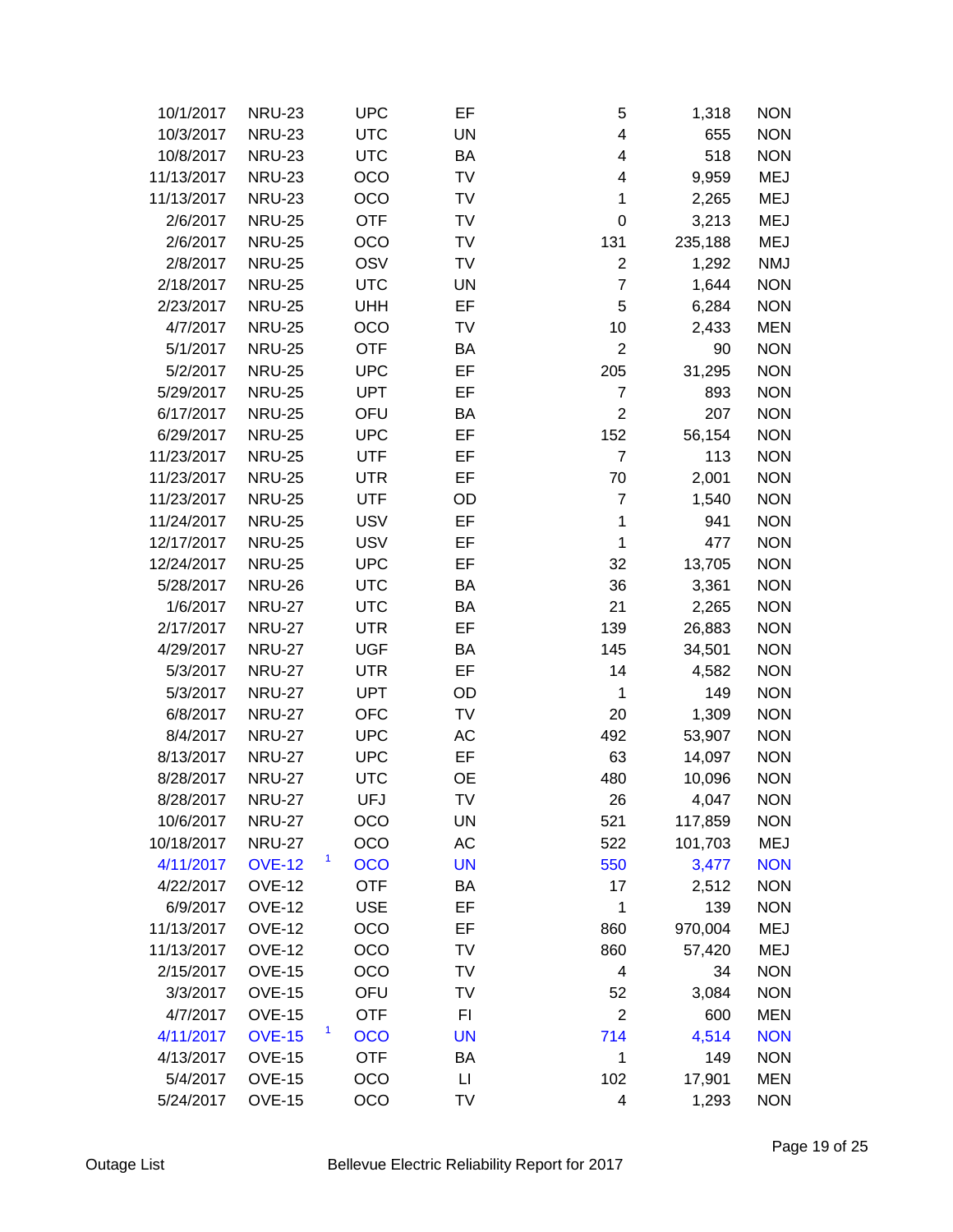| 10/1/2017  | <b>NRU-23</b> | <b>UPC</b>      | EF        | 5              | 1,318   | <b>NON</b> |
|------------|---------------|-----------------|-----------|----------------|---------|------------|
| 10/3/2017  | <b>NRU-23</b> | <b>UTC</b>      | <b>UN</b> | 4              | 655     | <b>NON</b> |
| 10/8/2017  | <b>NRU-23</b> | <b>UTC</b>      | BA        | 4              | 518     | <b>NON</b> |
| 11/13/2017 | <b>NRU-23</b> | OCO             | TV        | 4              | 9,959   | <b>MEJ</b> |
| 11/13/2017 | <b>NRU-23</b> | OCO             | TV        | 1              | 2,265   | <b>MEJ</b> |
| 2/6/2017   | <b>NRU-25</b> | <b>OTF</b>      | <b>TV</b> | 0              | 3,213   | <b>MEJ</b> |
| 2/6/2017   | <b>NRU-25</b> | OCO             | TV        | 131            | 235,188 | <b>MEJ</b> |
| 2/8/2017   | <b>NRU-25</b> | OSV             | <b>TV</b> | $\overline{2}$ | 1,292   | <b>NMJ</b> |
| 2/18/2017  | <b>NRU-25</b> | <b>UTC</b>      | <b>UN</b> | $\overline{7}$ | 1,644   | <b>NON</b> |
| 2/23/2017  | <b>NRU-25</b> | <b>UHH</b>      | EF        | 5              | 6,284   | <b>NON</b> |
| 4/7/2017   | <b>NRU-25</b> | OCO             | TV        | 10             | 2,433   | <b>MEN</b> |
| 5/1/2017   | <b>NRU-25</b> | <b>OTF</b>      | BA        | $\overline{2}$ | 90      | <b>NON</b> |
| 5/2/2017   | <b>NRU-25</b> | <b>UPC</b>      | EF        | 205            | 31,295  | <b>NON</b> |
| 5/29/2017  | <b>NRU-25</b> | <b>UPT</b>      | EF        | $\overline{7}$ | 893     | <b>NON</b> |
| 6/17/2017  | <b>NRU-25</b> | OFU             | BA        | $\overline{2}$ | 207     | <b>NON</b> |
| 6/29/2017  | <b>NRU-25</b> | <b>UPC</b>      | EF        | 152            | 56,154  | <b>NON</b> |
| 11/23/2017 | <b>NRU-25</b> | <b>UTF</b>      | EF        | $\overline{7}$ | 113     | <b>NON</b> |
| 11/23/2017 | <b>NRU-25</b> | <b>UTR</b>      | EF        | 70             | 2,001   | <b>NON</b> |
| 11/23/2017 | <b>NRU-25</b> | <b>UTF</b>      | OD        | $\overline{7}$ | 1,540   | <b>NON</b> |
| 11/24/2017 | <b>NRU-25</b> | <b>USV</b>      | EF        | $\mathbf{1}$   | 941     | <b>NON</b> |
| 12/17/2017 | <b>NRU-25</b> | <b>USV</b>      | EF        | 1              | 477     | <b>NON</b> |
| 12/24/2017 | <b>NRU-25</b> | <b>UPC</b>      | EF        | 32             | 13,705  | <b>NON</b> |
| 5/28/2017  | <b>NRU-26</b> | <b>UTC</b>      | BA        | 36             | 3,361   | <b>NON</b> |
| 1/6/2017   | <b>NRU-27</b> | <b>UTC</b>      | BA        | 21             | 2,265   | <b>NON</b> |
| 2/17/2017  | <b>NRU-27</b> | <b>UTR</b>      | EF        | 139            | 26,883  | <b>NON</b> |
| 4/29/2017  | <b>NRU-27</b> | <b>UGF</b>      | BA        | 145            | 34,501  | <b>NON</b> |
| 5/3/2017   | <b>NRU-27</b> | <b>UTR</b>      | EF        | 14             | 4,582   | <b>NON</b> |
| 5/3/2017   | <b>NRU-27</b> | <b>UPT</b>      | OD        | 1              | 149     | <b>NON</b> |
| 6/8/2017   | <b>NRU-27</b> | <b>OFC</b>      | TV        | 20             | 1,309   | <b>NON</b> |
| 8/4/2017   | <b>NRU-27</b> | <b>UPC</b>      | AC        | 492            | 53,907  | <b>NON</b> |
| 8/13/2017  | <b>NRU-27</b> | <b>UPC</b>      | EF        | 63             | 14,097  | <b>NON</b> |
| 8/28/2017  | <b>NRU-27</b> | <b>UTC</b>      | <b>OE</b> | 480            | 10,096  | <b>NON</b> |
| 8/28/2017  | <b>NRU-27</b> | UFJ             | TV        | 26             | 4,047   | <b>NON</b> |
| 10/6/2017  | <b>NRU-27</b> | OCO             | UN        | 521            | 117,859 | <b>NON</b> |
| 10/18/2017 | <b>NRU-27</b> | OCO             | AC        | 522            | 101,703 | <b>MEJ</b> |
| 4/11/2017  | <b>OVE-12</b> | <b>OCO</b>      | <b>UN</b> | 550            | 3,477   | <b>NON</b> |
| 4/22/2017  | <b>OVE-12</b> | <b>OTF</b>      | BA        | 17             | 2,512   | <b>NON</b> |
| 6/9/2017   | <b>OVE-12</b> | <b>USE</b>      | EF        | 1              | 139     | <b>NON</b> |
| 11/13/2017 | <b>OVE-12</b> | OCO             | EF        | 860            | 970,004 | <b>MEJ</b> |
| 11/13/2017 | <b>OVE-12</b> | OCO             | TV        | 860            | 57,420  | MEJ        |
| 2/15/2017  | <b>OVE-15</b> | OCO             | <b>TV</b> | 4              | 34      | <b>NON</b> |
| 3/3/2017   | <b>OVE-15</b> | OFU             | TV        | 52             | 3,084   | <b>NON</b> |
| 4/7/2017   | <b>OVE-15</b> | <b>OTF</b>      | FI        | $\overline{2}$ | 600     | <b>MEN</b> |
| 4/11/2017  | <b>OVE-15</b> | 1<br><b>OCO</b> | <b>UN</b> | 714            | 4,514   | <b>NON</b> |
| 4/13/2017  | <b>OVE-15</b> | <b>OTF</b>      | BA        | 1              | 149     | <b>NON</b> |
| 5/4/2017   | <b>OVE-15</b> | OCO             | П         | 102            | 17,901  | <b>MEN</b> |
| 5/24/2017  | <b>OVE-15</b> | OCO             | <b>TV</b> | 4              | 1,293   | <b>NON</b> |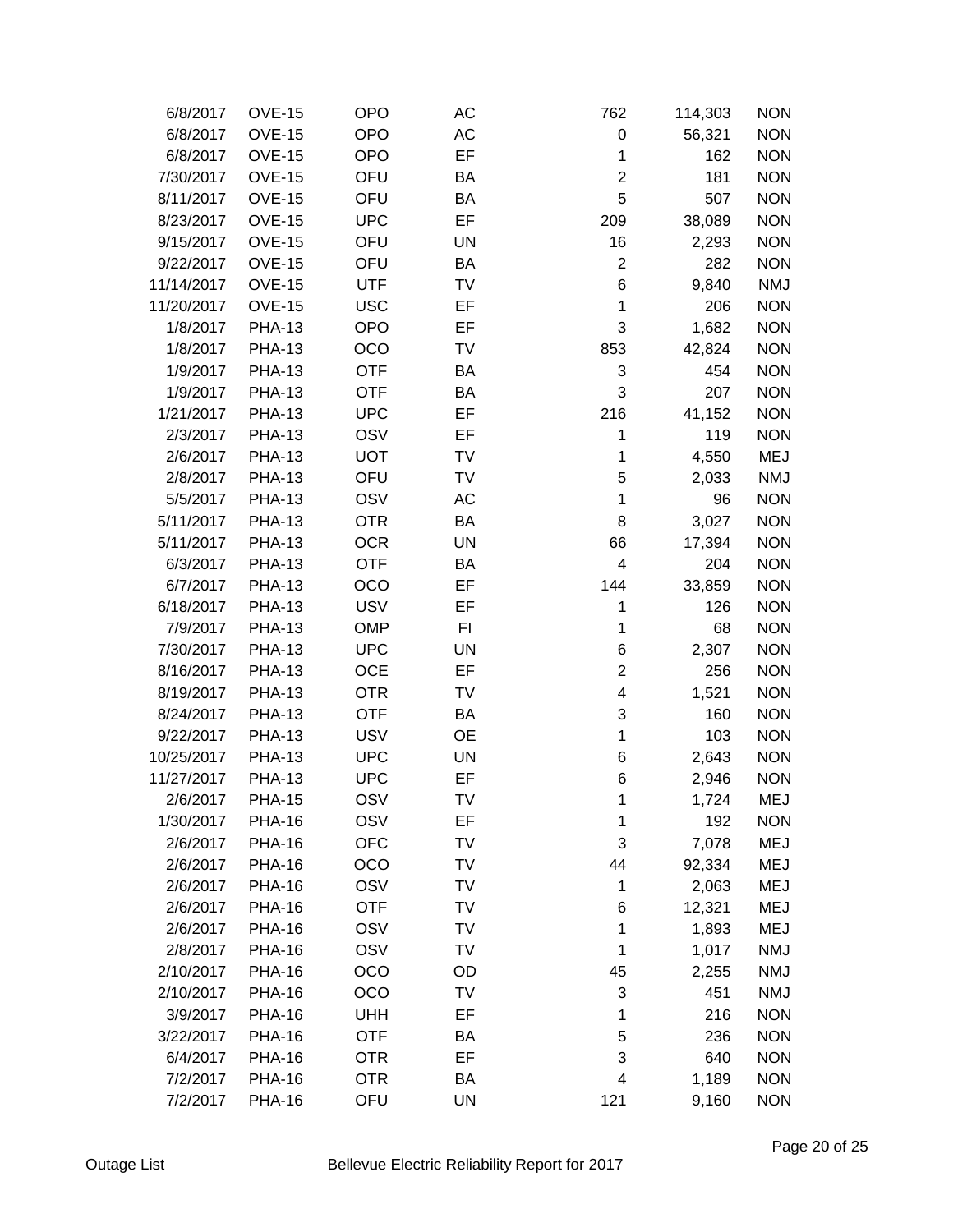| 6/8/2017   | <b>OVE-15</b> | <b>OPO</b> | AC        | 762                     | 114,303 | <b>NON</b> |
|------------|---------------|------------|-----------|-------------------------|---------|------------|
| 6/8/2017   | <b>OVE-15</b> | <b>OPO</b> | AC        | 0                       | 56,321  | <b>NON</b> |
| 6/8/2017   | <b>OVE-15</b> | <b>OPO</b> | EF        | 1                       | 162     | <b>NON</b> |
| 7/30/2017  | <b>OVE-15</b> | OFU        | BA        | $\overline{c}$          | 181     | <b>NON</b> |
| 8/11/2017  | <b>OVE-15</b> | OFU        | BA        | 5                       | 507     | <b>NON</b> |
| 8/23/2017  | <b>OVE-15</b> | <b>UPC</b> | EF        | 209                     | 38,089  | <b>NON</b> |
| 9/15/2017  | <b>OVE-15</b> | OFU        | UN        | 16                      | 2,293   | <b>NON</b> |
| 9/22/2017  | <b>OVE-15</b> | OFU        | BA        | $\overline{2}$          | 282     | <b>NON</b> |
| 11/14/2017 | <b>OVE-15</b> | <b>UTF</b> | TV        | 6                       | 9,840   | <b>NMJ</b> |
| 11/20/2017 | <b>OVE-15</b> | <b>USC</b> | EF        | $\mathbf{1}$            | 206     | <b>NON</b> |
| 1/8/2017   | <b>PHA-13</b> | <b>OPO</b> | EF        | 3                       | 1,682   | <b>NON</b> |
| 1/8/2017   | <b>PHA-13</b> | OCO        | TV        | 853                     | 42,824  | <b>NON</b> |
| 1/9/2017   | <b>PHA-13</b> | <b>OTF</b> | BA        | 3                       | 454     | <b>NON</b> |
| 1/9/2017   | <b>PHA-13</b> | <b>OTF</b> | BA        | 3                       | 207     | <b>NON</b> |
| 1/21/2017  | <b>PHA-13</b> | <b>UPC</b> | EF        | 216                     | 41,152  | <b>NON</b> |
| 2/3/2017   | <b>PHA-13</b> | OSV        | EF        | 1                       | 119     | <b>NON</b> |
| 2/6/2017   | <b>PHA-13</b> | <b>UOT</b> | TV        | 1                       | 4,550   | MEJ        |
| 2/8/2017   | <b>PHA-13</b> | OFU        | TV        | 5                       | 2,033   | <b>NMJ</b> |
| 5/5/2017   | <b>PHA-13</b> | OSV        | AC        | 1                       | 96      | <b>NON</b> |
| 5/11/2017  | <b>PHA-13</b> | <b>OTR</b> | BA        | 8                       | 3,027   | <b>NON</b> |
| 5/11/2017  | <b>PHA-13</b> | <b>OCR</b> | UN        | 66                      | 17,394  | <b>NON</b> |
| 6/3/2017   | <b>PHA-13</b> | <b>OTF</b> | BA        | 4                       | 204     | <b>NON</b> |
| 6/7/2017   | <b>PHA-13</b> | OCO        | EF        | 144                     | 33,859  | <b>NON</b> |
| 6/18/2017  | <b>PHA-13</b> | <b>USV</b> | EF        | 1                       | 126     | <b>NON</b> |
| 7/9/2017   | <b>PHA-13</b> | <b>OMP</b> | FI        | 1                       | 68      | <b>NON</b> |
| 7/30/2017  | <b>PHA-13</b> | <b>UPC</b> | <b>UN</b> | 6                       | 2,307   | <b>NON</b> |
| 8/16/2017  | <b>PHA-13</b> | <b>OCE</b> | EF        | $\overline{c}$          | 256     | <b>NON</b> |
| 8/19/2017  | <b>PHA-13</b> | <b>OTR</b> | TV        | $\overline{\mathbf{4}}$ | 1,521   | <b>NON</b> |
| 8/24/2017  | <b>PHA-13</b> | <b>OTF</b> | BA        | 3                       | 160     | <b>NON</b> |
| 9/22/2017  | <b>PHA-13</b> | <b>USV</b> | <b>OE</b> | $\mathbf{1}$            | 103     | <b>NON</b> |
| 10/25/2017 | <b>PHA-13</b> | <b>UPC</b> | UN        | 6                       | 2,643   | <b>NON</b> |
| 11/27/2017 | <b>PHA-13</b> | <b>UPC</b> | EF        | 6                       | 2,946   | <b>NON</b> |
| 2/6/2017   | <b>PHA-15</b> | OSV        | TV        | 1                       | 1,724   | MEJ        |
| 1/30/2017  | <b>PHA-16</b> | OSV        | EF        | 1                       | 192     | <b>NON</b> |
| 2/6/2017   | <b>PHA-16</b> | <b>OFC</b> | TV        | 3                       | 7,078   | <b>MEJ</b> |
| 2/6/2017   | <b>PHA-16</b> | OCO        | TV        | 44                      | 92,334  | <b>MEJ</b> |
| 2/6/2017   | <b>PHA-16</b> | OSV        | TV        | 1                       | 2,063   | MEJ        |
| 2/6/2017   | <b>PHA-16</b> | <b>OTF</b> | TV        | 6                       | 12,321  | <b>MEJ</b> |
| 2/6/2017   | <b>PHA-16</b> | OSV        | TV        | 1                       | 1,893   | <b>MEJ</b> |
| 2/8/2017   | <b>PHA-16</b> | OSV        | TV        | 1                       | 1,017   | <b>NMJ</b> |
| 2/10/2017  | <b>PHA-16</b> | OCO        | OD        | 45                      | 2,255   | <b>NMJ</b> |
| 2/10/2017  | <b>PHA-16</b> | OCO        | TV        | 3                       | 451     | <b>NMJ</b> |
| 3/9/2017   | <b>PHA-16</b> | <b>UHH</b> | EF        | 1                       | 216     | <b>NON</b> |
| 3/22/2017  | <b>PHA-16</b> | <b>OTF</b> | BA        | 5                       | 236     | <b>NON</b> |
| 6/4/2017   | <b>PHA-16</b> | <b>OTR</b> | EF        | 3                       | 640     | <b>NON</b> |
| 7/2/2017   | <b>PHA-16</b> | <b>OTR</b> | BA        | 4                       | 1,189   | <b>NON</b> |
| 7/2/2017   | <b>PHA-16</b> | OFU        | UN        | 121                     | 9,160   | <b>NON</b> |
|            |               |            |           |                         |         |            |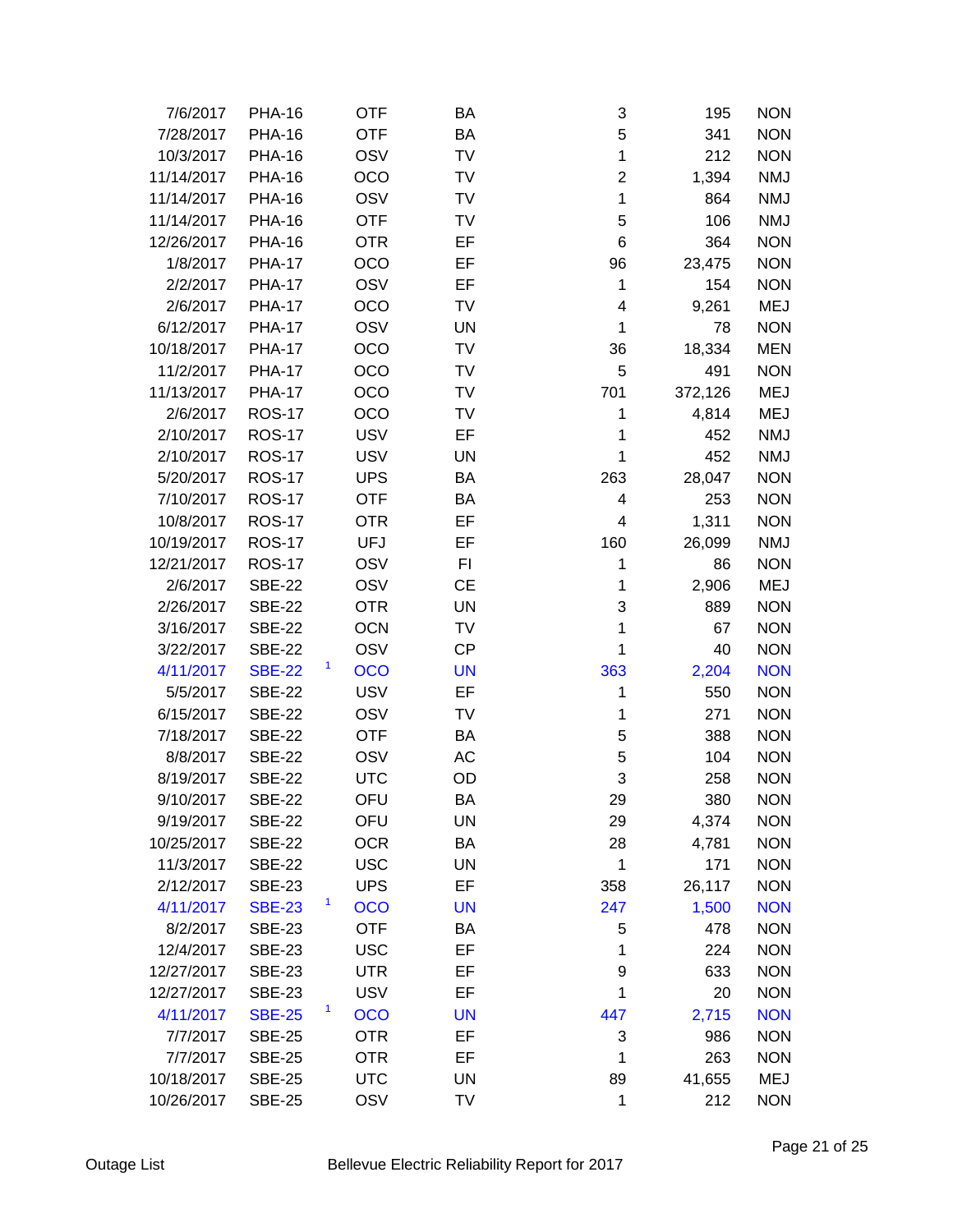| 7/6/2017   | <b>PHA-16</b> | <b>OTF</b>      | BA        | 3                       | 195     | <b>NON</b> |
|------------|---------------|-----------------|-----------|-------------------------|---------|------------|
| 7/28/2017  | <b>PHA-16</b> | <b>OTF</b>      | BA        | 5                       | 341     | <b>NON</b> |
| 10/3/2017  | <b>PHA-16</b> | OSV             | TV        | 1                       | 212     | <b>NON</b> |
| 11/14/2017 | <b>PHA-16</b> | OCO             | TV        | $\overline{2}$          | 1,394   | <b>NMJ</b> |
| 11/14/2017 | <b>PHA-16</b> | OSV             | TV        | $\mathbf{1}$            | 864     | <b>NMJ</b> |
| 11/14/2017 | <b>PHA-16</b> | <b>OTF</b>      | TV        | 5                       | 106     | <b>NMJ</b> |
| 12/26/2017 | <b>PHA-16</b> | <b>OTR</b>      | EF        | 6                       | 364     | <b>NON</b> |
| 1/8/2017   | <b>PHA-17</b> | OCO             | EF        | 96                      | 23,475  | <b>NON</b> |
| 2/2/2017   | <b>PHA-17</b> | OSV             | EF        | 1                       | 154     | <b>NON</b> |
| 2/6/2017   | <b>PHA-17</b> | OCO             | TV        | $\overline{\mathbf{4}}$ | 9,261   | <b>MEJ</b> |
| 6/12/2017  | <b>PHA-17</b> | OSV             | UN        | 1                       | 78      | <b>NON</b> |
| 10/18/2017 | <b>PHA-17</b> | OCO             | TV        | 36                      | 18,334  | <b>MEN</b> |
| 11/2/2017  | <b>PHA-17</b> | OCO             | TV        | 5                       | 491     | <b>NON</b> |
| 11/13/2017 | <b>PHA-17</b> | OCO             | TV        | 701                     | 372,126 | <b>MEJ</b> |
| 2/6/2017   | <b>ROS-17</b> | OCO             | TV        | 1                       | 4,814   | <b>MEJ</b> |
| 2/10/2017  | <b>ROS-17</b> | <b>USV</b>      | EF        | 1                       | 452     | <b>NMJ</b> |
| 2/10/2017  | <b>ROS-17</b> | <b>USV</b>      | UN        | 1                       | 452     | <b>NMJ</b> |
| 5/20/2017  | <b>ROS-17</b> | <b>UPS</b>      | BA        | 263                     | 28,047  | <b>NON</b> |
| 7/10/2017  | <b>ROS-17</b> | <b>OTF</b>      | BA        | 4                       | 253     | <b>NON</b> |
| 10/8/2017  | <b>ROS-17</b> | <b>OTR</b>      | EF        | $\overline{\mathbf{4}}$ | 1,311   | <b>NON</b> |
| 10/19/2017 | <b>ROS-17</b> | <b>UFJ</b>      | EF        | 160                     | 26,099  | <b>NMJ</b> |
| 12/21/2017 | <b>ROS-17</b> | OSV             | FI        | 1                       | 86      | <b>NON</b> |
| 2/6/2017   | <b>SBE-22</b> | OSV             | CE        | 1                       | 2,906   | <b>MEJ</b> |
| 2/26/2017  | <b>SBE-22</b> | <b>OTR</b>      | UN        | 3                       | 889     | <b>NON</b> |
| 3/16/2017  | <b>SBE-22</b> | <b>OCN</b>      | TV        | 1                       | 67      | <b>NON</b> |
| 3/22/2017  | <b>SBE-22</b> | OSV             | <b>CP</b> | 1                       | 40      | <b>NON</b> |
| 4/11/2017  | <b>SBE-22</b> | 1<br><b>OCO</b> | <b>UN</b> | 363                     | 2,204   | <b>NON</b> |
| 5/5/2017   | <b>SBE-22</b> | <b>USV</b>      | EF        | 1                       | 550     | <b>NON</b> |
| 6/15/2017  | <b>SBE-22</b> | OSV             | TV        | 1                       | 271     | <b>NON</b> |
| 7/18/2017  | <b>SBE-22</b> | <b>OTF</b>      | BA        | 5                       | 388     | <b>NON</b> |
| 8/8/2017   | <b>SBE-22</b> | OSV             | AC        | 5                       | 104     | <b>NON</b> |
| 8/19/2017  | <b>SBE-22</b> | <b>UTC</b>      | OD        | 3                       | 258     | <b>NON</b> |
| 9/10/2017  | <b>SBE-22</b> | OFU             | BA        | 29                      | 380     | <b>NON</b> |
| 9/19/2017  | <b>SBE-22</b> | OFU             | UN        | 29                      | 4,374   | <b>NON</b> |
| 10/25/2017 | <b>SBE-22</b> | <b>OCR</b>      | BA        | 28                      | 4,781   | <b>NON</b> |
| 11/3/2017  | <b>SBE-22</b> | <b>USC</b>      | UN        | 1                       | 171     | <b>NON</b> |
| 2/12/2017  | <b>SBE-23</b> | <b>UPS</b>      | EF        | 358                     | 26,117  | <b>NON</b> |
| 4/11/2017  | <b>SBE-23</b> | 1<br><b>OCO</b> | <b>UN</b> | 247                     | 1,500   | <b>NON</b> |
| 8/2/2017   | <b>SBE-23</b> | <b>OTF</b>      | BA        | 5                       | 478     | <b>NON</b> |
| 12/4/2017  | <b>SBE-23</b> | <b>USC</b>      | EF        | 1                       | 224     | <b>NON</b> |
| 12/27/2017 | <b>SBE-23</b> | <b>UTR</b>      | EF        | 9                       | 633     | <b>NON</b> |
| 12/27/2017 | <b>SBE-23</b> | <b>USV</b>      | EF        | 1                       | 20      | <b>NON</b> |
| 4/11/2017  | <b>SBE-25</b> | 1<br><b>OCO</b> | <b>UN</b> | 447                     | 2,715   | <b>NON</b> |
| 7/7/2017   | <b>SBE-25</b> | <b>OTR</b>      | EF        | 3                       | 986     | <b>NON</b> |
| 7/7/2017   | <b>SBE-25</b> | <b>OTR</b>      | EF        | 1                       | 263     | <b>NON</b> |
| 10/18/2017 | <b>SBE-25</b> | <b>UTC</b>      | UN        | 89                      | 41,655  | <b>MEJ</b> |
| 10/26/2017 | <b>SBE-25</b> | OSV             | TV        | 1                       | 212     | <b>NON</b> |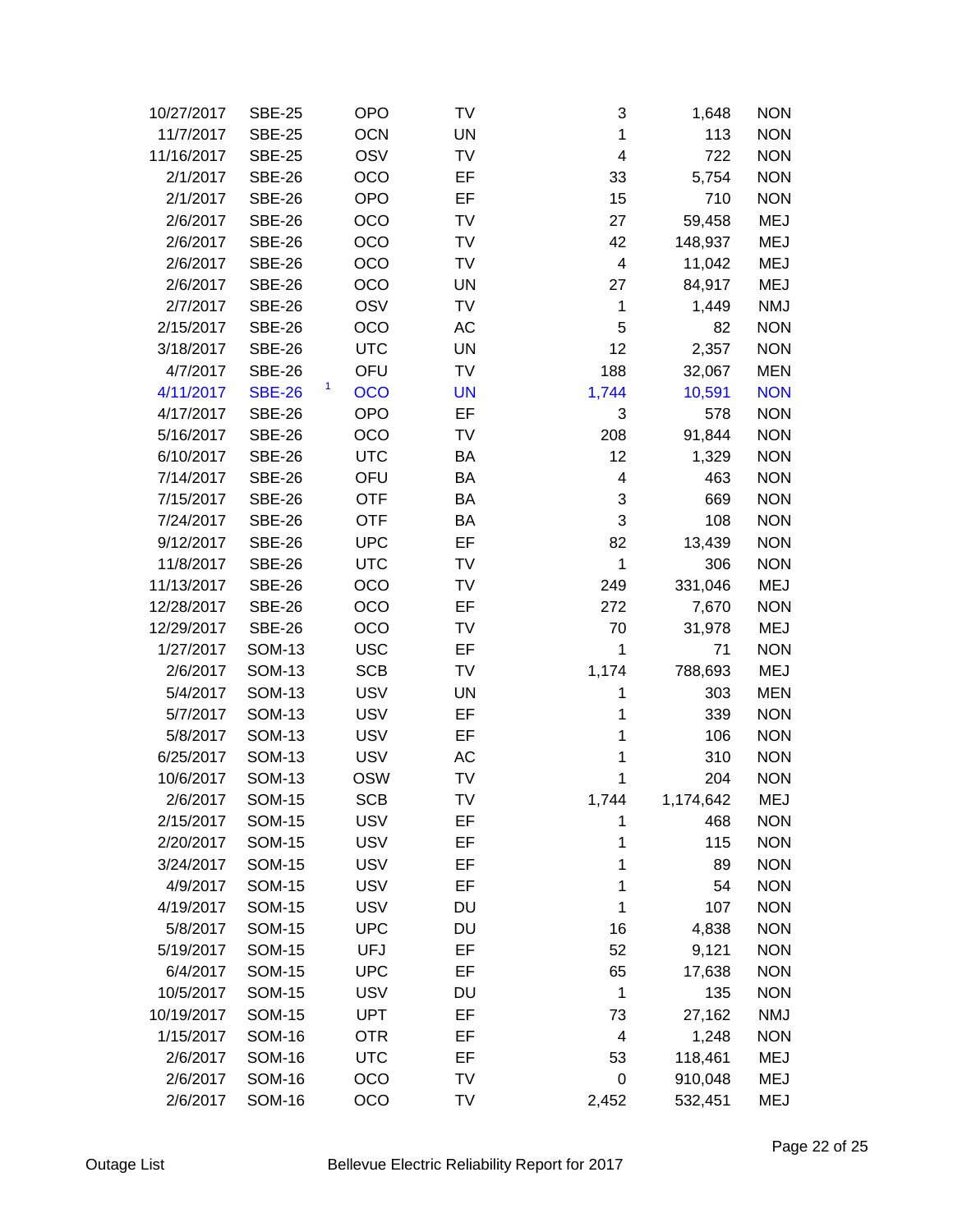| 10/27/2017 | <b>SBE-25</b> | <b>OPO</b>      | TV        | 3                       | 1,648     | <b>NON</b> |
|------------|---------------|-----------------|-----------|-------------------------|-----------|------------|
| 11/7/2017  | <b>SBE-25</b> | <b>OCN</b>      | <b>UN</b> | 1                       | 113       | <b>NON</b> |
| 11/16/2017 | <b>SBE-25</b> | OSV             | TV        | $\overline{\mathbf{4}}$ | 722       | <b>NON</b> |
| 2/1/2017   | <b>SBE-26</b> | OCO             | EF        | 33                      | 5,754     | <b>NON</b> |
| 2/1/2017   | <b>SBE-26</b> | <b>OPO</b>      | EF        | 15                      | 710       | <b>NON</b> |
| 2/6/2017   | <b>SBE-26</b> | OCO             | TV        | 27                      | 59,458    | <b>MEJ</b> |
| 2/6/2017   | <b>SBE-26</b> | OCO             | TV        | 42                      | 148,937   | <b>MEJ</b> |
| 2/6/2017   | <b>SBE-26</b> | OCO             | TV        | $\overline{\mathbf{4}}$ | 11,042    | <b>MEJ</b> |
| 2/6/2017   | <b>SBE-26</b> | OCO             | <b>UN</b> | 27                      | 84,917    | <b>MEJ</b> |
| 2/7/2017   | <b>SBE-26</b> | OSV             | TV        | 1                       | 1,449     | <b>NMJ</b> |
| 2/15/2017  | <b>SBE-26</b> | OCO             | AC        | 5                       | 82        | <b>NON</b> |
| 3/18/2017  | <b>SBE-26</b> | <b>UTC</b>      | UN        | 12                      | 2,357     | <b>NON</b> |
| 4/7/2017   | <b>SBE-26</b> | OFU             | TV        | 188                     | 32,067    | <b>MEN</b> |
| 4/11/2017  | <b>SBE-26</b> | 1<br><b>OCO</b> | <b>UN</b> | 1,744                   | 10,591    | <b>NON</b> |
| 4/17/2017  | <b>SBE-26</b> | <b>OPO</b>      | EF        | 3                       | 578       | <b>NON</b> |
| 5/16/2017  | <b>SBE-26</b> | OCO             | TV        | 208                     | 91,844    | <b>NON</b> |
| 6/10/2017  | <b>SBE-26</b> | <b>UTC</b>      | BA        | 12                      | 1,329     | <b>NON</b> |
| 7/14/2017  | <b>SBE-26</b> | OFU             | BA        | 4                       | 463       | <b>NON</b> |
| 7/15/2017  | <b>SBE-26</b> | <b>OTF</b>      | BA        | 3                       | 669       | <b>NON</b> |
| 7/24/2017  | <b>SBE-26</b> | <b>OTF</b>      | BA        | 3                       | 108       | <b>NON</b> |
| 9/12/2017  | <b>SBE-26</b> | <b>UPC</b>      | EF        | 82                      | 13,439    | <b>NON</b> |
| 11/8/2017  | <b>SBE-26</b> | <b>UTC</b>      | TV        | $\mathbf{1}$            | 306       | <b>NON</b> |
| 11/13/2017 | <b>SBE-26</b> | OCO             | TV        | 249                     | 331,046   | <b>MEJ</b> |
| 12/28/2017 | <b>SBE-26</b> | OCO             | EF        | 272                     | 7,670     | <b>NON</b> |
| 12/29/2017 | <b>SBE-26</b> | OCO             | TV        | 70                      | 31,978    | <b>MEJ</b> |
| 1/27/2017  | <b>SOM-13</b> | <b>USC</b>      | EF        | 1                       | 71        | <b>NON</b> |
| 2/6/2017   | <b>SOM-13</b> | <b>SCB</b>      | TV        | 1,174                   | 788,693   | <b>MEJ</b> |
| 5/4/2017   | <b>SOM-13</b> | <b>USV</b>      | <b>UN</b> | 1                       | 303       | <b>MEN</b> |
| 5/7/2017   | <b>SOM-13</b> | <b>USV</b>      | EF        | 1                       | 339       | <b>NON</b> |
| 5/8/2017   | <b>SOM-13</b> | <b>USV</b>      | EF        | 1                       | 106       | <b>NON</b> |
| 6/25/2017  | <b>SOM-13</b> | <b>USV</b>      | AC        | 1                       | 310       | <b>NON</b> |
| 10/6/2017  | <b>SOM-13</b> | <b>OSW</b>      | TV        | 1                       | 204       | <b>NON</b> |
| 2/6/2017   | <b>SOM-15</b> | <b>SCB</b>      | TV        | 1,744                   | 1,174,642 | MEJ        |
| 2/15/2017  | <b>SOM-15</b> | <b>USV</b>      | EF        | 1                       | 468       | <b>NON</b> |
| 2/20/2017  | <b>SOM-15</b> | <b>USV</b>      | EF        | 1                       | 115       | <b>NON</b> |
| 3/24/2017  | <b>SOM-15</b> | <b>USV</b>      | EF        | 1                       | 89        | <b>NON</b> |
| 4/9/2017   | <b>SOM-15</b> | <b>USV</b>      | EF        | 1                       | 54        | <b>NON</b> |
| 4/19/2017  | <b>SOM-15</b> | <b>USV</b>      | DU        | 1                       | 107       | <b>NON</b> |
| 5/8/2017   | <b>SOM-15</b> | <b>UPC</b>      | <b>DU</b> | 16                      | 4,838     | <b>NON</b> |
| 5/19/2017  | <b>SOM-15</b> | UFJ             | EF        | 52                      | 9,121     | <b>NON</b> |
| 6/4/2017   | <b>SOM-15</b> | <b>UPC</b>      | EF        | 65                      | 17,638    | <b>NON</b> |
| 10/5/2017  | <b>SOM-15</b> | <b>USV</b>      | DU        | 1                       | 135       | <b>NON</b> |
| 10/19/2017 | <b>SOM-15</b> | <b>UPT</b>      | EF        | 73                      | 27,162    | <b>NMJ</b> |
| 1/15/2017  | <b>SOM-16</b> | <b>OTR</b>      | EF        | $\overline{\mathbf{4}}$ | 1,248     | <b>NON</b> |
| 2/6/2017   | <b>SOM-16</b> | <b>UTC</b>      | EF        | 53                      | 118,461   | MEJ        |
| 2/6/2017   | <b>SOM-16</b> | OCO             | TV        | 0                       | 910,048   | <b>MEJ</b> |
| 2/6/2017   | <b>SOM-16</b> | OCO             | TV        | 2,452                   | 532,451   | MEJ        |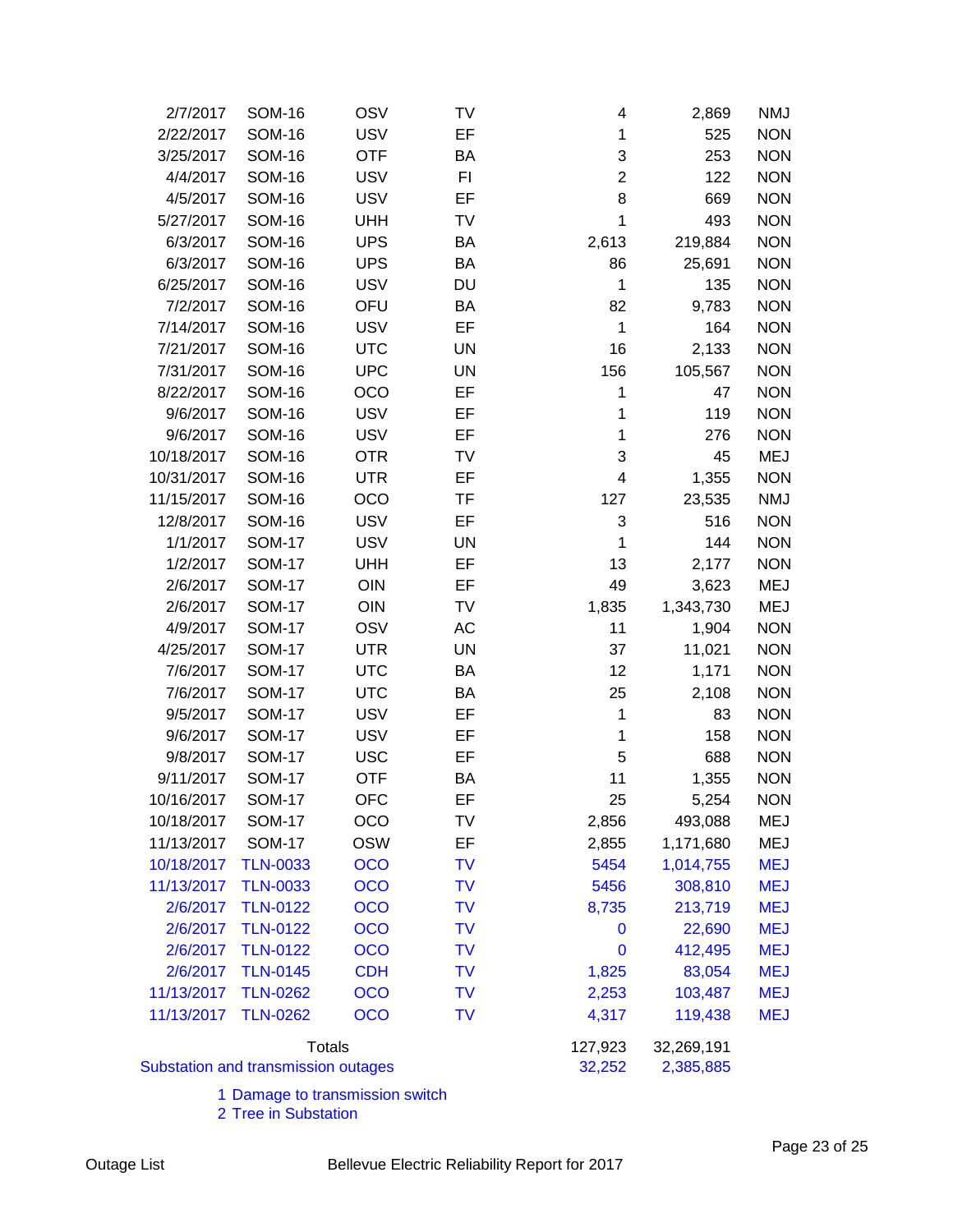| 2/7/2017   | <b>SOM-16</b>                              | OSV           | TV        | 4              | 2,869     | NMJ        |
|------------|--------------------------------------------|---------------|-----------|----------------|-----------|------------|
| 2/22/2017  | <b>SOM-16</b>                              | <b>USV</b>    | EF        | 1              | 525       | <b>NON</b> |
| 3/25/2017  | <b>SOM-16</b>                              | <b>OTF</b>    | BA        | 3              | 253       | <b>NON</b> |
| 4/4/2017   | <b>SOM-16</b>                              | <b>USV</b>    | F1        | $\overline{2}$ | 122       | <b>NON</b> |
| 4/5/2017   | <b>SOM-16</b>                              | <b>USV</b>    | EF        | 8              | 669       | <b>NON</b> |
| 5/27/2017  | <b>SOM-16</b>                              | <b>UHH</b>    | TV        | 1              | 493       | <b>NON</b> |
| 6/3/2017   | <b>SOM-16</b>                              | <b>UPS</b>    | BA        | 2,613          | 219,884   | <b>NON</b> |
| 6/3/2017   | <b>SOM-16</b>                              | <b>UPS</b>    | BA        | 86             | 25,691    | <b>NON</b> |
| 6/25/2017  | <b>SOM-16</b>                              | <b>USV</b>    | DU        | $\mathbf{1}$   | 135       | <b>NON</b> |
| 7/2/2017   | <b>SOM-16</b>                              | OFU           | BA        | 82             | 9,783     | <b>NON</b> |
| 7/14/2017  | <b>SOM-16</b>                              | <b>USV</b>    | EF        | $\mathbf{1}$   | 164       | <b>NON</b> |
| 7/21/2017  | <b>SOM-16</b>                              | <b>UTC</b>    | <b>UN</b> | 16             | 2,133     | <b>NON</b> |
| 7/31/2017  | <b>SOM-16</b>                              | <b>UPC</b>    | <b>UN</b> | 156            | 105,567   | <b>NON</b> |
| 8/22/2017  | <b>SOM-16</b>                              | OCO           | EF        | 1              | 47        | <b>NON</b> |
| 9/6/2017   | <b>SOM-16</b>                              | <b>USV</b>    | EF        | 1              | 119       | <b>NON</b> |
| 9/6/2017   | <b>SOM-16</b>                              | <b>USV</b>    | EF        | 1              | 276       | <b>NON</b> |
| 10/18/2017 | <b>SOM-16</b>                              | <b>OTR</b>    | TV        | 3              | 45        | <b>MEJ</b> |
| 10/31/2017 | <b>SOM-16</b>                              | <b>UTR</b>    | EF        | 4              | 1,355     | <b>NON</b> |
| 11/15/2017 | <b>SOM-16</b>                              | <b>OCO</b>    | TF        | 127            | 23,535    | <b>NMJ</b> |
| 12/8/2017  | <b>SOM-16</b>                              | <b>USV</b>    | EF        | 3              | 516       | <b>NON</b> |
| 1/1/2017   | <b>SOM-17</b>                              | <b>USV</b>    | <b>UN</b> | 1              | 144       | <b>NON</b> |
| 1/2/2017   | <b>SOM-17</b>                              | <b>UHH</b>    | EF        | 13             | 2,177     | <b>NON</b> |
| 2/6/2017   | <b>SOM-17</b>                              | OIN           | EF        | 49             | 3,623     | MEJ        |
| 2/6/2017   | <b>SOM-17</b>                              | <b>OIN</b>    | TV        | 1,835          | 1,343,730 | MEJ        |
| 4/9/2017   | <b>SOM-17</b>                              | OSV           | AC        | 11             | 1,904     | <b>NON</b> |
| 4/25/2017  | <b>SOM-17</b>                              | <b>UTR</b>    | <b>UN</b> | 37             | 11,021    | <b>NON</b> |
| 7/6/2017   | <b>SOM-17</b>                              | <b>UTC</b>    | BA        | 12             | 1,171     | <b>NON</b> |
| 7/6/2017   | <b>SOM-17</b>                              | <b>UTC</b>    | BA        | 25             | 2,108     | <b>NON</b> |
| 9/5/2017   | <b>SOM-17</b>                              | <b>USV</b>    | EF        | 1              | 83        | <b>NON</b> |
| 9/6/2017   | <b>SOM-17</b>                              | <b>USV</b>    | EF        | 1              | 158       | <b>NON</b> |
| 9/8/2017   | <b>SOM-17</b>                              | <b>USC</b>    | EF        | 5              | 688       | <b>NON</b> |
| 9/11/2017  | <b>SOM-17</b>                              | <b>OTF</b>    | BA        | 11             | 1,355     | <b>NON</b> |
| 10/16/2017 | <b>SOM-17</b>                              | <b>OFC</b>    | EF        | 25             | 5,254     | <b>NON</b> |
| 10/18/2017 | <b>SOM-17</b>                              | OCO           | TV        | 2,856          | 493,088   | MEJ        |
| 11/13/2017 | <b>SOM-17</b>                              | <b>OSW</b>    | EF        | 2,855          | 1,171,680 | <b>MEJ</b> |
| 10/18/2017 | <b>TLN-0033</b>                            | <b>OCO</b>    | TV        | 5454           | 1,014,755 | <b>MEJ</b> |
| 11/13/2017 | <b>TLN-0033</b>                            | OCO           | TV        | 5456           | 308,810   | <b>MEJ</b> |
| 2/6/2017   | <b>TLN-0122</b>                            | <b>OCO</b>    | TV        | 8,735          | 213,719   | <b>MEJ</b> |
| 2/6/2017   | <b>TLN-0122</b>                            | <b>OCO</b>    | TV        | 0              | 22,690    | <b>MEJ</b> |
| 2/6/2017   | <b>TLN-0122</b>                            | OCO           | TV        | $\bf{0}$       | 412,495   | <b>MEJ</b> |
| 2/6/2017   | <b>TLN-0145</b>                            | <b>CDH</b>    | TV        | 1,825          | 83,054    | <b>MEJ</b> |
| 11/13/2017 | <b>TLN-0262</b>                            | <b>OCO</b>    | TV        | 2,253          | 103,487   | <b>MEJ</b> |
| 11/13/2017 | <b>TLN-0262</b>                            | <b>OCO</b>    | TV        | 4,317          | 119,438   | <b>MEJ</b> |
|            |                                            |               |           |                |           |            |
|            |                                            | <b>Totals</b> | 127,923   | 32,269,191     |           |            |
|            | <b>Substation and transmission outages</b> |               | 32,252    | 2,385,885      |           |            |

1 Damage to transmission switch

2 Tree in Substation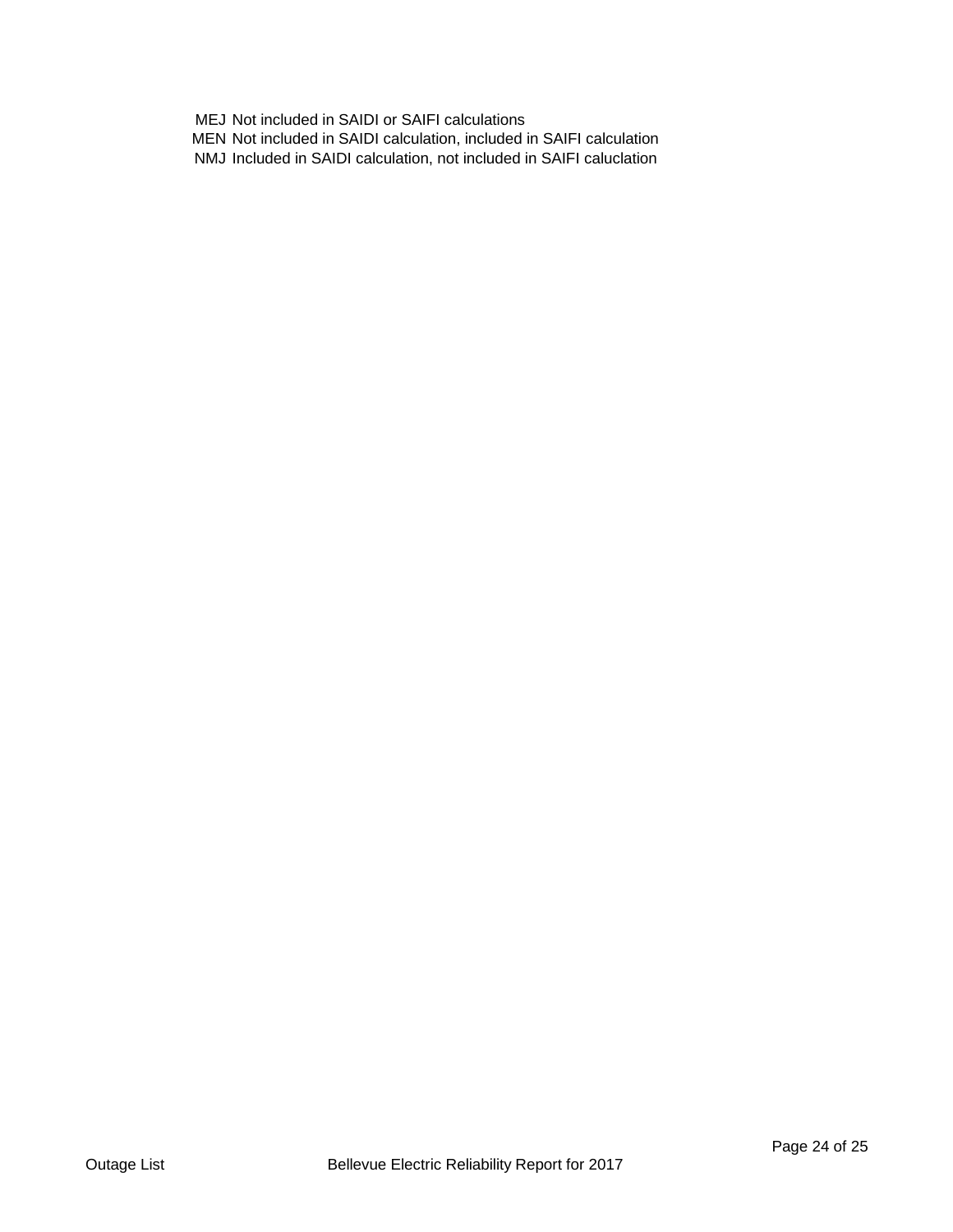MEJ Not included in SAIDI or SAIFI calculations MEN Not included in SAIDI calculation, included in SAIFI calculation NMJ Included in SAIDI calculation, not included in SAIFI caluclation